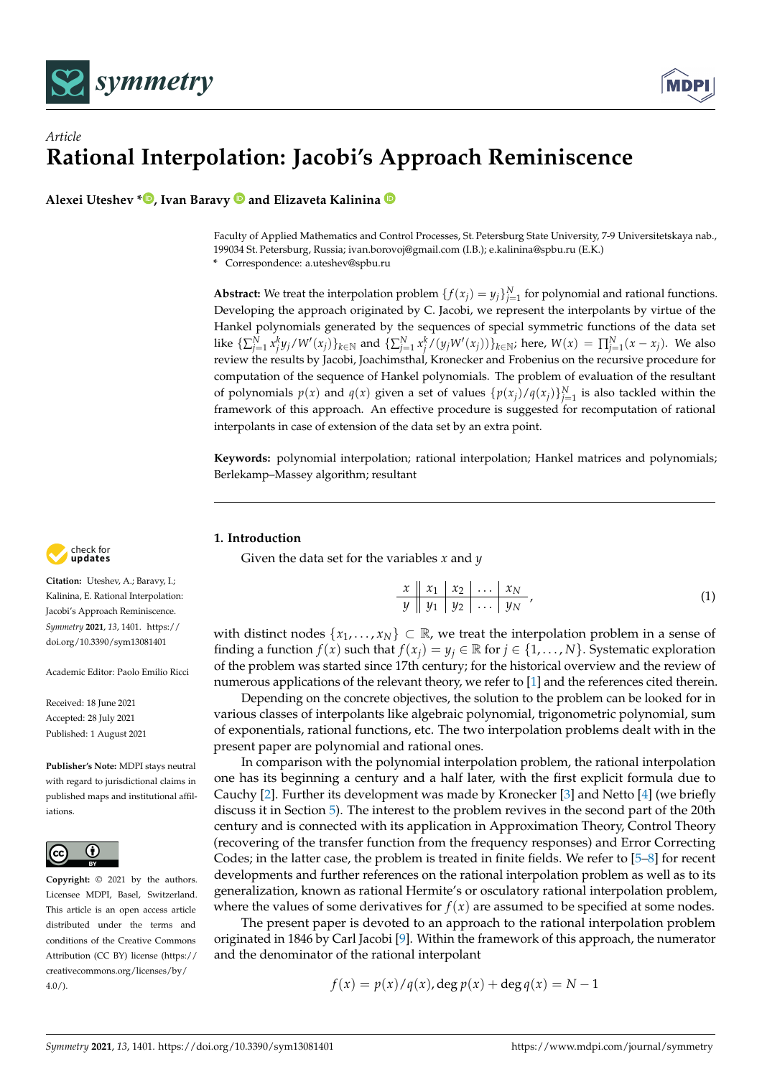



**Alexei Uteshev [\\*](https://orcid.org/0000-0002-8344-3266) , Ivan Baravy and Elizaveta Kalinina**

Faculty of Applied Mathematics and Control Processes, St. Petersburg State University, 7-9 Universitetskaya nab., 199034 St. Petersburg, Russia; ivan.borovoj@gmail.com (I.B.); e.kalinina@spbu.ru (E.K.) **\*** Correspondence: a.uteshev@spbu.ru

**Abstract:** We treat the interpolation problem  $\{f(x_j) = y_j\}_{j=1}^N$  for polynomial and rational functions. Developing the approach originated by C. Jacobi, we represent the interpolants by virtue of the Hankel polynomials generated by the sequences of special symmetric functions of the data set like  $\{\sum_{j=1}^N x_j^k y_j/W'(x_j)\}_{k\in\mathbb{N}}$  and  $\{\sum_{j=1}^N x_j^k/(y_jW'(x_j))\}_{k\in\mathbb{N}}$ ; here,  $W(x) = \prod_{j=1}^N (x-x_j)$ . We also review the results by Jacobi, Joachimsthal, Kronecker and Frobenius on the recursive procedure for computation of the sequence of Hankel polynomials. The problem of evaluation of the resultant of polynomials  $p(x)$  and  $q(x)$  given a set of values  $\{p(x_j)/q(x_j)\}_{j=1}^N$  is also tackled within the framework of this approach. An effective procedure is suggested for recomputation of rational interpolants in case of extension of the data set by an extra point.

**Keywords:** polynomial interpolation; rational interpolation; Hankel matrices and polynomials; Berlekamp–Massey algorithm; resultant

# **1. Introduction**

Given the data set for the variables *x* and *y*

<span id="page-0-0"></span>
$$
\begin{array}{c|c|c|c|c|c|c|c|c} x & x_1 & x_2 & \dots & x_N \\ \hline y & y_1 & y_2 & \dots & y_N \end{array} \tag{1}
$$

with distinct nodes  $\{x_1, \ldots, x_N\} \subset \mathbb{R}$ , we treat the interpolation problem in a sense of finding a function  $f(x)$  such that  $f(x_i) = y_i \in \mathbb{R}$  for  $i \in \{1, ..., N\}$ . Systematic exploration of the problem was started since 17th century; for the historical overview and the review of numerous applications of the relevant theory, we refer to [\[1\]](#page-33-0) and the references cited therein.

Depending on the concrete objectives, the solution to the problem can be looked for in various classes of interpolants like algebraic polynomial, trigonometric polynomial, sum of exponentials, rational functions, etc. The two interpolation problems dealt with in the present paper are polynomial and rational ones.

In comparison with the polynomial interpolation problem, the rational interpolation one has its beginning a century and a half later, with the first explicit formula due to Cauchy [\[2\]](#page-33-1). Further its development was made by Kronecker [\[3\]](#page-33-2) and Netto [\[4\]](#page-33-3) (we briefly discuss it in Section [5\)](#page-18-0). The interest to the problem revives in the second part of the 20th century and is connected with its application in Approximation Theory, Control Theory (recovering of the transfer function from the frequency responses) and Error Correcting Codes; in the latter case, the problem is treated in finite fields. We refer to [\[5](#page-33-4)[–8\]](#page-33-5) for recent developments and further references on the rational interpolation problem as well as to its generalization, known as rational Hermite's or osculatory rational interpolation problem, where the values of some derivatives for  $f(x)$  are assumed to be specified at some nodes.

The present paper is devoted to an approach to the rational interpolation problem originated in 1846 by Carl Jacobi [\[9\]](#page-33-6). Within the framework of this approach, the numerator and the denominator of the rational interpolant

$$
f(x) = p(x)/q(x), \deg p(x) + \deg q(x) = N - 1
$$



**Citation:** Uteshev, A.; Baravy, I.; Kalinina, E. Rational Interpolation: Jacobi's Approach Reminiscence. *Symmetry* **2021**, *13*, 1401. [https://](https://doi.org/10.3390/sym13081401) [doi.org/10.3390/sym13081401](https://doi.org/10.3390/sym13081401)

Academic Editor: Paolo Emilio Ricci

Received: 18 June 2021 Accepted: 28 July 2021 Published: 1 August 2021

**Publisher's Note:** MDPI stays neutral with regard to jurisdictional claims in published maps and institutional affiliations.



**Copyright:** © 2021 by the authors. Licensee MDPI, Basel, Switzerland. This article is an open access article distributed under the terms and conditions of the Creative Commons Attribution (CC BY) license (https:/[/](https://creativecommons.org/licenses/by/4.0/) [creativecommons.org/licenses/by/](https://creativecommons.org/licenses/by/4.0/) 4.0/).

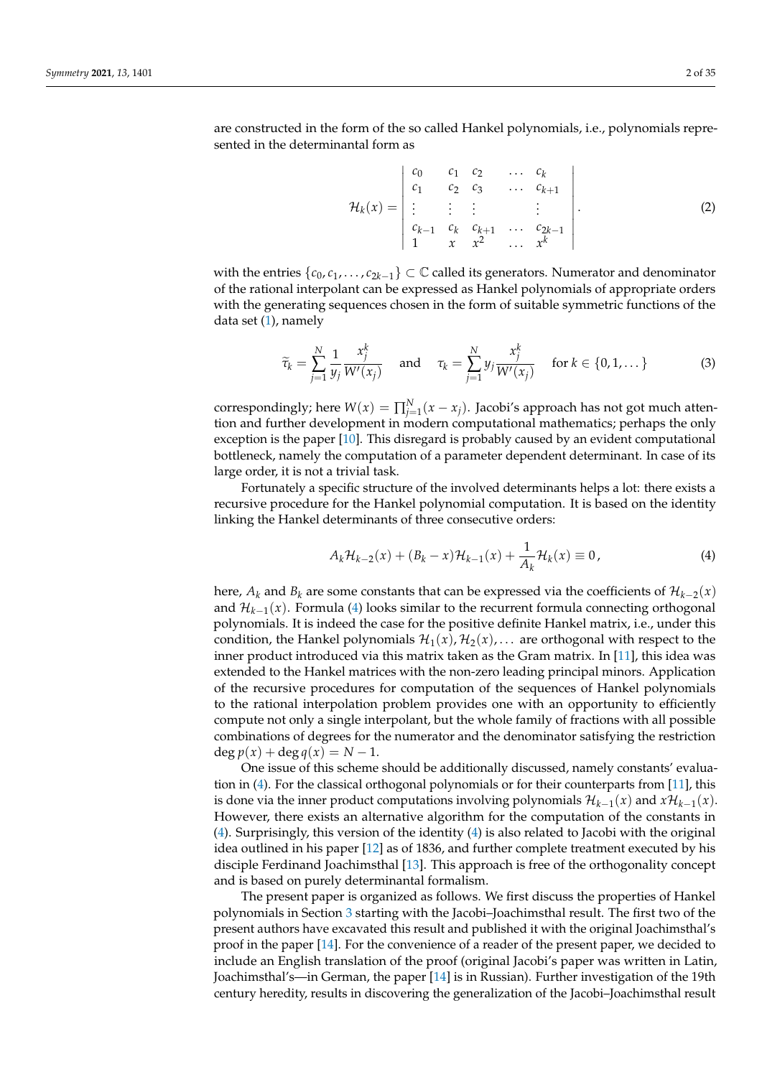$$
\mathcal{H}_k(x) = \begin{vmatrix} c_0 & c_1 & c_2 & \dots & c_k \\ c_1 & c_2 & c_3 & \dots & c_{k+1} \\ \vdots & \vdots & \vdots & & \vdots \\ c_{k-1} & c_k & c_{k+1} & \dots & c_{2k-1} \\ 1 & x & x^2 & \dots & x^k \end{vmatrix}.
$$
 (2)

with the entries  $\{c_0, c_1, \ldots, c_{2k-1}\} \subset \mathbb{C}$  called its generators. Numerator and denominator of the rational interpolant can be expressed as Hankel polynomials of appropriate orders with the generating sequences chosen in the form of suitable symmetric functions of the data set  $(1)$ , namely

<span id="page-1-1"></span>
$$
\widetilde{\tau}_k = \sum_{j=1}^N \frac{1}{y_j} \frac{x_j^k}{W'(x_j)} \quad \text{and} \quad \tau_k = \sum_{j=1}^N y_j \frac{x_j^k}{W'(x_j)} \quad \text{for } k \in \{0, 1, \dots\}
$$
 (3)

correspondingly; here  $W(x) = \prod_{j=1}^{N} (x - x_j)$ . Jacobi's approach has not got much attention and further development in modern computational mathematics; perhaps the only exception is the paper [\[10\]](#page-33-7). This disregard is probably caused by an evident computational bottleneck, namely the computation of a parameter dependent determinant. In case of its large order, it is not a trivial task.

Fortunately a specific structure of the involved determinants helps a lot: there exists a recursive procedure for the Hankel polynomial computation. It is based on the identity linking the Hankel determinants of three consecutive orders:

<span id="page-1-0"></span>
$$
A_k \mathcal{H}_{k-2}(x) + (B_k - x) \mathcal{H}_{k-1}(x) + \frac{1}{A_k} \mathcal{H}_k(x) \equiv 0, \tag{4}
$$

here,  $A_k$  and  $B_k$  are some constants that can be expressed via the coefficients of  $\mathcal{H}_{k-2}(x)$ and H*k*−<sup>1</sup> (*x*). Formula [\(4\)](#page-1-0) looks similar to the recurrent formula connecting orthogonal polynomials. It is indeed the case for the positive definite Hankel matrix, i.e., under this condition, the Hankel polynomials  $\mathcal{H}_1(x), \mathcal{H}_2(x), \ldots$  are orthogonal with respect to the inner product introduced via this matrix taken as the Gram matrix. In [\[11\]](#page-33-8), this idea was extended to the Hankel matrices with the non-zero leading principal minors. Application of the recursive procedures for computation of the sequences of Hankel polynomials to the rational interpolation problem provides one with an opportunity to efficiently compute not only a single interpolant, but the whole family of fractions with all possible combinations of degrees for the numerator and the denominator satisfying the restriction  $\deg p(x) + \deg q(x) = N - 1.$ 

One issue of this scheme should be additionally discussed, namely constants' evaluation in [\(4\)](#page-1-0). For the classical orthogonal polynomials or for their counterparts from [\[11\]](#page-33-8), this is done via the inner product computations involving polynomials  $\mathcal{H}_{k-1}(x)$  and  $x\mathcal{H}_{k-1}(x)$ . However, there exists an alternative algorithm for the computation of the constants in [\(4\)](#page-1-0). Surprisingly, this version of the identity [\(4\)](#page-1-0) is also related to Jacobi with the original idea outlined in his paper [\[12\]](#page-33-9) as of 1836, and further complete treatment executed by his disciple Ferdinand Joachimsthal [\[13\]](#page-33-10). This approach is free of the orthogonality concept and is based on purely determinantal formalism.

The present paper is organized as follows. We first discuss the properties of Hankel polynomials in Section [3](#page-4-0) starting with the Jacobi–Joachimsthal result. The first two of the present authors have excavated this result and published it with the original Joachimsthal's proof in the paper [\[14\]](#page-33-11). For the convenience of a reader of the present paper, we decided to include an English translation of the proof (original Jacobi's paper was written in Latin, Joachimsthal's—in German, the paper [\[14\]](#page-33-11) is in Russian). Further investigation of the 19th century heredity, results in discovering the generalization of the Jacobi–Joachimsthal result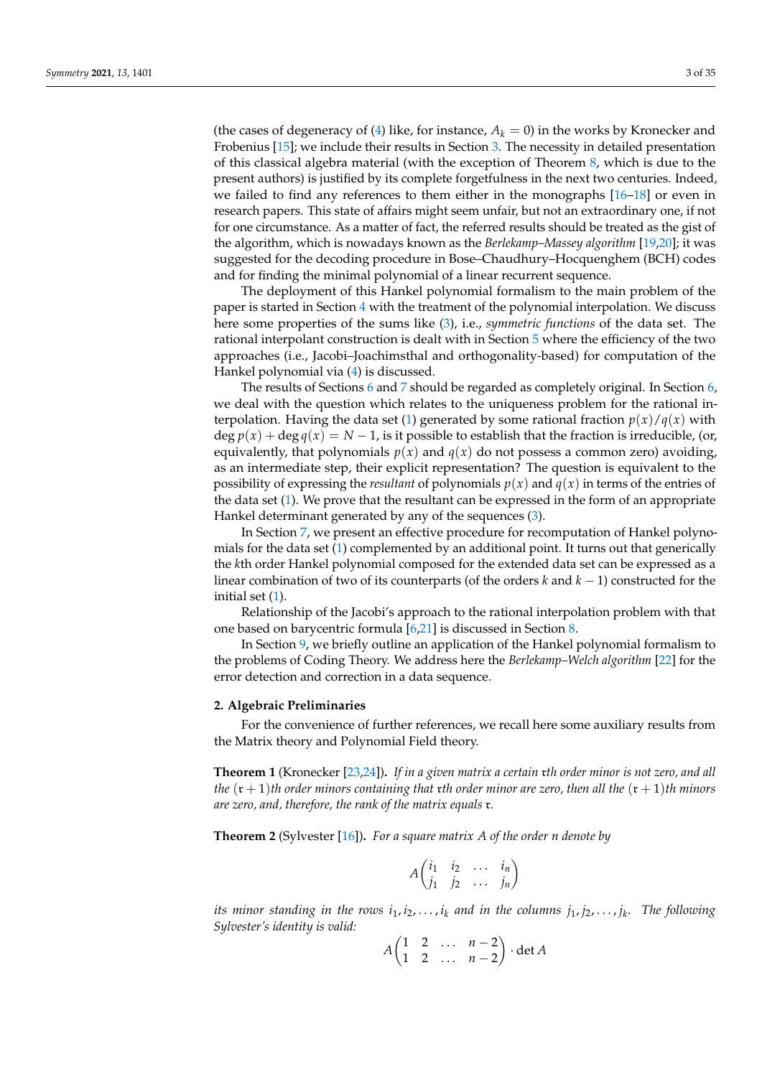(the cases of degeneracy of  $(4)$  like, for instance,  $A_k = 0$ ) in the works by Kronecker and Frobenius [\[15\]](#page-33-12); we include their results in Section [3.](#page-4-0) The necessity in detailed presentation of this classical algebra material (with the exception of Theorem [8,](#page-11-0) which is due to the present authors) is justified by its complete forgetfulness in the next two centuries. Indeed, we failed to find any references to them either in the monographs [\[16](#page-33-13)[–18\]](#page-33-14) or even in research papers. This state of affairs might seem unfair, but not an extraordinary one, if not for one circumstance. As a matter of fact, the referred results should be treated as the gist of the algorithm, which is nowadays known as the *Berlekamp–Massey algorithm* [\[19,](#page-33-15)[20\]](#page-33-16); it was suggested for the decoding procedure in Bose–Chaudhury–Hocquenghem (BCH) codes and for finding the minimal polynomial of a linear recurrent sequence.

The deployment of this Hankel polynomial formalism to the main problem of the paper is started in Section [4](#page-13-0) with the treatment of the polynomial interpolation. We discuss here some properties of the sums like [\(3\)](#page-1-1), i.e., *symmetric functions* of the data set. The rational interpolant construction is dealt with in Section [5](#page-18-0) where the efficiency of the two approaches (i.e., Jacobi–Joachimsthal and orthogonality-based) for computation of the Hankel polynomial via [\(4\)](#page-1-0) is discussed.

The results of Sections [6](#page-24-0) and [7](#page-27-0) should be regarded as completely original. In Section [6,](#page-24-0) we deal with the question which relates to the uniqueness problem for the rational in-terpolation. Having the data set [\(1\)](#page-0-0) generated by some rational fraction  $p(x)/q(x)$  with  $\deg p(x) + \deg q(x) = N - 1$ , is it possible to establish that the fraction is irreducible, (or, equivalently, that polynomials  $p(x)$  and  $q(x)$  do not possess a common zero) avoiding, as an intermediate step, their explicit representation? The question is equivalent to the possibility of expressing the *resultant* of polynomials  $p(x)$  and  $q(x)$  in terms of the entries of the data set [\(1\)](#page-0-0). We prove that the resultant can be expressed in the form of an appropriate Hankel determinant generated by any of the sequences [\(3\)](#page-1-1).

In Section [7,](#page-27-0) we present an effective procedure for recomputation of Hankel polynomials for the data set [\(1\)](#page-0-0) complemented by an additional point. It turns out that generically the *k*th order Hankel polynomial composed for the extended data set can be expressed as a linear combination of two of its counterparts (of the orders *k* and *k* − 1) constructed for the initial set [\(1\)](#page-0-0).

Relationship of the Jacobi's approach to the rational interpolation problem with that one based on barycentric formula [\[6,](#page-33-17)[21\]](#page-33-18) is discussed in Section [8.](#page-29-0)

In Section [9,](#page-30-0) we briefly outline an application of the Hankel polynomial formalism to the problems of Coding Theory. We address here the *Berlekamp–Welch algorithm* [\[22\]](#page-33-19) for the error detection and correction in a data sequence.

# <span id="page-2-1"></span>**2. Algebraic Preliminaries**

For the convenience of further references, we recall here some auxiliary results from the Matrix theory and Polynomial Field theory.

<span id="page-2-0"></span>**Theorem 1** (Kronecker [\[23](#page-33-20)[,24\]](#page-33-21))**.** *If in a given matrix a certain* r*th order minor is not zero, and all the*  $(\mathfrak{r} + 1)$ *th* order minors containing that  $\mathfrak{r}$ *th* order minor are zero, then all the  $(\mathfrak{r} + 1)$ *th* minors *are zero, and, therefore, the rank of the matrix equals* r*.*

**Theorem 2** (Sylvester [\[16\]](#page-33-13))**.** *For a square matrix A of the order n denote by*

$$
A \begin{pmatrix} i_1 & i_2 & \dots & i_n \\ j_1 & j_2 & \dots & j_n \end{pmatrix}
$$

*its minor standing in the rows i*1, *i*2, . . . , *i<sup>k</sup> and in the columns j*1, *j*2, . . . , *j<sup>k</sup> . The following Sylvester's identity is valid:*

$$
A\begin{pmatrix} 1 & 2 & \dots & n-2 \\ 1 & 2 & \dots & n-2 \end{pmatrix} \cdot \det A
$$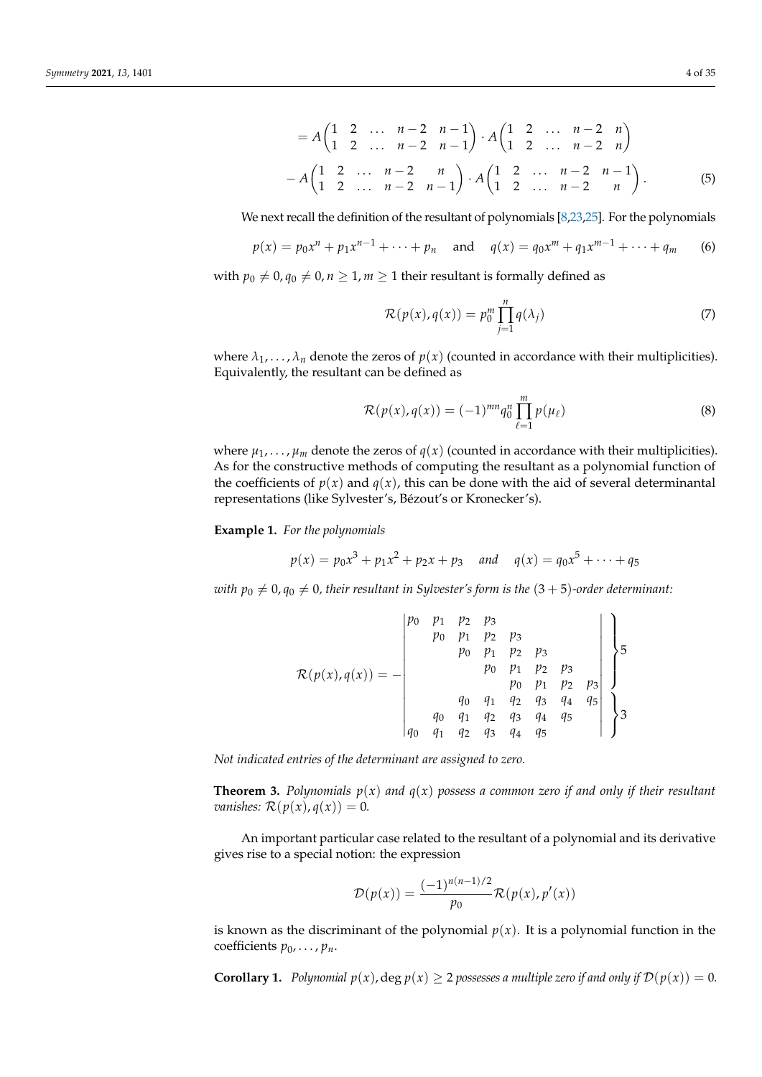<span id="page-3-0"></span>
$$
= A \begin{pmatrix} 1 & 2 & \dots & n-2 & n-1 \\ 1 & 2 & \dots & n-2 & n-1 \end{pmatrix} \cdot A \begin{pmatrix} 1 & 2 & \dots & n-2 & n \\ 1 & 2 & \dots & n-2 & n \end{pmatrix}
$$

$$
- A \begin{pmatrix} 1 & 2 & \dots & n-2 & n \\ 1 & 2 & \dots & n-2 & n-1 \end{pmatrix} \cdot A \begin{pmatrix} 1 & 2 & \dots & n-2 & n-1 \\ 1 & 2 & \dots & n-2 & n \end{pmatrix} . \tag{5}
$$

We next recall the definition of the resultant of polynomials [\[8](#page-33-5)[,23,](#page-33-20)[25\]](#page-33-22). For the polynomials

<span id="page-3-1"></span>
$$
p(x) = p_0 x^n + p_1 x^{n-1} + \dots + p_n
$$
 and  $q(x) = q_0 x^m + q_1 x^{m-1} + \dots + q_m$  (6)

with  $p_0 \neq 0, q_0 \neq 0, n \geq 1, m \geq 1$  their resultant is formally defined as

<span id="page-3-2"></span>
$$
\mathcal{R}(p(x), q(x)) = p_0^m \prod_{j=1}^n q(\lambda_j)
$$
\n(7)

where  $\lambda_1, \ldots, \lambda_n$  denote the zeros of  $p(x)$  (counted in accordance with their multiplicities). Equivalently, the resultant can be defined as

<span id="page-3-3"></span>
$$
\mathcal{R}(p(x), q(x)) = (-1)^{mn} q_0^n \prod_{\ell=1}^m p(\mu_\ell)
$$
\n(8)

where  $\mu_1, \ldots, \mu_m$  denote the zeros of  $q(x)$  (counted in accordance with their multiplicities). As for the constructive methods of computing the resultant as a polynomial function of the coefficients of  $p(x)$  and  $q(x)$ , this can be done with the aid of several determinantal representations (like Sylvester's, Bézout's or Kronecker's).

**Example 1.** *For the polynomials*

$$
p(x) = p_0 x^3 + p_1 x^2 + p_2 x + p_3
$$
 and  $q(x) = q_0 x^5 + \dots + q_5$ 

*with*  $p_0 \neq 0$ ,  $q_0 \neq 0$ , their resultant in Sylvester's form is the  $(3 + 5)$ -order determinant:

$$
\mathcal{R}(p(x), q(x)) = -\begin{vmatrix} p_0 & p_1 & p_2 & p_3 & & & \\ & p_0 & p_1 & p_2 & p_3 & & \\ & & p_0 & p_1 & p_2 & p_3 & \\ & & & p_0 & p_1 & p_2 & p_3 & \\ & & & p_0 & p_1 & p_2 & p_3 & \\ & & & q_0 & q_1 & q_2 & q_3 & q_4 & q_5 & \\ q_0 & q_1 & q_2 & q_3 & q_4 & q_5 & \end{vmatrix} \right\}
$$

*Not indicated entries of the determinant are assigned to zero.*

**Theorem 3.** Polynomials  $p(x)$  and  $q(x)$  possess a common zero if and only if their resultant *vanishes:*  $\mathcal{R}(p(x), q(x)) = 0$ .

An important particular case related to the resultant of a polynomial and its derivative gives rise to a special notion: the expression

$$
\mathcal{D}(p(x)) = \frac{(-1)^{n(n-1)/2}}{p_0} \mathcal{R}(p(x), p'(x))
$$

is known as the discriminant of the polynomial  $p(x)$ . It is a polynomial function in the coefficients  $p_0$ , . . . ,  $p_n$ .

<span id="page-3-4"></span>**Corollary 1.** *Polynomial*  $p(x)$ , deg  $p(x) \ge 2$  possesses a multiple zero if and only if  $\mathcal{D}(p(x)) = 0$ *.*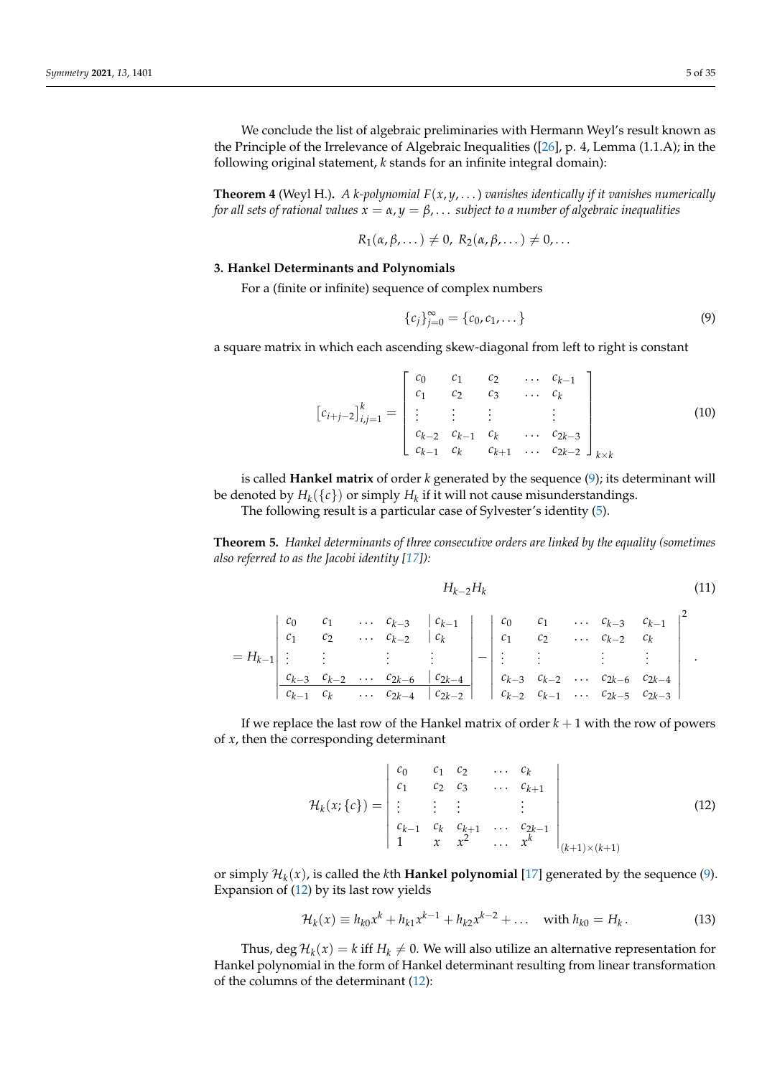We conclude the list of algebraic preliminaries with Hermann Weyl's result known as the Principle of the Irrelevance of Algebraic Inequalities ([\[26\]](#page-33-23), p. 4, Lemma (1.1.A); in the following original statement, *k* stands for an infinite integral domain):

<span id="page-4-3"></span>**Theorem 4** (Weyl H.). *A k*-polynomial  $F(x, y, \ldots)$  vanishes identically if it vanishes numerically *for all sets of rational values*  $x = \alpha$ ,  $y = \beta$ ,... *subject to a number of algebraic inequalities* 

$$
R_1(\alpha,\beta,\dots) \neq 0, R_2(\alpha,\beta,\dots) \neq 0,\dots
$$

### <span id="page-4-0"></span>**3. Hankel Determinants and Polynomials**

For a (finite or infinite) sequence of complex numbers

<span id="page-4-1"></span>
$$
\{c_j\}_{j=0}^{\infty} = \{c_0, c_1, \dots\}
$$
 (9)

a square matrix in which each ascending skew-diagonal from left to right is constant

$$
[c_{i+j-2}]_{i,j=1}^{k} = \begin{bmatrix} c_0 & c_1 & c_2 & \dots & c_{k-1} \\ c_1 & c_2 & c_3 & \dots & c_k \\ \vdots & \vdots & \vdots & & \vdots \\ c_{k-2} & c_{k-1} & c_k & \dots & c_{2k-3} \\ c_{k-1} & c_k & c_{k+1} & \dots & c_{2k-2} \end{bmatrix}_{k \times k}
$$
(10)

is called **Hankel matrix** of order *k* generated by the sequence [\(9\)](#page-4-1); its determinant will be denoted by  $H_k(\lbrace c \rbrace)$  or simply  $H_k$  if it will not cause misunderstandings. The following result is a particular case of Sylvester's identity [\(5\)](#page-3-0).

**Theorem 5.** *Hankel determinants of three consecutive orders are linked by the equality (sometimes also referred to as the Jacobi identity [\[17\]](#page-33-24)):*

<span id="page-4-4"></span>
$$
H_{k-2}H_k \tag{11}
$$

|  |  | $\begin{array}{ cccc cccc cccc }\hline c_0 & c_1 & \ldots & c_{k-3} & c_{k-1} \\ c_1 & c_2 & \ldots & c_{k-2} & c_k & c_1 & c_2 & \ldots & c_{k-2} & c_k \\\hline \end{array}$                                                                                                                                                                                                                                                                                                                          |  |  |  |  |
|--|--|---------------------------------------------------------------------------------------------------------------------------------------------------------------------------------------------------------------------------------------------------------------------------------------------------------------------------------------------------------------------------------------------------------------------------------------------------------------------------------------------------------|--|--|--|--|
|  |  | $\frac{1}{2} \left[ \begin{array}{ccc} 1 & 1 & 1 \end{array} \right] = \left[ \begin{array}{ccc} 1 & 1 \end{array} \right] = \left[ \begin{array}{ccc} 1 & 1 \end{array} \right] = \left[ \begin{array}{ccc} 1 & 1 \end{array} \right] = \left[ \begin{array}{ccc} 1 & 1 \end{array} \right] = \left[ \begin{array}{ccc} 1 & 1 \end{array} \right] = \left[ \begin{array}{ccc} 1 & 1 \end{array} \right] = \left[ \begin{array}{ccc} 1 & 1 \end{array} \right] = \left[ \begin{array}{ccc} 1 & 1 \end{$ |  |  |  |  |
|  |  |                                                                                                                                                                                                                                                                                                                                                                                                                                                                                                         |  |  |  |  |
|  |  |                                                                                                                                                                                                                                                                                                                                                                                                                                                                                                         |  |  |  |  |

If we replace the last row of the Hankel matrix of order  $k + 1$  with the row of powers of *x*, then the corresponding determinant

<span id="page-4-2"></span>
$$
\mathcal{H}_k(x;\{c\}) = \begin{vmatrix} c_0 & c_1 & c_2 & \cdots & c_k \\ c_1 & c_2 & c_3 & \cdots & c_{k+1} \\ \vdots & \vdots & \vdots & & \vdots \\ c_{k-1} & c_k & c_{k+1} & \cdots & c_{2k-1} \\ 1 & x & x^2 & \cdots & x^k \end{vmatrix}_{(k+1)\times (k+1)}
$$
(12)

or simply H*<sup>k</sup>* (*x*), is called the *k*th **Hankel polynomial** [\[17\]](#page-33-24) generated by the sequence [\(9\)](#page-4-1). Expansion of [\(12\)](#page-4-2) by its last row yields

$$
\mathcal{H}_k(x) \equiv h_{k0}x^k + h_{k1}x^{k-1} + h_{k2}x^{k-2} + \dots \quad \text{with } h_{k0} = H_k. \tag{13}
$$

Thus,  $\deg \mathcal{H}_k(x) = k$  iff  $H_k \neq 0$ . We will also utilize an alternative representation for Hankel polynomial in the form of Hankel determinant resulting from linear transformation of the columns of the determinant [\(12\)](#page-4-2):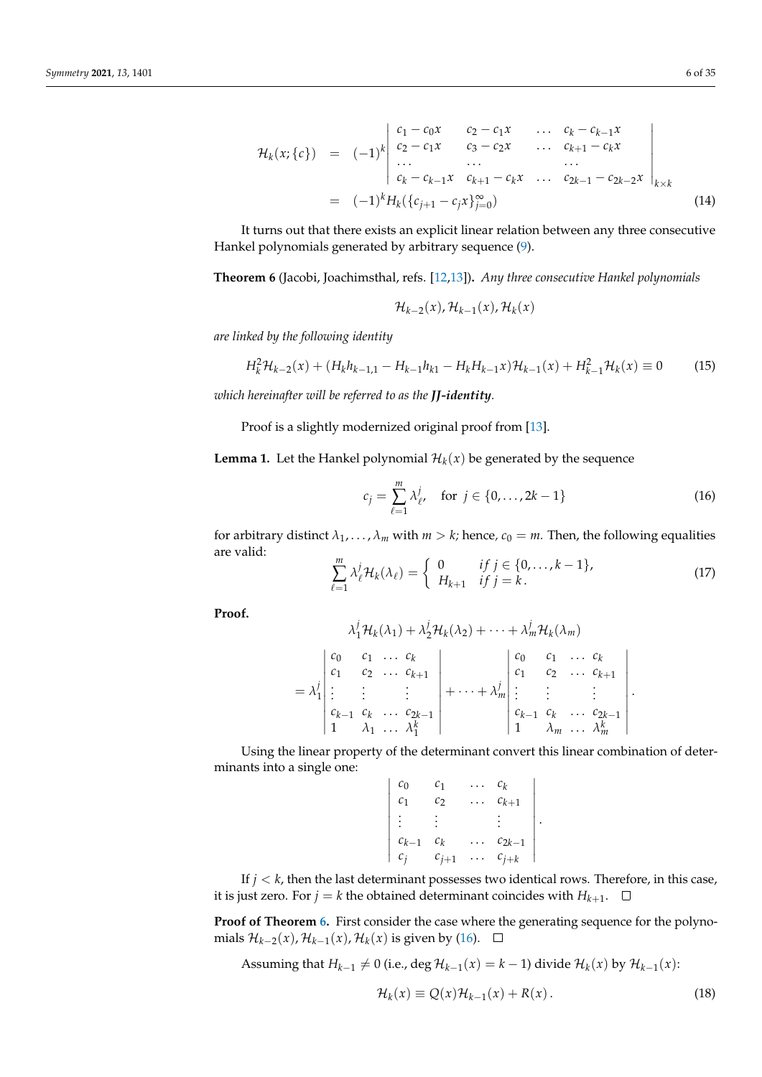<span id="page-5-5"></span>
$$
\mathcal{H}_k(x; \{c\}) = (-1)^k \begin{vmatrix} c_1 - c_0 x & c_2 - c_1 x & \dots & c_k - c_{k-1} x \\ c_2 - c_1 x & c_3 - c_2 x & \dots & c_{k+1} - c_k x \\ \dots & \dots & \dots & \dots \\ c_k - c_{k-1} x & c_{k+1} - c_k x & \dots & c_{2k-1} - c_{2k-2} x \end{vmatrix}_{k \times k}
$$
\n
$$
= (-1)^k H_k(\{c_{j+1} - c_j x\}_{j=0}^{\infty})
$$
\n(14)

It turns out that there exists an explicit linear relation between any three consecutive Hankel polynomials generated by arbitrary sequence [\(9\)](#page-4-1).

<span id="page-5-0"></span>**Theorem 6** (Jacobi, Joachimsthal, refs. [\[12](#page-33-9)[,13\]](#page-33-10))**.** *Any three consecutive Hankel polynomials*

$$
\mathcal{H}_{k-2}(x), \mathcal{H}_{k-1}(x), \mathcal{H}_k(x)
$$

*are linked by the following identity*

<span id="page-5-4"></span>
$$
H_k^2 \mathcal{H}_{k-2}(x) + (H_k h_{k-1,1} - H_{k-1} h_{k1} - H_k H_{k-1} x) \mathcal{H}_{k-1}(x) + H_{k-1}^2 \mathcal{H}_k(x) \equiv 0 \tag{15}
$$

*which hereinafter will be referred to as the JJ-identity.*

Proof is a slightly modernized original proof from [\[13\]](#page-33-10).

**Lemma 1.** Let the Hankel polynomial  $\mathcal{H}_k(x)$  be generated by the sequence

<span id="page-5-1"></span>
$$
c_j = \sum_{\ell=1}^m \lambda_{\ell}^j, \quad \text{for } j \in \{0, \dots, 2k - 1\}
$$
 (16)

.

.

for arbitrary distinct  $\lambda_1, \ldots, \lambda_m$  with  $m > k$ ; hence,  $c_0 = m$ . Then, the following equalities are valid: *m*

<span id="page-5-3"></span>
$$
\sum_{\ell=1}^{m} \lambda_{\ell}^{j} \mathcal{H}_{k}(\lambda_{\ell}) = \begin{cases} 0 & \text{if } j \in \{0, \dots, k-1\}, \\ H_{k+1} & \text{if } j = k. \end{cases}
$$
\n(17)

**Proof.**

$$
\lambda_1^j \mathcal{H}_k(\lambda_1) + \lambda_2^j \mathcal{H}_k(\lambda_2) + \cdots + \lambda_m^j \mathcal{H}_k(\lambda_m)
$$
\n
$$
= \lambda_1^j \begin{vmatrix}\nc_0 & c_1 & \cdots & c_k \\
c_1 & c_2 & \cdots & c_{k+1} \\
\vdots & \vdots & & \vdots \\
c_{k-1} & c_k & \cdots & c_{2k-1} \\
1 & \lambda_1 & \cdots & \lambda_1^k\n\end{vmatrix} + \cdots + \lambda_m^j \begin{vmatrix}\nc_0 & c_1 & \cdots & c_k \\
c_1 & c_2 & \cdots & c_{k+1} \\
\vdots & & \vdots & & \vdots \\
c_{k-1} & c_k & \cdots & c_{2k-1} \\
1 & \lambda_m & \cdots & \lambda_m^k\n\end{vmatrix}
$$

Using the linear property of the determinant convert this linear combination of determinants into a single one:

| c <sub>0</sub> | С1        | $\cdots$  | $c_k$      |
|----------------|-----------|-----------|------------|
| c <sub>1</sub> | $c_2$     | .         | $c_{k+1}$  |
| $\mathbb{R}^n$ |           |           |            |
| $c_{k-1}$      | $c_k$     |           | $c_{2k-1}$ |
| $c_j$          | $c_{j+1}$ | $\ddotsc$ | $c_{j+k}$  |

If  $j < k$ , then the last determinant possesses two identical rows. Therefore, in this case, it is just zero. For  $j = k$  the obtained determinant coincides with  $H_{k+1}$ .

**Proof of Theorem [6.](#page-5-0)** First consider the case where the generating sequence for the polynomials  $\mathcal{H}_{k-2}(x)$ ,  $\mathcal{H}_{k-1}(x)$ ,  $\mathcal{H}_k(x)$  is given by [\(16\)](#page-5-1).

<span id="page-5-2"></span>Assuming that 
$$
H_{k-1} \neq 0
$$
 (i.e.,  $\deg \mathcal{H}_{k-1}(x) = k - 1$ ) divide  $\mathcal{H}_k(x)$  by  $\mathcal{H}_{k-1}(x)$ :  

$$
\mathcal{H}_k(x) \equiv Q(x)\mathcal{H}_{k-1}(x) + R(x).
$$
 (18)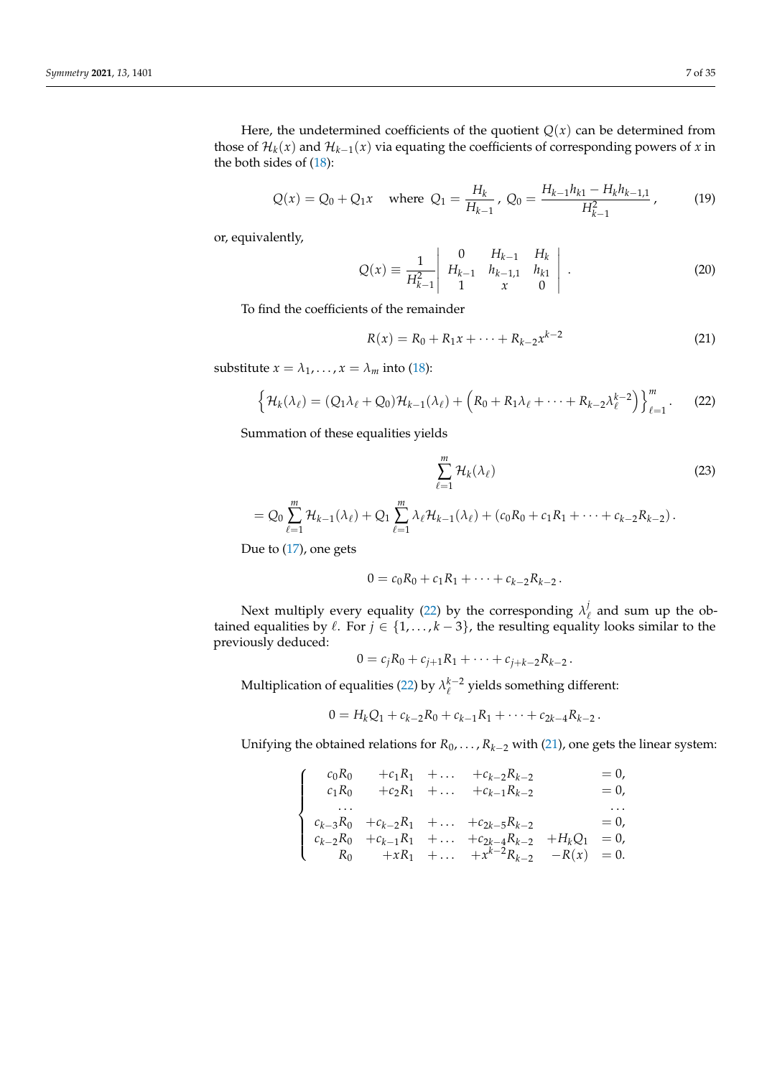Here, the undetermined coefficients of the quotient  $Q(x)$  can be determined from those of  $\mathcal{H}_k(x)$  and  $\mathcal{H}_{k-1}(x)$  via equating the coefficients of corresponding powers of *x* in the both sides of [\(18\)](#page-5-2):

<span id="page-6-2"></span>
$$
Q(x) = Q_0 + Q_1 x \quad \text{where } Q_1 = \frac{H_k}{H_{k-1}}, \ Q_0 = \frac{H_{k-1}h_{k1} - H_kh_{k-1,1}}{H_{k-1}^2}, \tag{19}
$$

or, equivalently,

$$
Q(x) \equiv \frac{1}{H_{k-1}^2} \begin{vmatrix} 0 & H_{k-1} & H_k \\ H_{k-1} & h_{k-1,1} & h_{k1} \\ 1 & x & 0 \end{vmatrix} . \tag{20}
$$

To find the coefficients of the remainder

<span id="page-6-1"></span>
$$
R(x) = R_0 + R_1 x + \dots + R_{k-2} x^{k-2}
$$
\n(21)

substitute  $x = \lambda_1, \ldots, x = \lambda_m$  into [\(18\)](#page-5-2):

<span id="page-6-0"></span>
$$
\left\{\mathcal{H}_k(\lambda_\ell)=(Q_1\lambda_\ell+Q_0)\mathcal{H}_{k-1}(\lambda_\ell)+\left(R_0+R_1\lambda_\ell+\cdots+R_{k-2}\lambda_\ell^{k-2}\right)\right\}_{\ell=1}^m.
$$
 (22)

Summation of these equalities yields

$$
\sum_{\ell=1}^{m} \mathcal{H}_k(\lambda_\ell) \tag{23}
$$

$$
= Q_0 \sum_{\ell=1}^m \mathcal{H}_{k-1}(\lambda_\ell) + Q_1 \sum_{\ell=1}^m \lambda_\ell \mathcal{H}_{k-1}(\lambda_\ell) + (c_0 R_0 + c_1 R_1 + \cdots + c_{k-2} R_{k-2}).
$$

Due to [\(17\)](#page-5-3), one gets

 $\sqrt{ }$  $\int$ 

 $\overline{\mathcal{L}}$ 

$$
0 = c_0 R_0 + c_1 R_1 + \cdots + c_{k-2} R_{k-2}.
$$

Next multiply every equality [\(22\)](#page-6-0) by the corresponding  $\lambda_i^j$  $\ell_{\ell}$  and sum up the obtained equalities by  $\ell$ . For  $j \in \{1, ..., k-3\}$ , the resulting equality looks similar to the previously deduced:

$$
0 = c_j R_0 + c_{j+1} R_1 + \cdots + c_{j+k-2} R_{k-2}.
$$

Multiplication of equalities [\(22\)](#page-6-0) by  $\lambda_{\ell}^{k-2}$  yields something different:

$$
0=H_kQ_1+c_{k-2}R_0+c_{k-1}R_1+\cdots+c_{2k-4}R_{k-2}.
$$

Unifying the obtained relations for  $R_0$ , . . . ,  $R_{k-2}$  with [\(21\)](#page-6-1), one gets the linear system:

$$
c_0R_0 + c_1R_1 + \dots + c_{k-2}R_{k-2} = 0,
$$
  
\n
$$
c_1R_0 + c_2R_1 + \dots + c_{k-1}R_{k-2} = 0,
$$
  
\n...  
\n
$$
c_{k-3}R_0 + c_{k-2}R_1 + \dots + c_{2k-5}R_{k-2} = 0,
$$
  
\n
$$
c_{k-2}R_0 + c_{k-1}R_1 + \dots + c_{2k-4}R_{k-2} + H_kQ_1 = 0,
$$
  
\n
$$
R_0 + xR_1 + \dots + x^{k-2}R_{k-2} - R(x) = 0.
$$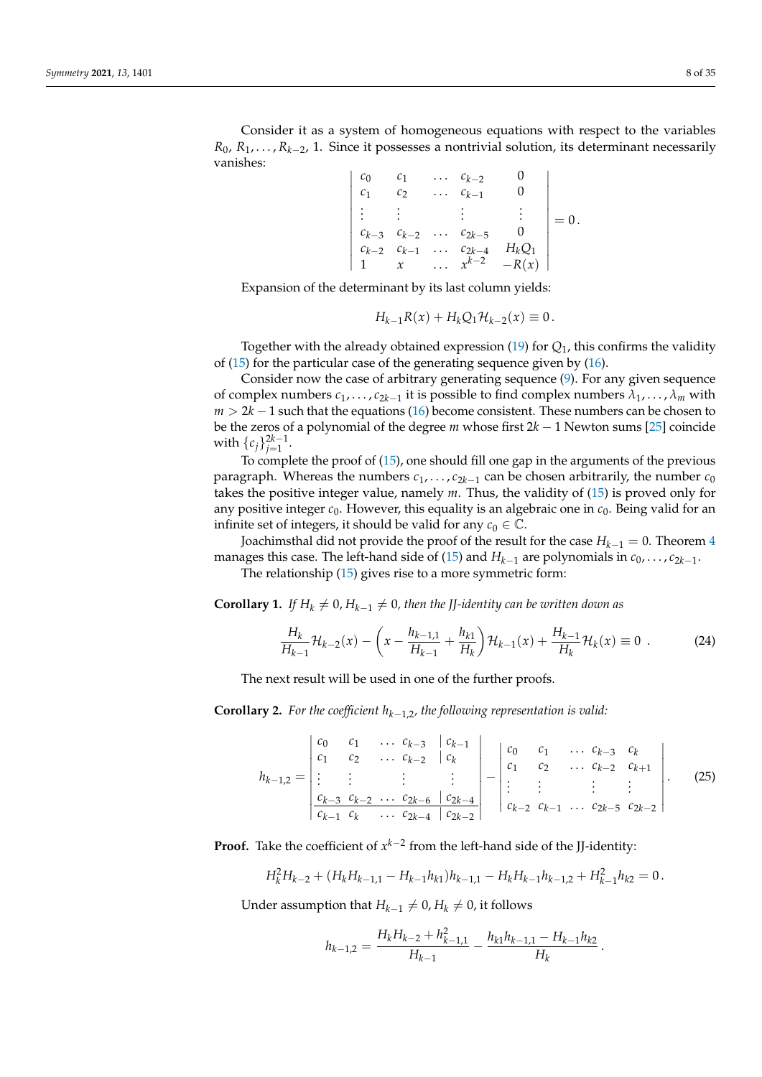Consider it as a system of homogeneous equations with respect to the variables *R*<sub>0</sub>, *R*<sub>1</sub>, . . . , *R*<sub>*k*−2</sub>, 1. Since it possesses a nontrivial solution, its determinant necessarily vanishes:

> *c*<sup>0</sup> *c*<sup>1</sup> . . . *ck*−<sup>2</sup> 0 *c*<sup>1</sup> *c*<sup>2</sup> . . . *ck*−<sup>1</sup> 0 . . . . . . . . . . . . *ck*−<sup>3</sup> *ck*−<sup>2</sup> . . . *c*2*k*−<sup>5</sup> 0  $c_{k-2}$   $c_{k-1}$  ...  $c_{2k-4}$   $H_kQ_1$ 1 *x* ...  $x^{k-2}$  −*R*(*x*)  $= 0$ .

Expansion of the determinant by its last column yields:

$$
H_{k-1}R(x) + H_k Q_1 \mathcal{H}_{k-2}(x) \equiv 0.
$$

Together with the already obtained expression [\(19\)](#page-6-2) for *Q*1, this confirms the validity of [\(15\)](#page-5-4) for the particular case of the generating sequence given by [\(16\)](#page-5-1).

Consider now the case of arbitrary generating sequence [\(9\)](#page-4-1). For any given sequence of complex numbers  $c_1, \ldots, c_{2k-1}$  it is possible to find complex numbers  $\lambda_1, \ldots, \lambda_m$  with *m* > 2*k* − 1 such that the equations [\(16\)](#page-5-1) become consistent. These numbers can be chosen to be the zeros of a polynomial of the degree *m* whose first 2*k* − 1 Newton sums [\[25\]](#page-33-22) coincide with  $\{c_j\}_{j=1}^{2k-1}$ .

To complete the proof of [\(15\)](#page-5-4), one should fill one gap in the arguments of the previous paragraph. Whereas the numbers  $c_1$ , . . . ,  $c_{2k-1}$  can be chosen arbitrarily, the number  $c_0$ takes the positive integer value, namely *m*. Thus, the validity of [\(15\)](#page-5-4) is proved only for any positive integer  $c_0$ . However, this equality is an algebraic one in  $c_0$ . Being valid for an infinite set of integers, it should be valid for any  $c_0 \in \mathbb{C}$ .

Joachimsthal did not provide the proof of the result for the case *Hk*−<sup>1</sup> = 0. Theorem [4](#page-4-3) manages this case. The left-hand side of [\(15\)](#page-5-4) and  $H_{k-1}$  are polynomials in  $c_0,\ldots,c_{2k-1}.$ 

The relationship [\(15\)](#page-5-4) gives rise to a more symmetric form:

**Corollary 1.** *If*  $H_k \neq 0$ ,  $H_{k-1} \neq 0$ , then the JJ-identity can be written down as

<span id="page-7-1"></span>
$$
\frac{H_k}{H_{k-1}}\mathcal{H}_{k-2}(x) - \left(x - \frac{h_{k-1,1}}{H_{k-1}} + \frac{h_{k,1}}{H_k}\right)\mathcal{H}_{k-1}(x) + \frac{H_{k-1}}{H_k}\mathcal{H}_k(x) \equiv 0 \tag{24}
$$

The next result will be used in one of the further proofs.

**Corollary 2.** For the coefficient  $h_{k-1,2}$ , the following representation is valid:

<span id="page-7-0"></span>
$$
h_{k-1,2} = \begin{vmatrix} c_0 & c_1 & \dots & c_{k-3} & c_{k-1} \\ c_1 & c_2 & \dots & c_{k-2} & c_k \\ \vdots & \vdots & \vdots & \vdots & \vdots \\ \frac{c_{k-3} & c_{k-2} & \dots & c_{2k-6} & c_{2k-4}}{c_{k-1} & c_k & \dots & c_{k-2}} & c_{k-1} & \dots & c_{2k-5} & c_{2k-2} \end{vmatrix} . \tag{25}
$$

**Proof.** Take the coefficient of  $x^{k-2}$  from the left-hand side of the JJ-identity:

$$
H_k^2 H_{k-2} + (H_k H_{k-1,1} - H_{k-1} h_{k1}) h_{k-1,1} - H_k H_{k-1} h_{k-1,2} + H_{k-1}^2 h_{k2} = 0.
$$

Under assumption that *H*<sub>*k*−1</sub>  $\neq$  0, *H*<sub>*k*</sub>  $\neq$  0, it follows

$$
h_{k-1,2} = \frac{H_k H_{k-2} + h_{k-1,1}^2}{H_{k-1}} - \frac{h_{k1} h_{k-1,1} - H_{k-1} h_{k2}}{H_k}.
$$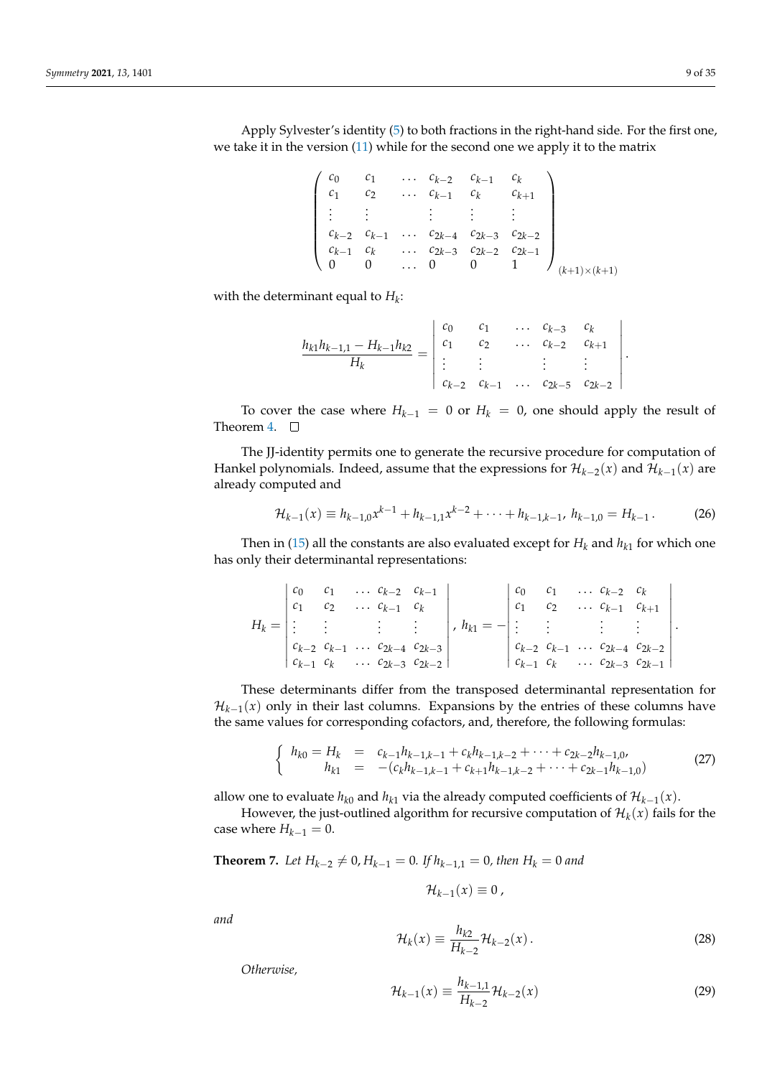Apply Sylvester's identity [\(5\)](#page-3-0) to both fractions in the right-hand side. For the first one, we take it in the version [\(11\)](#page-4-4) while for the second one we apply it to the matrix

|  |  | $c_1$ $c_{k-2}$ $c_{k-1}$ $c_k$<br>$c_2$ $c_{k-1}$ $c_k$ $c_{k+1}$ |                                                                                                                                                                                   |  |
|--|--|--------------------------------------------------------------------|-----------------------------------------------------------------------------------------------------------------------------------------------------------------------------------|--|
|  |  |                                                                    |                                                                                                                                                                                   |  |
|  |  |                                                                    | $\begin{array}{ cccccccccccc } \hline c_{k-2} & c_{k-1} & \ldots & c_{2k-4} & c_{2k-3} & c_{2k-2} \ c_{k-1} & c_k & \ldots & c_{2k-3} & c_{2k-2} & c_{2k-1} \ \hline \end{array}$ |  |
|  |  |                                                                    |                                                                                                                                                                                   |  |
|  |  | $\begin{matrix}0&0&\dots&0&0&1\end{matrix}$                        |                                                                                                                                                                                   |  |

with the determinant equal to *H<sup>k</sup>* :

$$
\frac{h_{k1}h_{k-1,1}-H_{k-1}h_{k2}}{H_k}=\begin{vmatrix}c_0 & c_1 & \dots & c_{k-3} & c_k\\ c_1 & c_2 & \dots & c_{k-2} & c_{k+1}\\ \vdots & \vdots & & \vdots & \vdots\\ c_{k-2} & c_{k-1} & \dots & c_{2k-5} & c_{2k-2}\end{vmatrix}.
$$

To cover the case where  $H_{k-1} = 0$  or  $H_k = 0$ , one should apply the result of Theorem [4.](#page-4-3)  $\square$ 

The JJ-identity permits one to generate the recursive procedure for computation of Hankel polynomials. Indeed, assume that the expressions for  $\mathcal{H}_{k-2}(x)$  and  $\mathcal{H}_{k-1}(x)$  are already computed and

$$
\mathcal{H}_{k-1}(x) \equiv h_{k-1,0}x^{k-1} + h_{k-1,1}x^{k-2} + \cdots + h_{k-1,k-1}, \quad h_{k-1,0} = H_{k-1} \,. \tag{26}
$$

Then in [\(15\)](#page-5-4) all the constants are also evaluated except for  $H_k$  and  $h_{k1}$  for which one has only their determinantal representations:

|  |                | $ c_0 \quad c_1 \quad \ldots \quad c_{k-2} \quad c_{k-1} $ |                                                            |                             |  | $\begin{array}{ccc} c_0 & c_1 & \ldots & c_{k-2} & c_k \end{array}$ |  |
|--|----------------|------------------------------------------------------------|------------------------------------------------------------|-----------------------------|--|---------------------------------------------------------------------|--|
|  | $\cdots$ $c_2$ | $\cdots$ $c_{k-1}$ $c_k$                                   |                                                            |                             |  | $ c_1 \quad c_2 \quad \ldots \quad c_{k-1} \quad c_{k+1}$           |  |
|  |                |                                                            | $H_k =   \vdots \qquad \vdots \qquad \vdots \qquad \vdots$ | , $h_{k1} = -$  : : : : : : |  |                                                                     |  |
|  |                |                                                            | $c_{k-2}$ $c_{k-1}$ $\ldots$ $c_{2k-4}$ $c_{2k-3}$         |                             |  | $c_{k-2}$ $c_{k-1}$ $\ldots$ $c_{2k-4}$ $c_{2k-2}$                  |  |
|  |                |                                                            | $c_{k-1}$ $c_k$ $\cdots$ $c_{2k-3}$ $c_{2k-2}$             |                             |  | $c_{k-1}$ $c_k$ $\ldots$ $c_{2k-3}$ $c_{2k-1}$                      |  |

These determinants differ from the transposed determinantal representation for  $\mathcal{H}_{k-1}(x)$  only in their last columns. Expansions by the entries of these columns have the same values for corresponding cofactors, and, therefore, the following formulas:

<span id="page-8-3"></span>
$$
\begin{cases}\nh_{k0} = H_k = c_{k-1}h_{k-1,k-1} + c_kh_{k-1,k-2} + \cdots + c_{2k-2}h_{k-1,0}, \\
h_{k1} = -(c_kh_{k-1,k-1} + c_{k+1}h_{k-1,k-2} + \cdots + c_{2k-1}h_{k-1,0})\n\end{cases}
$$
\n(27)

allow one to evaluate  $h_{k0}$  and  $h_{k1}$  via the already computed coefficients of  $\mathcal{H}_{k-1}(x)$ .

However, the just-outlined algorithm for recursive computation of  $\mathcal{H}_k(x)$  fails for the case where  $H_{k-1} = 0$ .

<span id="page-8-2"></span>**Theorem 7.** *Let*  $H_{k-2} \neq 0$ ,  $H_{k-1} = 0$ . *If*  $h_{k-1,1} = 0$ , *then*  $H_k = 0$  *and* 

$$
\mathcal{H}_{k-1}(x)\equiv 0,
$$

*and*

<span id="page-8-0"></span>
$$
\mathcal{H}_k(x) \equiv \frac{h_{k2}}{H_{k-2}} \mathcal{H}_{k-2}(x).
$$
 (28)

*Otherwise,*

<span id="page-8-1"></span>
$$
\mathcal{H}_{k-1}(x) \equiv \frac{h_{k-1,1}}{H_{k-2}} \mathcal{H}_{k-2}(x) \tag{29}
$$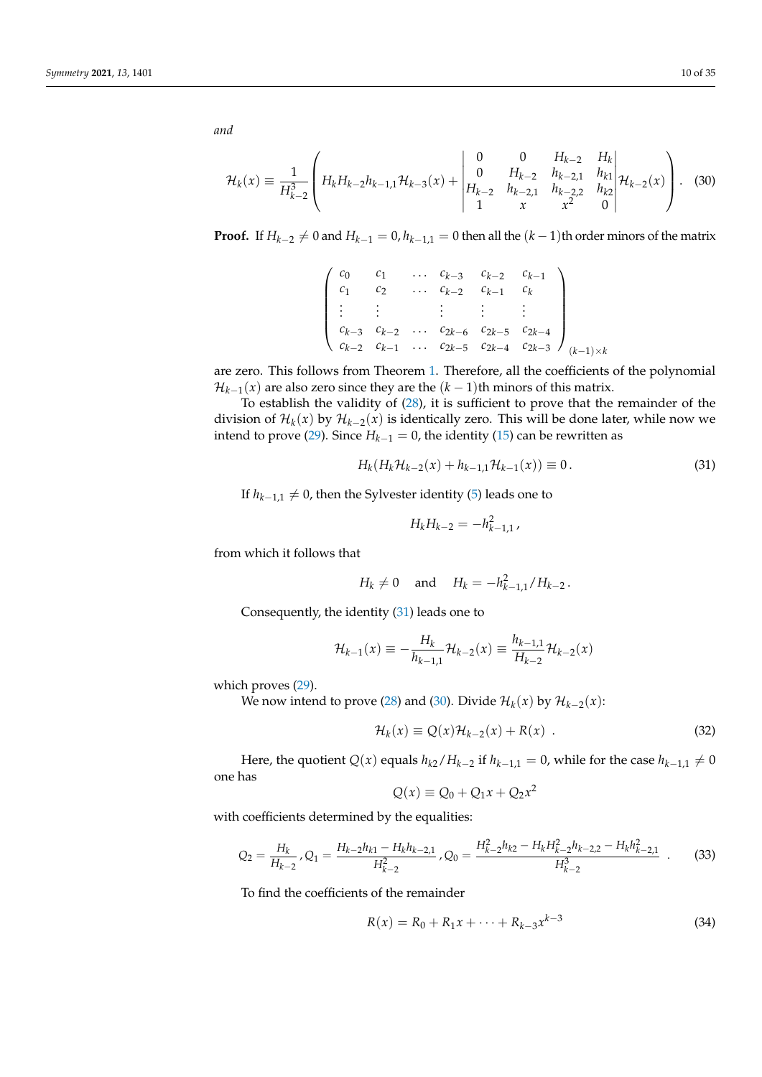*and*

<span id="page-9-1"></span>
$$
\mathcal{H}_k(x) \equiv \frac{1}{H_{k-2}^3} \left( H_k H_{k-2} h_{k-1,1} \mathcal{H}_{k-3}(x) + \begin{vmatrix} 0 & 0 & H_{k-2} & H_k \\ 0 & H_{k-2} & h_{k-2,1} & h_{k1} \\ H_{k-2} & h_{k-2,1} & h_{k-2,2} & h_{k2} \\ 1 & x & x^2 & 0 \end{vmatrix} \mathcal{H}_{k-2}(x) \right). \tag{30}
$$

**Proof.** If  $H_{k-2} \neq 0$  and  $H_{k-1} = 0$ ,  $h_{k-1,1} = 0$  then all the  $(k-1)$ th order minors of the matrix

$$
\begin{pmatrix} c_0 & c_1 & \dots & c_{k-3} & c_{k-2} & c_{k-1} \\ c_1 & c_2 & \dots & c_{k-2} & c_{k-1} & c_k \\ \vdots & \vdots & \vdots & \vdots & \vdots & \vdots \\ c_{k-3} & c_{k-2} & \dots & c_{2k-6} & c_{2k-5} & c_{2k-4} \\ c_{k-2} & c_{k-1} & \dots & c_{2k-5} & c_{2k-4} & c_{2k-3} \end{pmatrix}_{(k-1)\times k}
$$

are zero. This follows from Theorem [1.](#page-2-0) Therefore, all the coefficients of the polynomial  $\mathcal{H}_{k-1}(x)$  are also zero since they are the  $(k-1)$ th minors of this matrix.

To establish the validity of [\(28\)](#page-8-0), it is sufficient to prove that the remainder of the division of  $\mathcal{H}_k(x)$  by  $\mathcal{H}_{k-2}(x)$  is identically zero. This will be done later, while now we intend to prove [\(29\)](#page-8-1). Since  $H_{k-1} = 0$ , the identity [\(15\)](#page-5-4) can be rewritten as

<span id="page-9-0"></span>
$$
H_k(H_k \mathcal{H}_{k-2}(x) + h_{k-1,1} \mathcal{H}_{k-1}(x)) \equiv 0.
$$
\n(31)

If  $h_{k-1,1}$  ≠ 0, then the Sylvester identity [\(5\)](#page-3-0) leads one to

$$
H_k H_{k-2} = -h_{k-1,1}^2,
$$

from which it follows that

$$
H_k \neq 0
$$
 and  $H_k = -h_{k-1,1}^2/H_{k-2}$ .

Consequently, the identity [\(31\)](#page-9-0) leads one to

$$
\mathcal{H}_{k-1}(x) \equiv -\frac{H_k}{h_{k-1,1}} \mathcal{H}_{k-2}(x) \equiv \frac{h_{k-1,1}}{H_{k-2}} \mathcal{H}_{k-2}(x)
$$

which proves [\(29\)](#page-8-1).

We now intend to prove [\(28\)](#page-8-0) and [\(30\)](#page-9-1). Divide  $\mathcal{H}_k(x)$  by  $\mathcal{H}_{k-2}(x)$ :

<span id="page-9-2"></span>
$$
\mathcal{H}_k(x) \equiv Q(x)\mathcal{H}_{k-2}(x) + R(x) \tag{32}
$$

Here, the quotient  $Q(x)$  equals  $h_{k2}/H_{k-2}$  if  $h_{k-1,1} = 0$ , while for the case  $h_{k-1,1} \neq 0$ one has

$$
Q(x) \equiv Q_0 + Q_1 x + Q_2 x^2
$$

with coefficients determined by the equalities:

<span id="page-9-4"></span>
$$
Q_2 = \frac{H_k}{H_{k-2}}, Q_1 = \frac{H_{k-2}h_{k1} - H_kh_{k-2,1}}{H_{k-2}^2}, Q_0 = \frac{H_{k-2}^2h_{k2} - H_kH_{k-2}^2h_{k-2,2} - H_kh_{k-2,1}^2}{H_{k-2}^3} \tag{33}
$$

To find the coefficients of the remainder

<span id="page-9-3"></span>
$$
R(x) = R_0 + R_1 x + \dots + R_{k-3} x^{k-3}
$$
\n(34)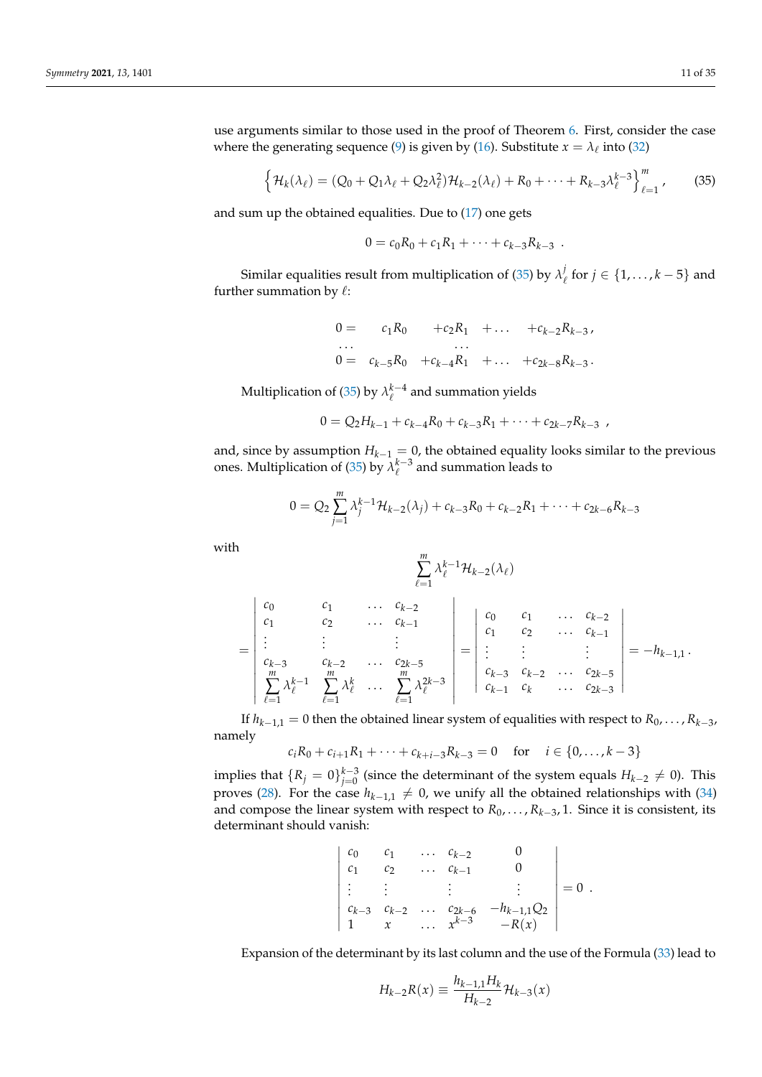<span id="page-10-0"></span>
$$
\left\{ \mathcal{H}_{k}(\lambda_{\ell}) = (Q_{0} + Q_{1}\lambda_{\ell} + Q_{2}\lambda_{\ell}^{2})\mathcal{H}_{k-2}(\lambda_{\ell}) + R_{0} + \cdots + R_{k-3}\lambda_{\ell}^{k-3} \right\}_{\ell=1}^{m},
$$
 (35)

and sum up the obtained equalities. Due to [\(17\)](#page-5-3) one gets

$$
0 = c_0 R_0 + c_1 R_1 + \cdots + c_{k-3} R_{k-3} .
$$

Similar equalities result from multiplication of [\(35\)](#page-10-0) by  $\lambda_{I}^{j}$  $\mathcal{L}_{\ell}$  for  $j \in \{1, \ldots, k-5\}$  and further summation by  $\ell$ :

$$
0 = c_1 R_0 + c_2 R_1 + \dots + c_{k-2} R_{k-3},
$$
  
\n...  
\n
$$
0 = c_{k-5} R_0 + c_{k-4} R_1 + \dots + c_{2k-8} R_{k-3}.
$$

Multiplication of [\(35\)](#page-10-0) by  $\lambda_{\ell}^{k-4}$  and summation yields

$$
0 = Q_2 H_{k-1} + c_{k-4} R_0 + c_{k-3} R_1 + \cdots + c_{2k-7} R_{k-3} ,
$$

and, since by assumption  $H_{k-1} = 0$ , the obtained equality looks similar to the previous ones. Multiplication of [\(35\)](#page-10-0) by  $\lambda_{\ell}^{k-3}$  and summation leads to

$$
0 = Q_2 \sum_{j=1}^{m} \lambda_j^{k-1} \mathcal{H}_{k-2}(\lambda_j) + c_{k-3} R_0 + c_{k-2} R_1 + \cdots + c_{2k-6} R_{k-3}
$$

with

$$
\sum_{\ell=1}^m \lambda_\ell^{k-1}\mathcal{H}_{k-2}(\lambda_\ell)
$$

$$
= \begin{vmatrix} c_0 & c_1 & \dots & c_{k-2} \\ c_1 & c_2 & \dots & c_{k-1} \\ \vdots & \vdots & & \vdots \\ c_{k-3} & c_{k-2} & \dots & c_{2k-5} \\ \sum_{\ell=1}^m \lambda_{\ell}^{k-1} & \sum_{\ell=1}^m \lambda_{\ell}^k & \dots & \sum_{\ell=1}^m \lambda_{\ell}^{2k-3} \end{vmatrix} = \begin{vmatrix} c_0 & c_1 & \dots & c_{k-2} \\ c_1 & c_2 & \dots & c_{k-1} \\ \vdots & \vdots & & \vdots \\ c_{k-3} & c_{k-2} & \dots & c_{2k-5} \\ c_{k-1} & c_k & \dots & c_{2k-3} \end{vmatrix} = -h_{k-1,1}.
$$

If  $h_{k-1,1} = 0$  then the obtained linear system of equalities with respect to  $R_0, \ldots, R_{k-3}$ , namely

$$
c_i R_0 + c_{i+1} R_1 + \dots + c_{k+i-3} R_{k-3} = 0 \quad \text{for} \quad i \in \{0, \dots, k-3\}
$$

implies that  $\{R_j = 0\}_{j=0}^{k-3}$  (since the determinant of the system equals  $H_{k-2} \neq 0$ ). This proves [\(28\)](#page-8-0). For the case  $h_{k-1,1} \neq 0$ , we unify all the obtained relationships with [\(34\)](#page-9-3) and compose the linear system with respect to *R*0, . . . , *Rk*−<sup>3</sup> , 1. Since it is consistent, its determinant should vanish:

$$
\begin{vmatrix} c_0 & c_1 & \dots & c_{k-2} & 0 \\ c_1 & c_2 & \dots & c_{k-1} & 0 \\ \vdots & \vdots & & \vdots & \vdots \\ c_{k-3} & c_{k-2} & \dots & c_{2k-6} & -h_{k-1,1}Q_2 \\ 1 & x & \dots & x^{k-3} & -R(x) \end{vmatrix} = 0.
$$

Expansion of the determinant by its last column and the use of the Formula [\(33\)](#page-9-4) lead to

$$
H_{k-2}R(x) \equiv \frac{h_{k-1,1}H_k}{H_{k-2}}\mathcal{H}_{k-3}(x)
$$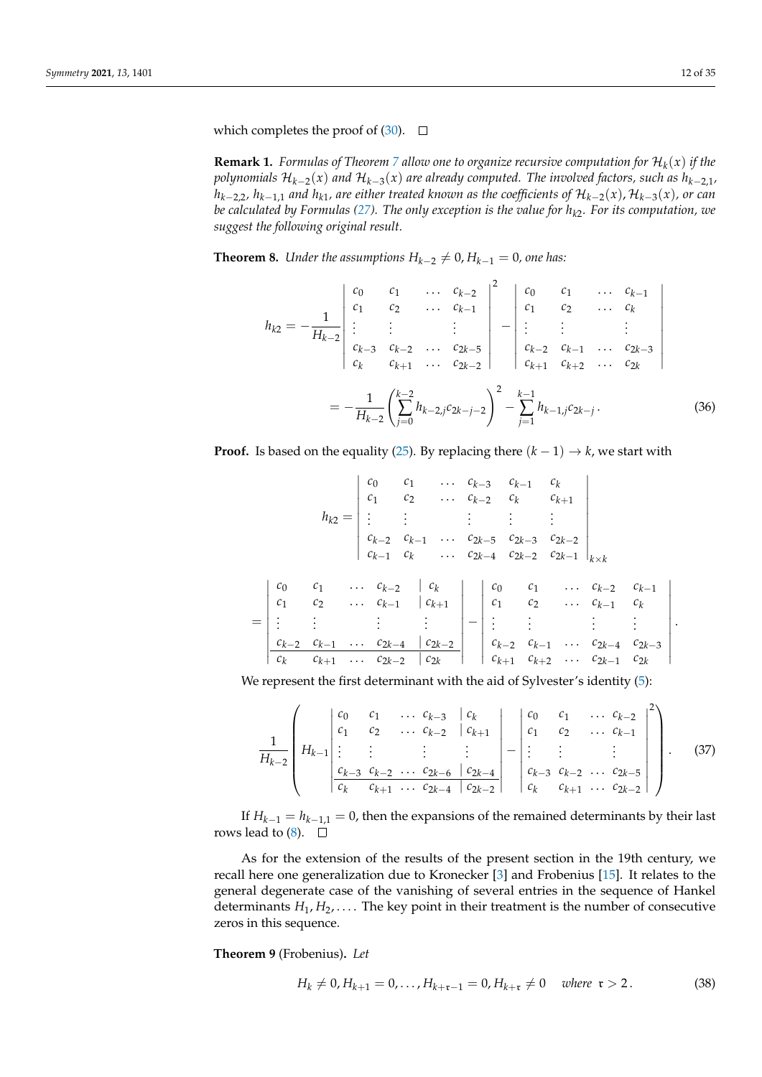which completes the proof of  $(30)$ .  $\square$ 

**Remark 1.** Formulas of Theorem [7](#page-8-2) allow one to organize recursive computation for  $\mathcal{H}_k(x)$  if the *polynomials* H*k*−<sup>2</sup> (*x*) *and* H*k*−<sup>3</sup> (*x*) *are already computed. The involved factors, such as hk*−2,1*,*  $h_{k-2,2}$ ,  $h_{k-1,1}$  and  $h_{k1}$ , are either treated known as the coefficients of  $\mathcal{H}_{k-2}(x)$ ,  $\mathcal{H}_{k-3}(x)$ , or can *be calculated by Formulas [\(27\)](#page-8-3). The only exception is the value for hk*<sup>2</sup> *. For its computation, we suggest the following original result.*

<span id="page-11-0"></span>**Theorem 8.** *Under the assumptions*  $H_{k-2} \neq 0$ ,  $H_{k-1} = 0$ , one has:

<span id="page-11-1"></span>
$$
h_{k2} = -\frac{1}{H_{k-2}} \begin{vmatrix} c_0 & c_1 & \dots & c_{k-2} \\ c_1 & c_2 & \dots & c_{k-1} \\ \vdots & \vdots & & \vdots \\ c_{k-3} & c_{k-2} & \dots & c_{2k-5} \\ c_k & c_{k+1} & \dots & c_{2k-2} \end{vmatrix}^{-2} - \begin{vmatrix} c_0 & c_1 & \dots & c_{k-1} \\ c_1 & c_2 & \dots & c_k \\ \vdots & \vdots & & \vdots \\ c_{k-2} & c_{k-1} & \dots & c_{2k-3} \\ c_{k+1} & c_{k+2} & \dots & c_{2k} \end{vmatrix}
$$

$$
= -\frac{1}{H_{k-2}} \left( \sum_{j=0}^{k-2} h_{k-2,j} c_{2k-j-2} \right)^2 - \sum_{j=1}^{k-1} h_{k-1,j} c_{2k-j}.
$$
(36)

**Proof.** Is based on the equality [\(25\)](#page-7-0). By replacing there  $(k - 1) \rightarrow k$ , we start with

$$
h_{k2} = \begin{vmatrix} c_0 & c_1 & \dots & c_{k-3} & c_{k-1} & c_k \\ c_1 & c_2 & \dots & c_{k-2} & c_k & c_{k+1} \\ \vdots & \vdots & \vdots & \vdots & \vdots & \vdots \\ c_{k-2} & c_{k-1} & \dots & c_{2k-5} & c_{2k-3} & c_{2k-2} \\ c_{k-1} & c_k & \dots & c_{2k-4} & c_{2k-2} & c_{2k-1} \end{vmatrix}_{k \times k}
$$

$$
= \begin{vmatrix} c_0 & c_1 & \dots & c_{k-2} & c_k \\ c_1 & c_2 & \dots & c_{k-1} & c_{k+1} \\ \vdots & \vdots & \vdots & \vdots & \vdots \\ c_{k-2} & c_{k-1} & \dots & c_{2k-4} & c_{2k-2} \\ \hline c_k & c_{k+1} & \dots & c_{2k-2} & c_{2k} \end{vmatrix} = \begin{vmatrix} c_0 & c_1 & \dots & c_{k-2} & c_{k-1} \\ c_1 & c_2 & \dots & c_{k-1} & c_k \\ \vdots & \vdots & \vdots & \vdots & \vdots \\ c_{k-2} & c_{k-1} & \dots & c_{2k-3} \\ c_{k+1} & c_{k+2} & \dots & c_{2k-1} & c_{2k} \end{vmatrix}.
$$

We represent the first determinant with the aid of Sylvester's identity [\(5\)](#page-3-0):

$$
\frac{1}{H_{k-2}}\left(H_{k-1}\left|\begin{array}{cccccc}c_{0}&c_{1}&\ldots&c_{k-3}&|c_{k}\\c_{1}&c_{2}&\ldots&c_{k-2}&|c_{k+1}\\ \vdots&\vdots&\vdots&\vdots\\c_{k-3}&c_{k-2}&\ldots&c_{2k-6}&|c_{2k-4}\\c_{k}&c_{k+1}&\ldots&c_{2k-4}&|c_{2k-2}\end{array}\right|\begin{array}{c}c_{0}&c_{1}&\ldots&c_{k-2}\\c_{1}&c_{2}&\ldots&c_{k-1}\\ \vdots&\vdots&\vdots\\c_{k-3}&c_{k-2}&\ldots&c_{2k-5}\\c_{k}&c_{k+1}&\ldots&c_{2k-2}\end{array}\right|^{2}\right).
$$
(37)

If  $H_{k-1} = h_{k-1,1} = 0$ , then the expansions of the remained determinants by their last rows lead to  $(8)$ .  $\Box$ 

As for the extension of the results of the present section in the 19th century, we recall here one generalization due to Kronecker [\[3\]](#page-33-2) and Frobenius [\[15\]](#page-33-12). It relates to the general degenerate case of the vanishing of several entries in the sequence of Hankel determinants  $H_1, H_2, \ldots$ . The key point in their treatment is the number of consecutive zeros in this sequence.

<span id="page-11-2"></span>**Theorem 9** (Frobenius)**.** *Let*

$$
H_k \neq 0, H_{k+1} = 0, \dots, H_{k+\mathfrak{r}-1} = 0, H_{k+\mathfrak{r}} \neq 0 \quad \text{where } \mathfrak{r} > 2. \tag{38}
$$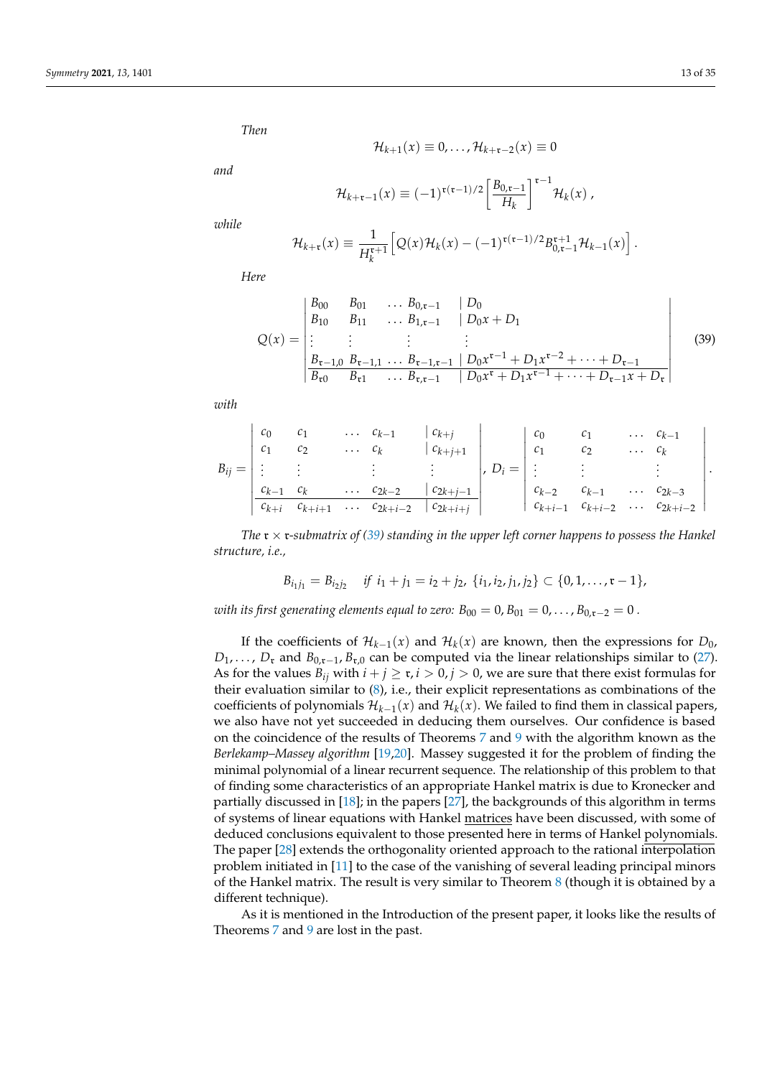*Then*

$$
\mathcal{H}_{k+1}(x) \equiv 0, \ldots, \mathcal{H}_{k+\mathfrak{r}-2}(x) \equiv 0
$$

*and*

$$
\mathcal{H}_{k+\mathfrak{r}-1}(x) \equiv (-1)^{\mathfrak{r}(\mathfrak{r}-1)/2} \left[ \frac{B_{0,\mathfrak{r}-1}}{H_k} \right]^{\mathfrak{r}-1} \mathcal{H}_k(x) ,
$$

*while*

$$
\mathcal{H}_{k+\mathfrak{r}}(x) \equiv \frac{1}{H_k^{\mathfrak{r}+1}} \Big[ Q(x) \mathcal{H}_k(x) - (-1)^{\mathfrak{r}(\mathfrak{r}-1)/2} B_{0,\mathfrak{r}-1}^{\mathfrak{r}+1} \mathcal{H}_{k-1}(x) \Big].
$$

*Here*

<span id="page-12-0"></span>
$$
Q(x) = \begin{vmatrix} B_{00} & B_{01} & \dots & B_{0,\mathfrak{r}-1} & |D_0 \\ B_{10} & B_{11} & \dots & B_{1,\mathfrak{r}-1} & |D_0x + D_1 \\ \vdots & \vdots & \vdots & \vdots \\ B_{\mathfrak{r}-1,0} & B_{\mathfrak{r}-1,1} & \dots & B_{\mathfrak{r}-1,\mathfrak{r}-1} & |D_0x^{\mathfrak{r}-1} + D_1x^{\mathfrak{r}-2} + \dots + D_{\mathfrak{r}-1} \\ B_{\mathfrak{r}0} & B_{\mathfrak{r}1} & \dots & B_{\mathfrak{r},\mathfrak{r}-1} & |D_0x^{\mathfrak{r}} + D_1x^{\mathfrak{r}-1} + \dots + D_{\mathfrak{r}-1}x + D_{\mathfrak{r}} \end{vmatrix}
$$
(39)

*with*

$$
B_{ij} = \begin{vmatrix} c_0 & c_1 & \dots & c_{k-1} & c_{k+j} \\ c_1 & c_2 & \dots & c_k & c_{k+j+1} \\ \vdots & \vdots & \vdots & \vdots & \vdots \\ c_{k-1} & c_k & \dots & c_{2k-2} & c_{2k+j-1} \\ \hline c_{k+i} & c_{k+i+1} & \dots & c_{2k+i-2} & c_{2k+i+j} \end{vmatrix}, D_i = \begin{vmatrix} c_0 & c_1 & \dots & c_{k-1} \\ c_1 & c_2 & \dots & c_k \\ \vdots & \vdots & \vdots & \vdots \\ c_{k-2} & c_{k-1} & \dots & c_{2k-3} \\ c_{k+i-1} & c_{k+i-2} & \dots & c_{2k+i-2} \end{vmatrix}.
$$

*The* r × r*-submatrix of [\(39\)](#page-12-0) standing in the upper left corner happens to possess the Hankel structure, i.e.,*

$$
B_{i_1j_1}=B_{i_2j_2} \quad \text{if } i_1+j_1=i_2+j_2, \{i_1,i_2,j_1,j_2\}\subset \{0,1,\ldots,\mathfrak{r}-1\},
$$

*with its first generating elements equal to zero:*  $B_{00} = 0$ ,  $B_{01} = 0$ , ...,  $B_{0,x-2} = 0$ .

If the coefficients of  $\mathcal{H}_{k-1}(x)$  and  $\mathcal{H}_k(x)$  are known, then the expressions for  $D_0$ ,  $D_1, \ldots, D_r$  and  $B_{0,r-1}, B_{r,0}$  can be computed via the linear relationships similar to [\(27\)](#page-8-3). As for the values  $B_{ij}$  with  $i + j \geq r$ ,  $i > 0$ ,  $j > 0$ , we are sure that there exist formulas for their evaluation similar to [\(8\)](#page-11-1), i.e., their explicit representations as combinations of the coefficients of polynomials  $\mathcal{H}_{k-1}(x)$  and  $\mathcal{H}_k(x)$ . We failed to find them in classical papers, we also have not yet succeeded in deducing them ourselves. Our confidence is based on the coincidence of the results of Theorems [7](#page-8-2) and [9](#page-11-2) with the algorithm known as the *Berlekamp–Massey algorithm* [\[19,](#page-33-15)[20\]](#page-33-16). Massey suggested it for the problem of finding the minimal polynomial of a linear recurrent sequence. The relationship of this problem to that of finding some characteristics of an appropriate Hankel matrix is due to Kronecker and partially discussed in [\[18\]](#page-33-14); in the papers [\[27\]](#page-33-25), the backgrounds of this algorithm in terms of systems of linear equations with Hankel matrices have been discussed, with some of deduced conclusions equivalent to those presented here in terms of Hankel polynomials. The paper [\[28\]](#page-33-26) extends the orthogonality oriented approach to the rational interpolation problem initiated in [\[11\]](#page-33-8) to the case of the vanishing of several leading principal minors of the Hankel matrix. The result is very similar to Theorem  $8$  (though it is obtained by a different technique).

As it is mentioned in the Introduction of the present paper, it looks like the results of Theorems [7](#page-8-2) and [9](#page-11-2) are lost in the past.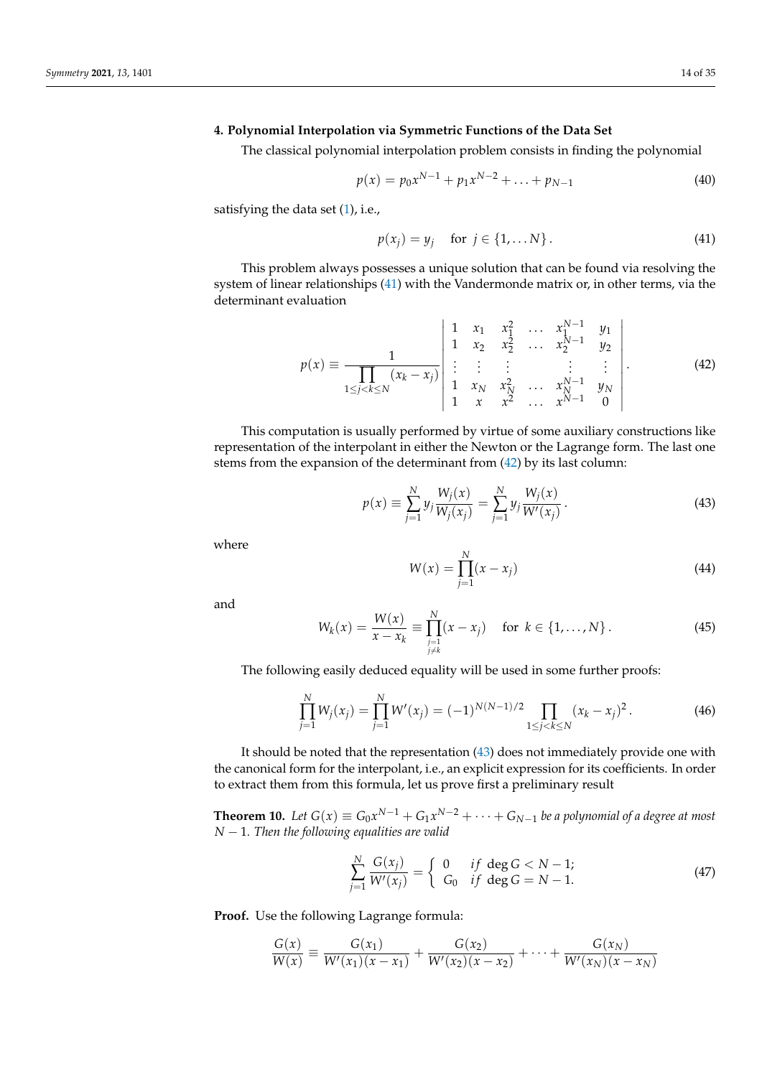## <span id="page-13-0"></span>**4. Polynomial Interpolation via Symmetric Functions of the Data Set**

The classical polynomial interpolation problem consists in finding the polynomial

<span id="page-13-5"></span>
$$
p(x) = p_0 x^{N-1} + p_1 x^{N-2} + \dots + p_{N-1}
$$
\n(40)

satisfying the data set [\(1\)](#page-0-0), i.e.,

<span id="page-13-1"></span>
$$
p(x_j) = y_j \quad \text{for } j \in \{1, \dots N\}.
$$
 (41)

This problem always possesses a unique solution that can be found via resolving the system of linear relationships [\(41\)](#page-13-1) with the Vandermonde matrix or, in other terms, via the determinant evaluation

<span id="page-13-2"></span>
$$
p(x) \equiv \frac{1}{\prod_{1 \le j < k \le N} (x_k - x_j)} \begin{vmatrix} 1 & x_1 & x_1^2 & \dots & x_1^{N-1} & y_1 \\ 1 & x_2 & x_2^2 & \dots & x_2^{N-1} & y_2 \\ \vdots & \vdots & \vdots & \vdots & \vdots \\ 1 & x_N & x_N^2 & \dots & x_N^{N-1} & y_N \\ 1 & x & x^2 & \dots & x^{N-1} & 0 \end{vmatrix} . \tag{42}
$$

This computation is usually performed by virtue of some auxiliary constructions like representation of the interpolant in either the Newton or the Lagrange form. The last one stems from the expansion of the determinant from [\(42\)](#page-13-2) by its last column:

<span id="page-13-3"></span>
$$
p(x) \equiv \sum_{j=1}^{N} y_j \frac{W_j(x)}{W_j(x_j)} = \sum_{j=1}^{N} y_j \frac{W_j(x)}{W'(x_j)}.
$$
 (43)

where

<span id="page-13-8"></span>
$$
W(x) = \prod_{j=1}^{N} (x - x_j)
$$
\n(44)

and

<span id="page-13-7"></span>
$$
W_k(x) = \frac{W(x)}{x - x_k} \equiv \prod_{\substack{j=1 \ j \neq k}}^N (x - x_j) \quad \text{for } k \in \{1, ..., N\}.
$$
 (45)

The following easily deduced equality will be used in some further proofs:

<span id="page-13-6"></span>
$$
\prod_{j=1}^{N} W_j(x_j) = \prod_{j=1}^{N} W'(x_j) = (-1)^{N(N-1)/2} \prod_{1 \le j < k \le N} (x_k - x_j)^2. \tag{46}
$$

It should be noted that the representation [\(43\)](#page-13-3) does not immediately provide one with the canonical form for the interpolant, i.e., an explicit expression for its coefficients. In order to extract them from this formula, let us prove first a preliminary result

<span id="page-13-9"></span>**Theorem 10.** Let  $G(x) \equiv G_0 x^{N-1} + G_1 x^{N-2} + \cdots + G_{N-1}$  be a polynomial of a degree at most *N* − 1*. Then the following equalities are valid*

<span id="page-13-4"></span>
$$
\sum_{j=1}^{N} \frac{G(x_j)}{W'(x_j)} = \begin{cases} 0 & \text{if } \deg G < N-1; \\ G_0 & \text{if } \deg G = N-1. \end{cases} \tag{47}
$$

**Proof.** Use the following Lagrange formula:

$$
\frac{G(x)}{W(x)} \equiv \frac{G(x_1)}{W'(x_1)(x-x_1)} + \frac{G(x_2)}{W'(x_2)(x-x_2)} + \cdots + \frac{G(x_N)}{W'(x_N)(x-x_N)}
$$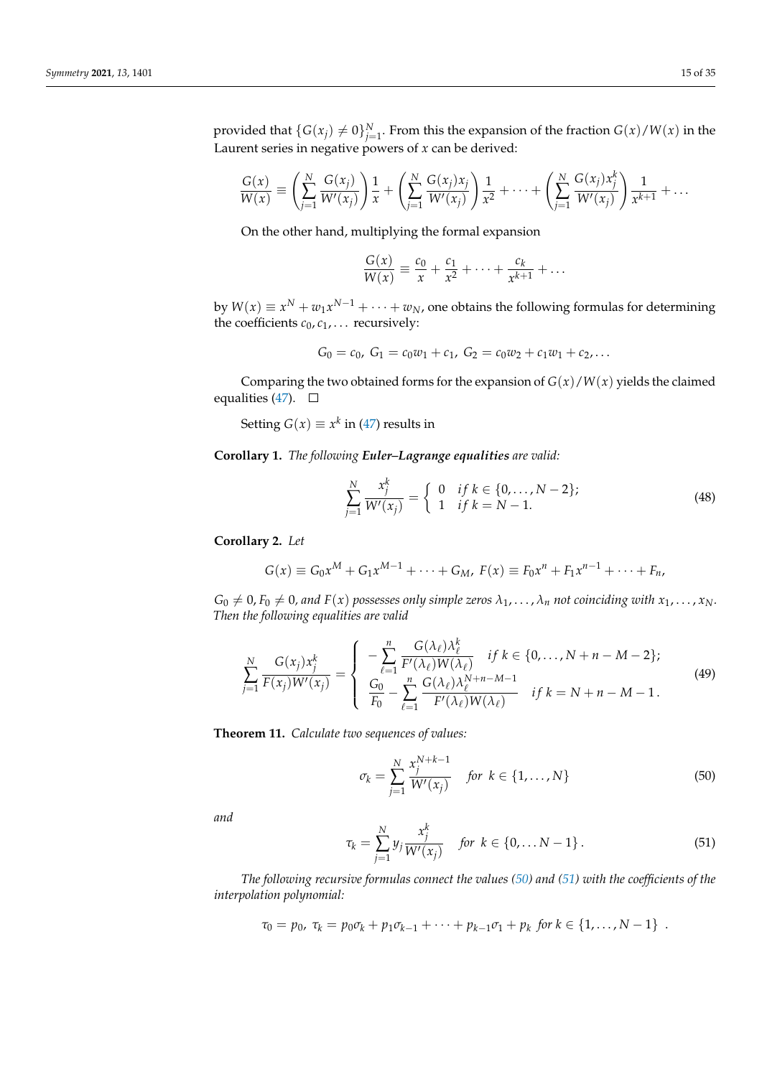provided that  $\{G(x_j) \neq 0\}_{j=1}^N$ . From this the expansion of the fraction  $G(x)/W(x)$  in the Laurent series in negative powers of *x* can be derived:

$$
\frac{G(x)}{W(x)} \equiv \left( \sum_{j=1}^{N} \frac{G(x_j)}{W'(x_j)} \right) \frac{1}{x} + \left( \sum_{j=1}^{N} \frac{G(x_j) x_j}{W'(x_j)} \right) \frac{1}{x^2} + \dots + \left( \sum_{j=1}^{N} \frac{G(x_j) x_j^{k}}{W'(x_j)} \right) \frac{1}{x^{k+1}} + \dots
$$

On the other hand, multiplying the formal expansion

$$
\frac{G(x)}{W(x)} \equiv \frac{c_0}{x} + \frac{c_1}{x^2} + \cdots + \frac{c_k}{x^{k+1}} + \ldots
$$

by  $W(x) \equiv x^N + w_1 x^{N-1} + \cdots + w_N$ , one obtains the following formulas for determining the coefficients  $c_0$ ,  $c_1$ , . . . recursively:

$$
G_0 = c_0, G_1 = c_0 w_1 + c_1, G_2 = c_0 w_2 + c_1 w_1 + c_2, \ldots
$$

Comparing the two obtained forms for the expansion of  $G(x)/W(x)$  yields the claimed equalities [\(47\)](#page-13-4).  $\square$ 

Setting  $G(x) \equiv x^k$  in [\(47\)](#page-13-4) results in

**Corollary 1.** *The following Euler–Lagrange equalities are valid:*

<span id="page-14-2"></span>
$$
\sum_{j=1}^{N} \frac{x_j^k}{W'(x_j)} = \begin{cases} 0 & \text{if } k \in \{0, \dots, N-2\}; \\ 1 & \text{if } k = N-1. \end{cases}
$$
\n(48)

**Corollary 2.** *Let*

$$
G(x) \equiv G_0 x^M + G_1 x^{M-1} + \dots + G_M, \ F(x) \equiv F_0 x^n + F_1 x^{n-1} + \dots + F_n,
$$

 $G_0 \neq 0$ ,  $F_0 \neq 0$ , and  $F(x)$  possesses only simple zeros  $\lambda_1, \ldots, \lambda_n$  not coinciding with  $x_1, \ldots, x_N$ . *Then the following equalities are valid*

<span id="page-14-4"></span>
$$
\sum_{j=1}^{N} \frac{G(x_j) x_j^k}{F(x_j) W'(x_j)} = \begin{cases}\n-\sum_{\ell=1}^{n} \frac{G(\lambda_{\ell}) \lambda_{\ell}^k}{F'(\lambda_{\ell}) W(\lambda_{\ell})} & if k \in \{0, ..., N + n - M - 2\}; \\
\frac{G_0}{F_0} - \sum_{\ell=1}^{n} \frac{G(\lambda_{\ell}) \lambda_{\ell}^{N+n-M-1}}{F'(\lambda_{\ell}) W(\lambda_{\ell})} & if k = N + n - M - 1.\n\end{cases}
$$
\n(49)

<span id="page-14-3"></span>**Theorem 11.** *Calculate two sequences of values:*

<span id="page-14-0"></span>
$$
\sigma_k = \sum_{j=1}^{N} \frac{x_j^{N+k-1}}{W'(x_j)} \quad \text{for } k \in \{1, ..., N\}
$$
 (50)

*and*

<span id="page-14-1"></span>
$$
\tau_k = \sum_{j=1}^N y_j \frac{x_j^k}{W'(x_j)} \quad \text{for } k \in \{0, \dots N - 1\} \,.
$$
 (51)

*The following recursive formulas connect the values [\(50\)](#page-14-0) and [\(51\)](#page-14-1) with the coefficients of the interpolation polynomial:*

$$
\tau_0 = p_0, \; \tau_k = p_0 \sigma_k + p_1 \sigma_{k-1} + \cdots + p_{k-1} \sigma_1 + p_k \; \text{for } k \in \{1, \ldots, N-1\} \; .
$$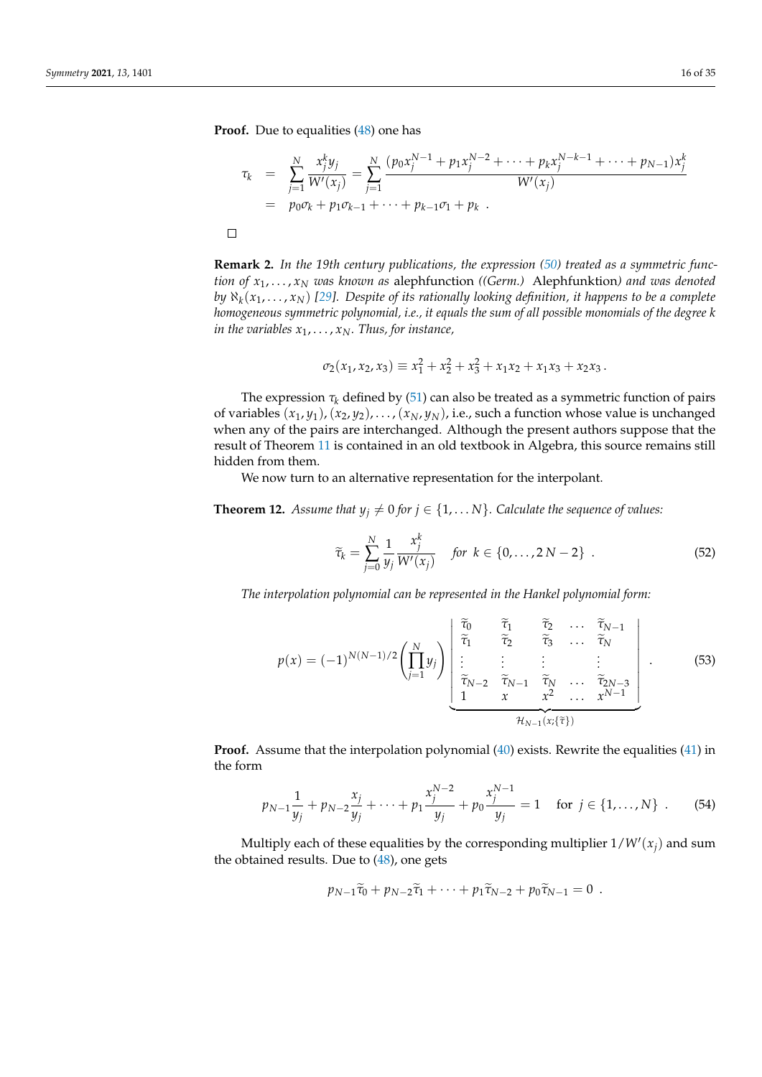**Proof.** Due to equalities [\(48\)](#page-14-2) one has

$$
\tau_k = \sum_{j=1}^N \frac{x_j^k y_j}{W'(x_j)} = \sum_{j=1}^N \frac{(p_0 x_j^{N-1} + p_1 x_j^{N-2} + \dots + p_k x_j^{N-k-1} + \dots + p_{N-1}) x_j^k}{W'(x_j)}
$$
\n
$$
= p_0 \sigma_k + p_1 \sigma_{k-1} + \dots + p_{k-1} \sigma_1 + p_k.
$$

**Remark 2.** *In the 19th century publications, the expression [\(50\)](#page-14-0) treated as a symmetric function of x*1, . . . , *x<sup>N</sup> was known as* alephfunction *((Germ.)* Alephfunktion*) and was denoted by* ℵ*<sup>k</sup>* (*x*1, . . . , *xN*) *[\[29\]](#page-33-27). Despite of its rationally looking definition, it happens to be a complete homogeneous symmetric polynomial, i.e., it equals the sum of all possible monomials of the degree k in the variables*  $x_1, \ldots, x_N$ . Thus, for instance,

$$
\sigma_2(x_1, x_2, x_3) \equiv x_1^2 + x_2^2 + x_3^2 + x_1 x_2 + x_1 x_3 + x_2 x_3.
$$

The expression  $\tau_k$  defined by [\(51\)](#page-14-1) can also be treated as a symmetric function of pairs of variables  $(x_1, y_1)$ ,  $(x_2, y_2)$ , . . . ,  $(x_N, y_N)$ , i.e., such a function whose value is unchanged when any of the pairs are interchanged. Although the present authors suppose that the result of Theorem [11](#page-14-3) is contained in an old textbook in Algebra, this source remains still hidden from them.

We now turn to an alternative representation for the interpolant.

<span id="page-15-2"></span>**Theorem 12.** *Assume that*  $y_j \neq 0$  *for*  $j \in \{1, \ldots N\}$ *. Calculate the sequence of values:* 

$$
\widetilde{\tau}_k = \sum_{j=0}^N \frac{1}{y_j} \frac{x_j^k}{W'(x_j)} \quad \text{for } k \in \{0, \dots, 2N-2\} \ . \tag{52}
$$

*The interpolation polynomial can be represented in the Hankel polynomial form:*

<span id="page-15-1"></span>
$$
p(x) = (-1)^{N(N-1)/2} \left( \prod_{j=1}^{N} y_j \right) \begin{bmatrix} \tilde{\tau}_0 & \tilde{\tau}_1 & \tilde{\tau}_2 & \dots & \tilde{\tau}_{N-1} \\ \tilde{\tau}_1 & \tilde{\tau}_2 & \tilde{\tau}_3 & \dots & \tilde{\tau}_N \\ \vdots & \vdots & \vdots & \vdots \\ \tilde{\tau}_{N-2} & \tilde{\tau}_{N-1} & \tilde{\tau}_N & \dots & \tilde{\tau}_{2N-3} \\ 1 & x & x^2 & \dots & x^{N-1} \end{bmatrix} . \tag{53}
$$

**Proof.** Assume that the interpolation polynomial [\(40\)](#page-13-5) exists. Rewrite the equalities [\(41\)](#page-13-1) in the form

<span id="page-15-0"></span>
$$
p_{N-1}\frac{1}{y_j} + p_{N-2}\frac{x_j}{y_j} + \dots + p_1\frac{x_j^{N-2}}{y_j} + p_0\frac{x_j^{N-1}}{y_j} = 1 \quad \text{for } j \in \{1, \dots, N\} \quad (54)
$$

Multiply each of these equalities by the corresponding multiplier  $1/W'(x_j)$  and sum the obtained results. Due to  $(48)$ , one gets

$$
p_{N-1}\widetilde{\tau}_0+p_{N-2}\widetilde{\tau}_1+\cdots+p_1\widetilde{\tau}_{N-2}+p_0\widetilde{\tau}_{N-1}=0.
$$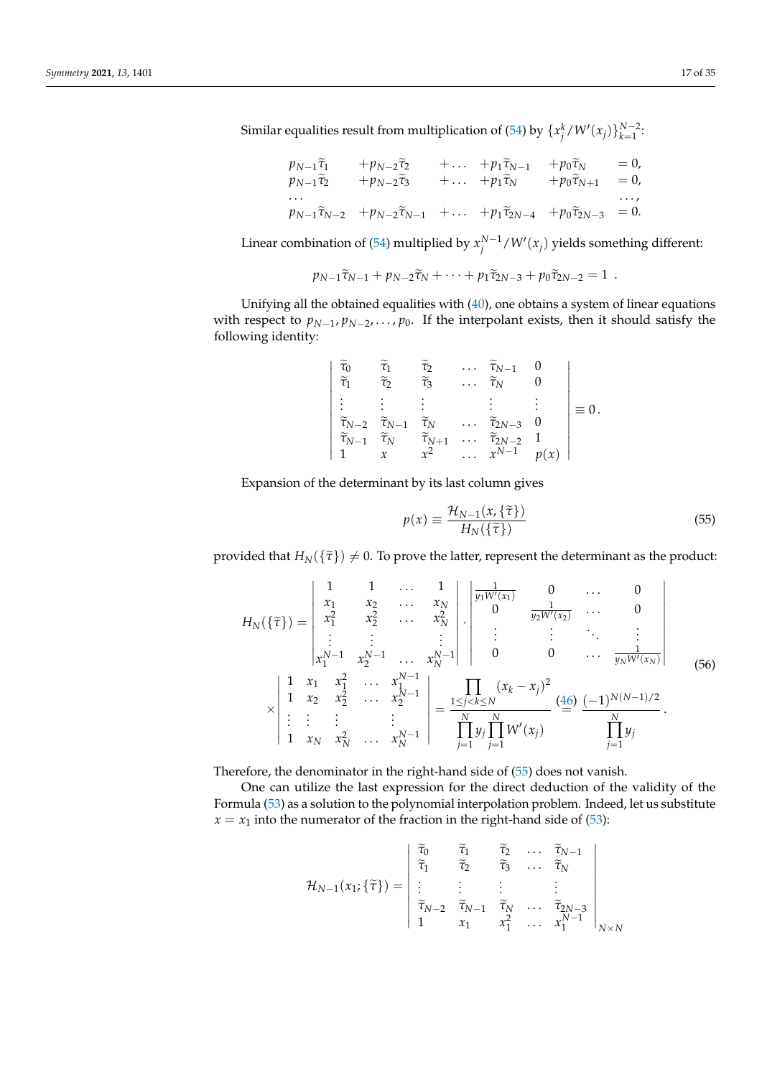Similar equalities result from multiplication of [\(54\)](#page-15-0) by  $\{x_j^k/W'(x_j)\}_{k=1}^{N-2}$ .

$$
p_{N-1}\tilde{\tau}_{1} + p_{N-2}\tilde{\tau}_{2} + \dots + p_{1}\tilde{\tau}_{N-1} + p_{0}\tilde{\tau}_{N} = 0, p_{N-1}\tilde{\tau}_{2} + p_{N-2}\tilde{\tau}_{3} + \dots + p_{1}\tilde{\tau}_{N} + p_{0}\tilde{\tau}_{N+1} = 0, \dots p_{N-1}\tilde{\tau}_{N-2} + p_{N-2}\tilde{\tau}_{N-1} + \dots + p_{1}\tilde{\tau}_{2N-4} + p_{0}\tilde{\tau}_{2N-3} = 0.
$$

Linear combination of [\(54\)](#page-15-0) multiplied by  $x_j^{N-1} / W'(x_j)$  yields something different:

$$
p_{N-1}\widetilde{\tau}_{N-1}+p_{N-2}\widetilde{\tau}_N+\cdots+p_1\widetilde{\tau}_{2N-3}+p_0\widetilde{\tau}_{2N-2}=1.
$$

Unifying all the obtained equalities with [\(40\)](#page-13-5), one obtains a system of linear equations with respect to  $p_{N-1}, p_{N-2}, \ldots, p_0$ . If the interpolant exists, then it should satisfy the following identity:

$$
\begin{vmatrix}\n\widetilde{\tau}_0 & \widetilde{\tau}_1 & \widetilde{\tau}_2 & \cdots & \widetilde{\tau}_{N-1} & 0 \\
\widetilde{\tau}_1 & \widetilde{\tau}_2 & \widetilde{\tau}_3 & \cdots & \widetilde{\tau}_N & 0 \\
\vdots & \vdots & \vdots & & \vdots & \vdots \\
\widetilde{\tau}_{N-2} & \widetilde{\tau}_{N-1} & \widetilde{\tau}_N & \cdots & \widetilde{\tau}_{2N-3} & 0 \\
\widetilde{\tau}_{N-1} & \widetilde{\tau}_N & \widetilde{\tau}_{N+1} & \cdots & \widetilde{\tau}_{2N-2} & 1 \\
1 & x & x^2 & \cdots & x^{N-1} & p(x)\n\end{vmatrix} \equiv 0.
$$

Expansion of the determinant by its last column gives

<span id="page-16-0"></span>
$$
p(x) \equiv \frac{\mathcal{H}_{N-1}(x,\{\tilde{\tau}\})}{H_N(\{\tilde{\tau}\})}
$$
\n(55)

provided that  $H_N(\{\tilde{\tau}\}) \neq 0$ . To prove the latter, represent the determinant as the product:

<span id="page-16-1"></span>
$$
H_N(\{\tilde{\tau}\}) = \begin{vmatrix} 1 & 1 & \dots & 1 \\ x_1 & x_2 & \dots & x_N \\ x_1^2 & x_2^2 & \dots & x_N^2 \\ \vdots & \vdots & \vdots & \vdots \\ x_1^{N-1} & x_2^{N-1} & \dots & x_N^{N-1} \end{vmatrix} \cdot \begin{vmatrix} \frac{1}{y_1 W'(x_1)} & 0 & \dots & 0 \\ 0 & \frac{1}{y_2 W'(x_2)} & \dots & 0 \\ \vdots & \vdots & \ddots & \vdots \\ 0 & 0 & \dots & \frac{1}{y_N W'(x_N)} \end{vmatrix}
$$
  
\n
$$
\times \begin{vmatrix} 1 & x_1 & x_1^2 & \dots & x_1^{N-1} \\ 1 & x_2 & x_2^2 & \dots & x_2^{N-1} \\ \vdots & \vdots & \vdots & \vdots \\ 1 & x_N & x_N^2 & \dots & x_N^{N-1} \end{vmatrix} = \frac{1}{\prod_{j=1}^N y_j \prod_{j=1}^N W'(x_j)} \frac{(46)}{m} \frac{(-1)^{N(N-1)/2}}{\prod_{j=1}^N y_j}
$$

Therefore, the denominator in the right-hand side of [\(55\)](#page-16-0) does not vanish.

One can utilize the last expression for the direct deduction of the validity of the Formula [\(53\)](#page-15-1) as a solution to the polynomial interpolation problem. Indeed, let us substitute  $x = x_1$  into the numerator of the fraction in the right-hand side of [\(53\)](#page-15-1):

$$
\mathcal{H}_{N-1}(x_1;\{\widetilde{\tau}\}) = \begin{vmatrix} \widetilde{\tau}_0 & \widetilde{\tau}_1 & \widetilde{\tau}_2 & \cdots & \widetilde{\tau}_{N-1} \\ \widetilde{\tau}_1 & \widetilde{\tau}_2 & \widetilde{\tau}_3 & \cdots & \widetilde{\tau}_N \\ \vdots & \vdots & \vdots & & \vdots \\ \widetilde{\tau}_{N-2} & \widetilde{\tau}_{N-1} & \widetilde{\tau}_N & \cdots & \widetilde{\tau}_{2N-3} \\ 1 & x_1 & x_1^2 & \cdots & x_1^{N-1} \end{vmatrix}_{N \times N}
$$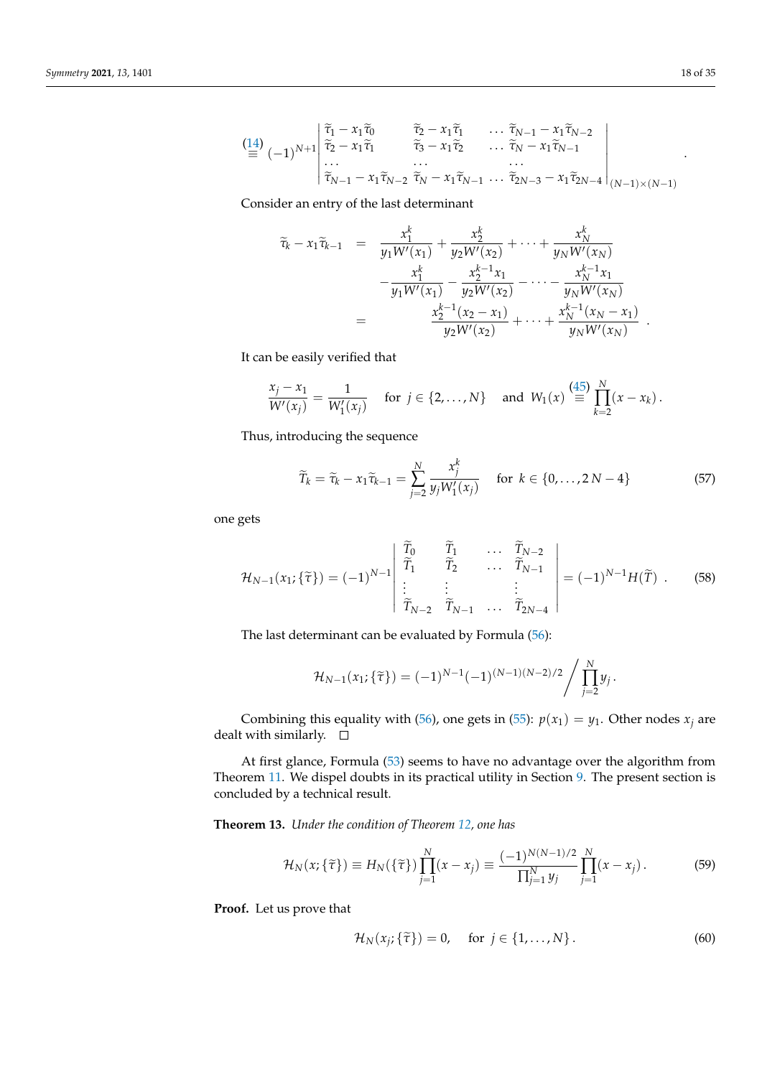$$
\begin{pmatrix}\n\frac{14}{2} & \tilde{\tau}_1 - x_1 \tilde{\tau}_0 & \tilde{\tau}_2 - x_1 \tilde{\tau}_1 & \dots \tilde{\tau}_{N-1} - x_1 \tilde{\tau}_{N-2} \\
\tilde{\tau}_2 - x_1 \tilde{\tau}_1 & \tilde{\tau}_3 - x_1 \tilde{\tau}_2 & \dots \tilde{\tau}_N - x_1 \tilde{\tau}_{N-1} \\
\vdots & \vdots & \ddots & \vdots \\
\tilde{\tau}_{N-1} - x_1 \tilde{\tau}_{N-2} & \tilde{\tau}_N - x_1 \tilde{\tau}_{N-1} & \dots \tilde{\tau}_{2N-3} - x_1 \tilde{\tau}_{2N-4}\n\end{pmatrix}\n\begin{pmatrix}\n14 \\
\tilde{\tau}_2 - x_1 \tilde{\tau}_1 & \tilde{\tau}_3 - x_1 \tilde{\tau}_2 & \dots \tilde{\tau}_{N-1} - x_1 \tilde{\tau}_{N-2} \\
\vdots & \vdots & \ddots\n\end{pmatrix}
$$

Consider an entry of the last determinant

$$
\widetilde{\tau}_{k} - x_{1}\widetilde{\tau}_{k-1} = \frac{x_{1}^{k}}{y_{1}W'(x_{1})} + \frac{x_{2}^{k}}{y_{2}W'(x_{2})} + \cdots + \frac{x_{N}^{k}}{y_{N}W'(x_{N})} \n- \frac{x_{1}^{k}}{y_{1}W'(x_{1})} - \frac{x_{2}^{k-1}x_{1}}{y_{2}W'(x_{2})} - \cdots - \frac{x_{N}^{k-1}x_{1}}{y_{N}W'(x_{N})} \n= \frac{x_{2}^{k-1}(x_{2} - x_{1})}{y_{2}W'(x_{2})} + \cdots + \frac{x_{N}^{k-1}(x_{N} - x_{1})}{y_{N}W'(x_{N})}.
$$

It can be easily verified that

$$
\frac{x_j - x_1}{W'(x_j)} = \frac{1}{W'_1(x_j)}
$$
 for  $j \in \{2, ..., N\}$  and  $W_1(x) \stackrel{(45)}{\equiv} \prod_{k=2}^N (x - x_k).$ 

Thus, introducing the sequence

<span id="page-17-1"></span>
$$
\widetilde{T}_k = \widetilde{\tau}_k - x_1 \widetilde{\tau}_{k-1} = \sum_{j=2}^N \frac{x_j^k}{y_j W_1'(x_j)} \quad \text{for } k \in \{0, \dots, 2N-4\}
$$
 (57)

one gets

$$
\mathcal{H}_{N-1}(x_1; \{\tilde{\tau}\}) = (-1)^{N-1} \begin{vmatrix} \tilde{T}_0 & \tilde{T}_1 & \cdots & \tilde{T}_{N-2} \\ \tilde{T}_1 & \tilde{T}_2 & \cdots & \tilde{T}_{N-1} \\ \vdots & \vdots & & \vdots \\ \tilde{T}_{N-2} & \tilde{T}_{N-1} & \cdots & \tilde{T}_{2N-4} \end{vmatrix} = (-1)^{N-1} H(\tilde{T}) . \tag{58}
$$

The last determinant can be evaluated by Formula [\(56\)](#page-16-1):

$$
\mathcal{H}_{N-1}(x_1;\{\tilde{\tau}\}) = (-1)^{N-1}(-1)^{(N-1)(N-2)/2} / \prod_{j=2}^N y_j.
$$

Combining this equality with [\(56\)](#page-16-1), one gets in [\(55\)](#page-16-0):  $p(x_1) = y_1$ . Other nodes  $x_i$  are dealt with similarly.  $\square$ 

At first glance, Formula [\(53\)](#page-15-1) seems to have no advantage over the algorithm from Theorem [11.](#page-14-3) We dispel doubts in its practical utility in Section [9.](#page-30-0) The present section is concluded by a technical result.

<span id="page-17-2"></span>**Theorem 13.** *Under the condition of Theorem [12,](#page-15-2) one has*

$$
\mathcal{H}_N(x;\{\tilde{\tau}\}) \equiv H_N(\{\tilde{\tau}\}) \prod_{j=1}^N (x - x_j) \equiv \frac{(-1)^{N(N-1)/2}}{\prod_{j=1}^N y_j} \prod_{j=1}^N (x - x_j). \tag{59}
$$

**Proof.** Let us prove that

<span id="page-17-0"></span>
$$
\mathcal{H}_N(x_j; \{\tilde{\tau}\}) = 0, \quad \text{for } j \in \{1, \dots, N\}.
$$
 (60)

.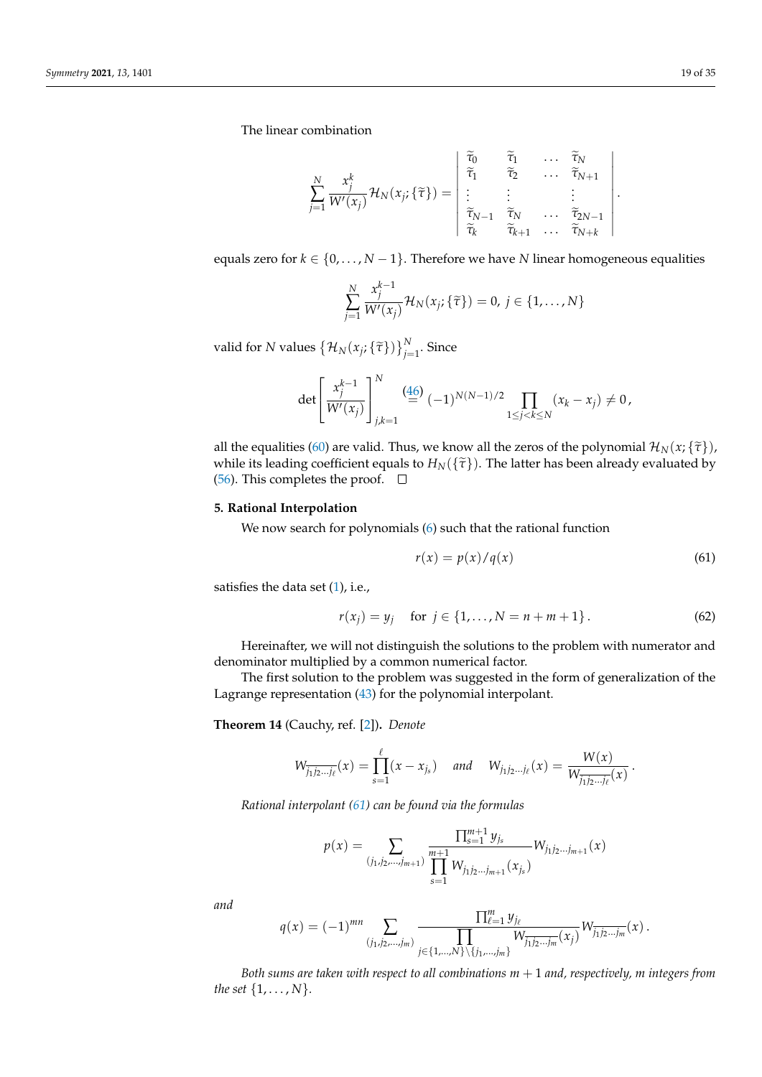The linear combination

$$
\sum_{j=1}^{N} \frac{x_j^k}{W'(x_j)} \mathcal{H}_N(x_j; \{\tilde{\tau}\}) = \begin{vmatrix} \tilde{\tau}_0 & \tilde{\tau}_1 & \cdots & \tilde{\tau}_N \\ \tilde{\tau}_1 & \tilde{\tau}_2 & \cdots & \tilde{\tau}_{N+1} \\ \vdots & \vdots & & \vdots \\ \tilde{\tau}_{N-1} & \tilde{\tau}_N & \cdots & \tilde{\tau}_{2N-1} \\ \tilde{\tau}_k & \tilde{\tau}_{k+1} & \cdots & \tilde{\tau}_{N+k} \end{vmatrix}
$$

equals zero for  $k \in \{0, \ldots, N-1\}$ . Therefore we have *N* linear homogeneous equalities

$$
\sum_{j=1}^{N} \frac{x_j^{k-1}}{W'(x_j)} \mathcal{H}_N(x_j; \{\tilde{\tau}\}) = 0, j \in \{1, ..., N\}
$$

valid for *N* values  $\left\{ \mathcal{H}_N(x_j; \{\tilde{\tau}\}) \right\}_{j=1}^N$ . Since

$$
\det \left[ \frac{x_j^{k-1}}{W'(x_j)} \right]_{j,k=1}^N \stackrel{\text{(46)}}{=} (-1)^{N(N-1)/2} \prod_{1 \le j < k \le N} (x_k - x_j) \neq 0,
$$

all the equalities [\(60\)](#page-17-0) are valid. Thus, we know all the zeros of the polynomial  $\mathcal{H}_N(x; {\tilde\tau})$ , while its leading coefficient equals to  $H_N(\{\tilde{\tau}\})$ . The latter has been already evaluated by [\(56\)](#page-16-1). This completes the proof.  $\Box$ 

## <span id="page-18-0"></span>**5. Rational Interpolation**

We now search for polynomials [\(6\)](#page-3-1) such that the rational function

<span id="page-18-1"></span>
$$
r(x) = p(x)/q(x) \tag{61}
$$

satisfies the data set  $(1)$ , i.e.,

<span id="page-18-2"></span>
$$
r(x_j) = y_j \quad \text{for } j \in \{1, ..., N = n + m + 1\}.
$$
 (62)

Hereinafter, we will not distinguish the solutions to the problem with numerator and denominator multiplied by a common numerical factor.

The first solution to the problem was suggested in the form of generalization of the Lagrange representation [\(43\)](#page-13-3) for the polynomial interpolant.

**Theorem 14** (Cauchy, ref. [\[2\]](#page-33-1))**.** *Denote*

$$
W_{\overline{j_1j_2...j_\ell}}(x) = \prod_{s=1}^\ell (x - x_{j_s}) \quad \text{and} \quad W_{j_1j_2...j_\ell}(x) = \frac{W(x)}{W_{\overline{j_1j_2...j_\ell}}(x)}.
$$

*Rational interpolant [\(61\)](#page-18-1) can be found via the formulas*

$$
p(x) = \sum_{(j_1, j_2, \ldots, j_{m+1})} \frac{\prod_{s=1}^{m+1} y_{j_s}}{\prod_{s=1}^{m+1} W_{j_1 j_2 \ldots j_{m+1}}(x_{j_s})} W_{j_1 j_2 \ldots j_{m+1}}(x)
$$

*and*

$$
q(x) = (-1)^{mn} \sum_{(j_1, j_2, \ldots, j_m)} \frac{\prod_{\ell=1}^m y_{j_\ell}}{\prod_{j \in \{1, \ldots, N\} \setminus \{j_1, \ldots, j_m\}} W_{\overline{j_1 j_2 \ldots j_m}}(x_j)} W_{\overline{j_1 j_2 \ldots j_m}}(x).
$$

*Both sums are taken with respect to all combinations m* + 1 *and, respectively, m integers from the set* {1, . . . , *N*}*.*

.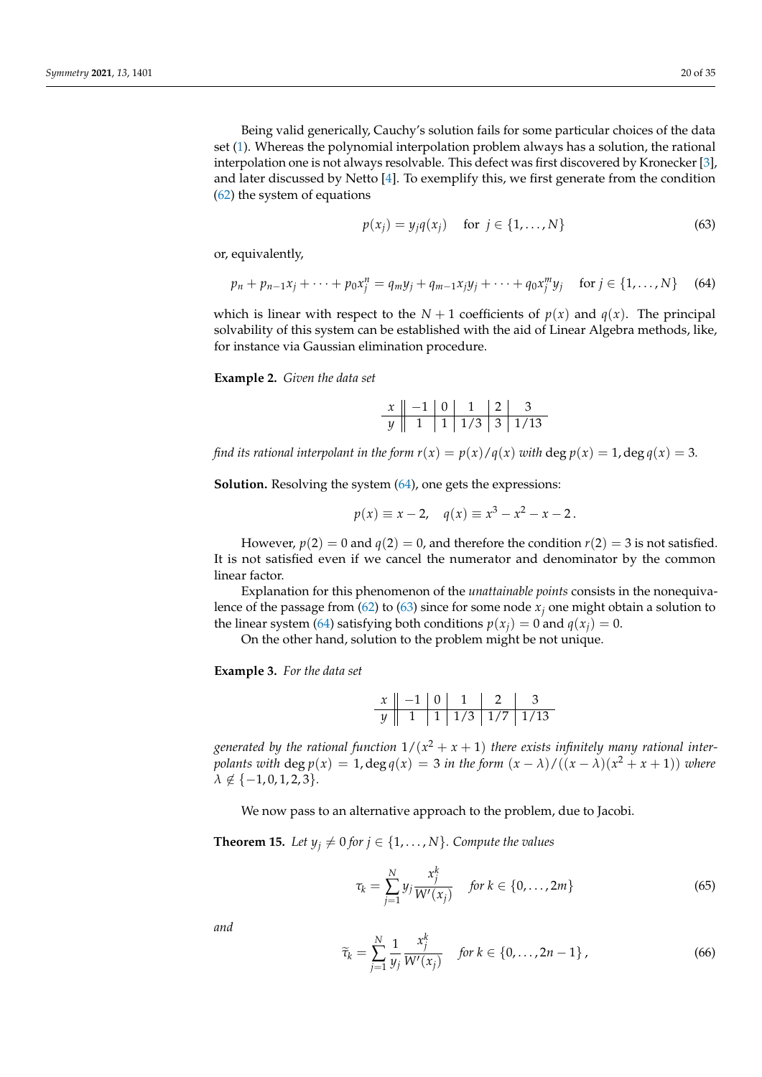Being valid generically, Cauchy's solution fails for some particular choices of the data set [\(1\)](#page-0-0). Whereas the polynomial interpolation problem always has a solution, the rational interpolation one is not always resolvable. This defect was first discovered by Kronecker [\[3\]](#page-33-2), and later discussed by Netto [\[4\]](#page-33-3). To exemplify this, we first generate from the condition [\(62\)](#page-18-2) the system of equations

<span id="page-19-1"></span>
$$
p(x_j) = y_j q(x_j) \quad \text{for } j \in \{1, \dots, N\}
$$
 (63)

or, equivalently,

<span id="page-19-0"></span>
$$
p_n + p_{n-1}x_j + \dots + p_0x_j^n = q_my_j + q_{m-1}x_jy_j + \dots + q_0x_j^my_j \quad \text{ for } j \in \{1, \dots, N\} \quad (64)
$$

which is linear with respect to the  $N + 1$  coefficients of  $p(x)$  and  $q(x)$ . The principal solvability of this system can be established with the aid of Linear Algebra methods, like, for instance via Gaussian elimination procedure.

**Example 2.** *Given the data set*

| $\chi$ |  |  |                |  |
|--------|--|--|----------------|--|
|        |  |  | 1/3   3   1/13 |  |

*find its rational interpolant in the form*  $r(x) = p(x)/q(x)$  *with deg*  $p(x) = 1$ *, deg*  $q(x) = 3$ *.* 

**Solution.** Resolving the system  $(64)$ , one gets the expressions:

$$
p(x) \equiv x - 2
$$
,  $q(x) \equiv x^3 - x^2 - x - 2$ .

However,  $p(2) = 0$  and  $q(2) = 0$ , and therefore the condition  $r(2) = 3$  is not satisfied. It is not satisfied even if we cancel the numerator and denominator by the common linear factor.

Explanation for this phenomenon of the *unattainable points* consists in the nonequiva-lence of the passage from [\(62\)](#page-18-2) to [\(63\)](#page-19-1) since for some node  $x_j$  one might obtain a solution to the linear system [\(64\)](#page-19-0) satisfying both conditions  $p(x_i) = 0$  and  $q(x_i) = 0$ .

On the other hand, solution to the problem might be not unique.

<span id="page-19-5"></span>**Example 3.** *For the data set*

*x* −1 0 1 2 3 *y* 1 1 1/3 1/7 1/13

generated by the rational function  $1/(x^2+x+1)$  there exists infinitely many rational inter*polants with*  $\deg p(x) = 1$ ,  $\deg q(x) = 3$  *in the form*  $(x - \lambda)/( (x - \lambda)(x^2 + x + 1))$  *where*  $\lambda \notin \{-1, 0, 1, 2, 3\}.$ 

We now pass to an alternative approach to the problem, due to Jacobi.

<span id="page-19-4"></span>**Theorem 15.** Let  $y_j \neq 0$  for  $j \in \{1, \ldots, N\}$ . Compute the values

<span id="page-19-2"></span>
$$
\tau_k = \sum_{j=1}^{N} y_j \frac{x_j^k}{W'(x_j)} \quad \text{for } k \in \{0, \dots, 2m\}
$$
 (65)

*and*

<span id="page-19-3"></span>
$$
\widetilde{\tau}_k = \sum_{j=1}^N \frac{1}{y_j} \frac{x_j^k}{W'(x_j)} \quad \text{for } k \in \{0, \dots, 2n-1\} \,, \tag{66}
$$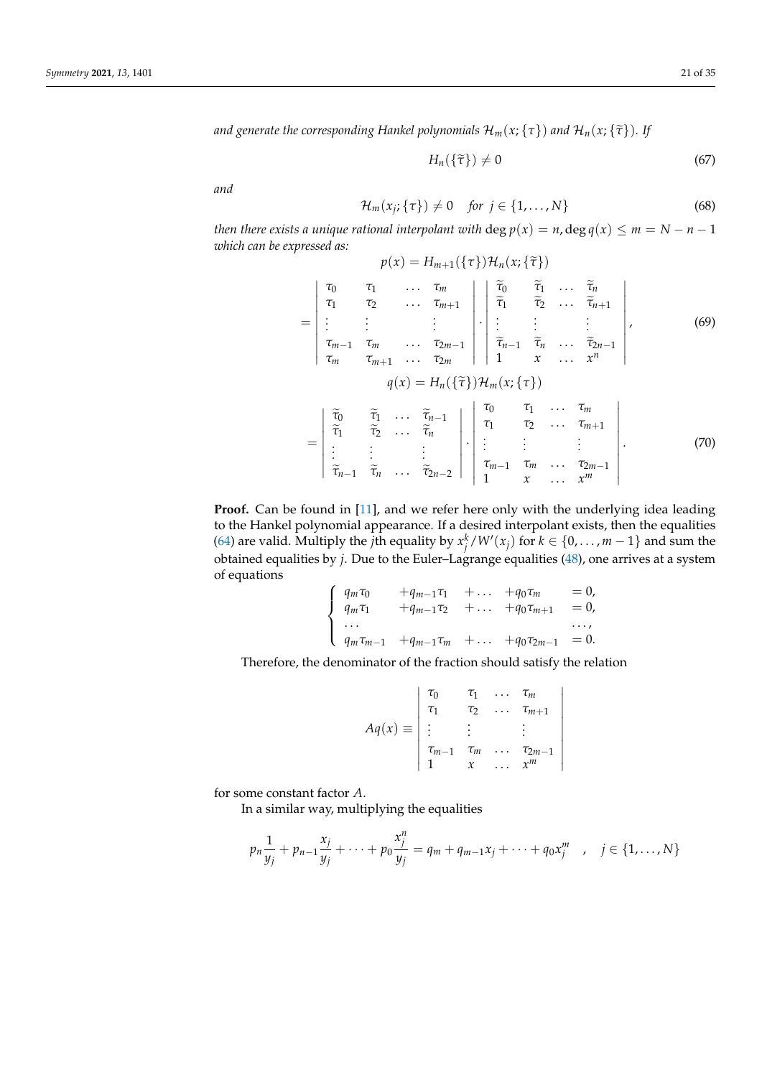*and generate the corresponding Hankel polynomials*  $\mathcal{H}_m(x;\{\tau\})$  *and*  $\mathcal{H}_n(x;\{\tilde{\tau}\})$ *. If* 

<span id="page-20-0"></span>
$$
H_n(\{\tilde{\tau}\}) \neq 0 \tag{67}
$$

*and*

$$
\mathcal{H}_m(x_j; \{\tau\}) \neq 0 \quad \text{for } j \in \{1, \dots, N\} \tag{68}
$$

*then there exists a unique rational interpolant with* deg  $p(x) = n$ , deg  $q(x) \le m = N - n - 1$ *which can be expressed as:*  $p(x) = H_{m+1}(\{\tau\})\mathcal{H}_n(x;\{\tilde{\tau}\})$ 

$$
= \begin{vmatrix}\n\tau_{0} & \tau_{1} & \dots & \tau_{m} \\
\tau_{1} & \tau_{2} & \dots & \tau_{m+1} \\
\vdots & \vdots & \vdots & \vdots \\
\tau_{m-1} & \tau_{m} & \dots & \tau_{2m-1} \\
\tau_{m} & \tau_{m+1} & \dots & \tau_{2m} & 1\n\end{vmatrix} \cdot \begin{vmatrix}\n\tilde{\tau}_{0} & \tilde{\tau}_{1} & \dots & \tilde{\tau}_{n} \\
\tilde{\tau}_{1} & \tilde{\tau}_{2} & \dots & \tilde{\tau}_{n+1} \\
\vdots & \vdots & \vdots & \vdots \\
\tilde{\tau}_{m-1} & \tau_{m} & \dots & \tau_{2m-1} \\
\tau_{m} & \tau_{m+1} & \dots & \tau_{2m} & 1\n\end{vmatrix},
$$
\n
$$
q(x) = H_{n}(\{\tilde{\tau}\}) H_{m}(x; \{\tau\})
$$
\n
$$
= \begin{vmatrix}\n\tilde{\tau}_{0} & \tilde{\tau}_{1} & \dots & \tilde{\tau}_{n-1} \\
\tilde{\tau}_{1} & \tilde{\tau}_{2} & \dots & \tilde{\tau}_{n} \\
\vdots & \vdots & \vdots & \vdots \\
\tilde{\tau}_{n-1} & \tilde{\tau}_{n} & \dots & \tilde{\tau}_{2n-2}\n\end{vmatrix} \cdot \begin{vmatrix}\n\tau_{0} & \tau_{1} & \dots & \tau_{m} \\
\tau_{1} & \tau_{2} & \dots & \tau_{m+1} \\
\tau_{1} & \tau_{2} & \dots & \tau_{m+1} \\
\vdots & \vdots & \vdots & \vdots \\
\tau_{m-1} & \tau_{m} & \dots & \tau_{2m-1} \\
1 & x & \dots & x^{m}\n\end{vmatrix}.
$$
\n(70)

<span id="page-20-1"></span>**Proof.** Can be found in [\[11\]](#page-33-8), and we refer here only with the underlying idea leading to the Hankel polynomial appearance. If a desired interpolant exists, then the equalities [\(64\)](#page-19-0) are valid. Multiply the *j*th equality by  $x_j^k/W'(x_j)$  for  $k \in \{0, ..., m-1\}$  and sum the obtained equalities by *j*. Due to the Euler–Lagrange equalities [\(48\)](#page-14-2), one arrives at a system of equations

$$
\begin{cases}\n q_m \tau_0 + q_{m-1} \tau_1 + \dots + q_0 \tau_m = 0, \\
 q_m \tau_1 + q_{m-1} \tau_2 + \dots + q_0 \tau_{m+1} = 0, \\
 \dots \\
 q_m \tau_{m-1} + q_{m-1} \tau_m + \dots + q_0 \tau_{2m-1} = 0.\n\end{cases}
$$

Therefore, the denominator of the fraction should satisfy the relation

$$
Aq(x) \equiv \begin{vmatrix} \tau_0 & \tau_1 & \dots & \tau_m \\ \tau_1 & \tau_2 & \dots & \tau_{m+1} \\ \vdots & \vdots & & \vdots \\ \tau_{m-1} & \tau_m & \dots & \tau_{2m-1} \\ 1 & x & \dots & x^m \end{vmatrix}
$$

for some constant factor *A*.

In a similar way, multiplying the equalities

$$
p_n \frac{1}{y_j} + p_{n-1} \frac{x_j}{y_j} + \dots + p_0 \frac{x_j^n}{y_j} = q_m + q_{m-1} x_j + \dots + q_0 x_j^m \quad , \quad j \in \{1, \dots, N\}
$$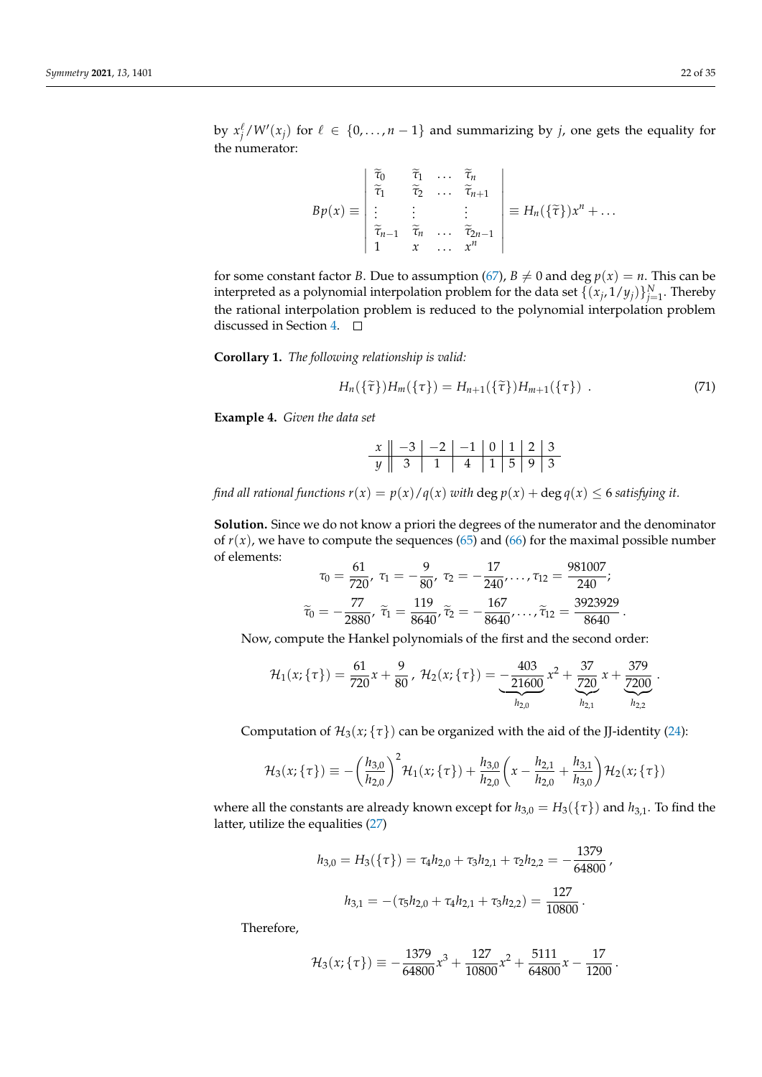by  $x_j^{\ell}/W'(x_j)$  for  $\ell \in \{0, ..., n-1\}$  and summarizing by *j*, one gets the equality for the numerator:

$$
Bp(x) \equiv \begin{vmatrix} \tilde{\tau}_0 & \tilde{\tau}_1 & \cdots & \tilde{\tau}_n \\ \tilde{\tau}_1 & \tilde{\tau}_2 & \cdots & \tilde{\tau}_{n+1} \\ \vdots & \vdots & & \vdots \\ \tilde{\tau}_{n-1} & \tilde{\tau}_n & \cdots & \tilde{\tau}_{2n-1} \\ 1 & x & \cdots & x^n \end{vmatrix} \equiv H_n(\{\tilde{\tau}\})x^n + \cdots
$$

for some constant factor *B*. Due to assumption [\(67\)](#page-20-0),  $B \neq 0$  and deg  $p(x) = n$ . This can be interpreted as a polynomial interpolation problem for the data set  $\{(x_j, 1/y_j)\}_{j=1}^N$ . Thereby the rational interpolation problem is reduced to the polynomial interpolation problem discussed in Section [4.](#page-13-0)

**Corollary 1.** *The following relationship is valid:*

$$
H_n(\{\tilde{\tau}\})H_m(\{\tau\}) = H_{n+1}(\{\tilde{\tau}\})H_{m+1}(\{\tau\})\ . \tag{71}
$$

<span id="page-21-0"></span>**Example 4.** *Given the data set*

*x* −3 −2 −1 0 1 2 3 *y* 3 1 4 1 5 9 3

*find all rational functions*  $r(x) = p(x)/q(x)$  *with*  $\deg p(x) + \deg q(x) \leq 6$  *satisfying it.* 

**Solution.** Since we do not know a priori the degrees of the numerator and the denominator of  $r(x)$ , we have to compute the sequences [\(65\)](#page-19-2) and [\(66\)](#page-19-3) for the maximal possible number of elements:  $61$  $\Omega$ 17  $0.91007$ 

$$
\tau_0 = \frac{61}{720}, \ \tau_1 = -\frac{9}{80}, \ \tau_2 = -\frac{17}{240}, \dots, \tau_{12} = \frac{981007}{240};
$$
\n
$$
\tilde{\tau}_0 = -\frac{77}{2880}, \ \tilde{\tau}_1 = \frac{119}{8640}, \tilde{\tau}_2 = -\frac{167}{8640}, \dots, \tilde{\tau}_{12} = \frac{3923929}{8640}.
$$

Now, compute the Hankel polynomials of the first and the second order:

$$
\mathcal{H}_1(x;\{\tau\}) = \frac{61}{720}x + \frac{9}{80}, \ \mathcal{H}_2(x;\{\tau\}) = \underbrace{-\frac{403}{21600}}_{h_{2,0}}x^2 + \underbrace{\frac{37}{720}}_{h_{2,1}}x + \underbrace{\frac{379}{7200}}_{h_{2,2}}.
$$

Computation of  $H_3(x; {\tau})$  can be organized with the aid of the JJ-identity [\(24\)](#page-7-1):

$$
\mathcal{H}_3(x;\{\tau\}) \equiv -\left(\frac{h_{3,0}}{h_{2,0}}\right)^2 \mathcal{H}_1(x;\{\tau\}) + \frac{h_{3,0}}{h_{2,0}} \left(x - \frac{h_{2,1}}{h_{2,0}} + \frac{h_{3,1}}{h_{3,0}}\right) \mathcal{H}_2(x;\{\tau\})
$$

where all the constants are already known except for  $h_{3,0} = H_3({\tau})$  and  $h_{3,1}$ . To find the latter, utilize the equalities [\(27\)](#page-8-3)

$$
h_{3,0} = H_3(\{\tau\}) = \tau_4 h_{2,0} + \tau_3 h_{2,1} + \tau_2 h_{2,2} = -\frac{1379}{64800},
$$

$$
h_{3,1} = -(\tau_5 h_{2,0} + \tau_4 h_{2,1} + \tau_3 h_{2,2}) = \frac{127}{10800}.
$$

Therefore,

$$
\mathcal{H}_3(x;\{\tau\}) \equiv -\frac{1379}{64800}x^3 + \frac{127}{10800}x^2 + \frac{5111}{64800}x - \frac{17}{1200}.
$$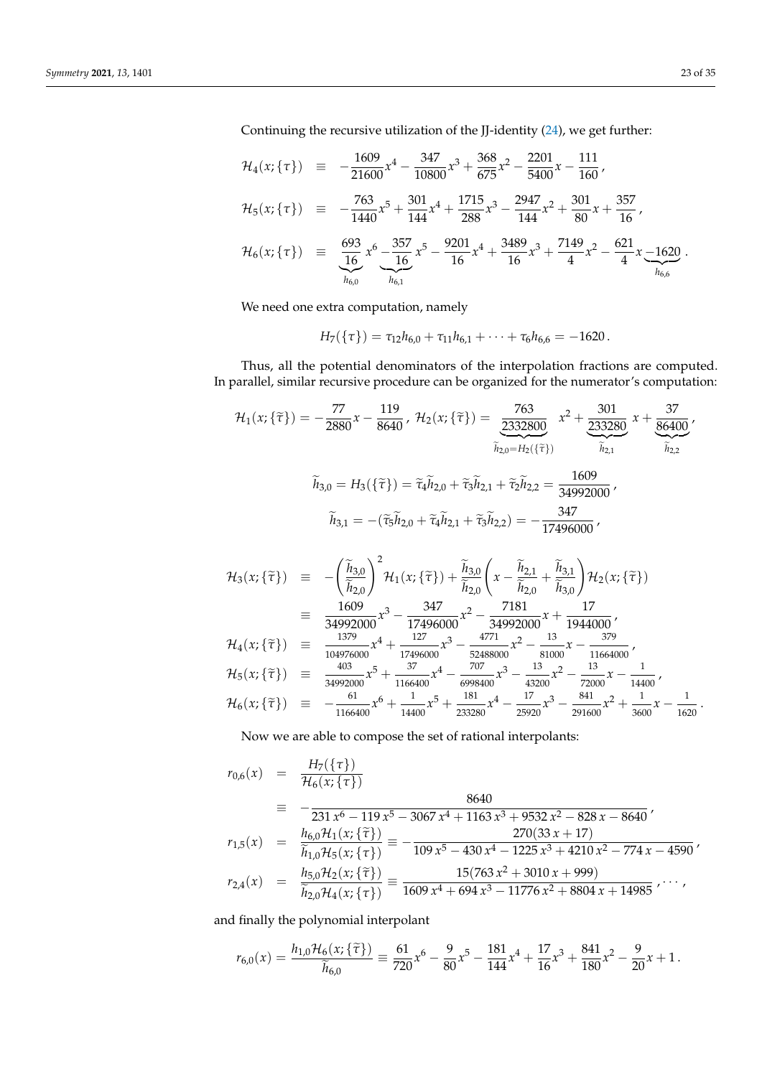Continuing the recursive utilization of the JJ-identity [\(24\)](#page-7-1), we get further:

$$
\mathcal{H}_4(x;\{\tau\}) = -\frac{1609}{21600}x^4 - \frac{347}{10800}x^3 + \frac{368}{675}x^2 - \frac{2201}{5400}x - \frac{111}{160},
$$
\n
$$
\mathcal{H}_5(x;\{\tau\}) = -\frac{763}{1440}x^5 + \frac{301}{144}x^4 + \frac{1715}{288}x^3 - \frac{2947}{144}x^2 + \frac{301}{80}x + \frac{357}{16},
$$
\n
$$
\mathcal{H}_6(x;\{\tau\}) = \underbrace{\frac{693}{16}}_{h_{6,0}}x^6 - \frac{357}{16}x^5 - \frac{9201}{16}x^4 + \frac{3489}{16}x^3 + \frac{7149}{4}x^2 - \frac{621}{4}x - \frac{1620}{h_{6,6}}.
$$

We need one extra computation, namely

$$
H_7(\lbrace \tau \rbrace) = \tau_{12}h_{6,0} + \tau_{11}h_{6,1} + \cdots + \tau_6h_{6,6} = -1620.
$$

Thus, all the potential denominators of the interpolation fractions are computed. In parallel, similar recursive procedure can be organized for the numerator's computation:

$$
\mathcal{H}_{1}(x; \{\tilde{\tau}\}) = -\frac{77}{2880}x - \frac{119}{8640}, \mathcal{H}_{2}(x; \{\tilde{\tau}\}) = \frac{763}{2332800}x^{2} + \frac{301}{233280}x + \frac{37}{86400},
$$
\n
$$
\tilde{h}_{2,0} = H_{2}(\{\tilde{\tau}\}) = \tilde{\tau}_{4}\tilde{h}_{2,0} + \tilde{\tau}_{3}\tilde{h}_{2,1} + \tilde{\tau}_{2}\tilde{h}_{2,2} = \frac{1609}{34992000},
$$
\n
$$
\tilde{h}_{3,1} = -(\tilde{\tau}_{5}\tilde{h}_{2,0} + \tilde{\tau}_{4}\tilde{h}_{2,1} + \tilde{\tau}_{3}\tilde{h}_{2,2}) = -\frac{347}{17496000},
$$
\n
$$
\mathcal{H}_{3}(x; \{\tilde{\tau}\}) = -\left(\frac{\tilde{h}_{3,0}}{\tilde{h}_{2,0}}\right)^{2} \mathcal{H}_{1}(x; \{\tilde{\tau}\}) + \frac{\tilde{h}_{3,0}}{\tilde{h}_{2,0}}\left(x - \frac{\tilde{h}_{2,1}}{\tilde{h}_{2,0}} + \frac{\tilde{h}_{3,1}}{\tilde{h}_{3,0}}\right) \mathcal{H}_{2}(x; \{\tilde{\tau}\})
$$
\n
$$
\equiv \frac{1609}{34992000}x^{3} - \frac{347}{17496000}x^{2} - \frac{7181}{34992000}x + \frac{17}{1944000},
$$
\n
$$
\mathcal{H}_{4}(x; \{\tilde{\tau}\}) = \frac{1379}{104976000}x^{4} + \frac{127}{17496000}x^{3} - \frac{4771}{52488000}x^{2} - \frac{13}{81000}x - \frac{379}{11664000},
$$
\n
$$
\mathcal{H}_{5}(x; \{\tilde{\tau}\}) = \frac{403}{34992000}x^{5} + \frac{37}{1146400}x^{4} - \frac{
$$

Now we are able to compose the set of rational interpolants:

$$
r_{0,6}(x) = \frac{H_7(\{\tau\})}{\mathcal{H}_6(x;\{\tau\})}
$$
  
\n
$$
= -\frac{231 x^6 - 119 x^5 - 3067 x^4 + 1163 x^3 + 9532 x^2 - 828 x - 8640}{231 x^6 - 119 x^5 - 3067 x^4 + 1163 x^3 + 9532 x^2 - 828 x - 8640}
$$
  
\n
$$
r_{1,5}(x) = \frac{h_{6,0} \mathcal{H}_1(x;\{\tilde{\tau}\})}{\tilde{h}_{1,0} \mathcal{H}_5(x;\{\tau\})} = -\frac{270(33 x + 17)}{109 x^5 - 430 x^4 - 1225 x^3 + 4210 x^2 - 774 x - 4590}
$$
  
\n
$$
r_{2,4}(x) = \frac{h_{5,0} \mathcal{H}_2(x;\{\tilde{\tau}\})}{\tilde{h}_{2,0} \mathcal{H}_4(x;\{\tau\})} = \frac{15(763 x^2 + 3010 x + 999)}{1609 x^4 + 694 x^3 - 11776 x^2 + 8804 x + 14985} \dots
$$

and finally the polynomial interpolant

$$
r_{6,0}(x) = \frac{h_{1,0} \mathcal{H}_6(x; \{\tilde{\tau}\})}{\tilde{h}_{6,0}} \equiv \frac{61}{720} x^6 - \frac{9}{80} x^5 - \frac{181}{144} x^4 + \frac{17}{16} x^3 + \frac{841}{180} x^2 - \frac{9}{20} x + 1.
$$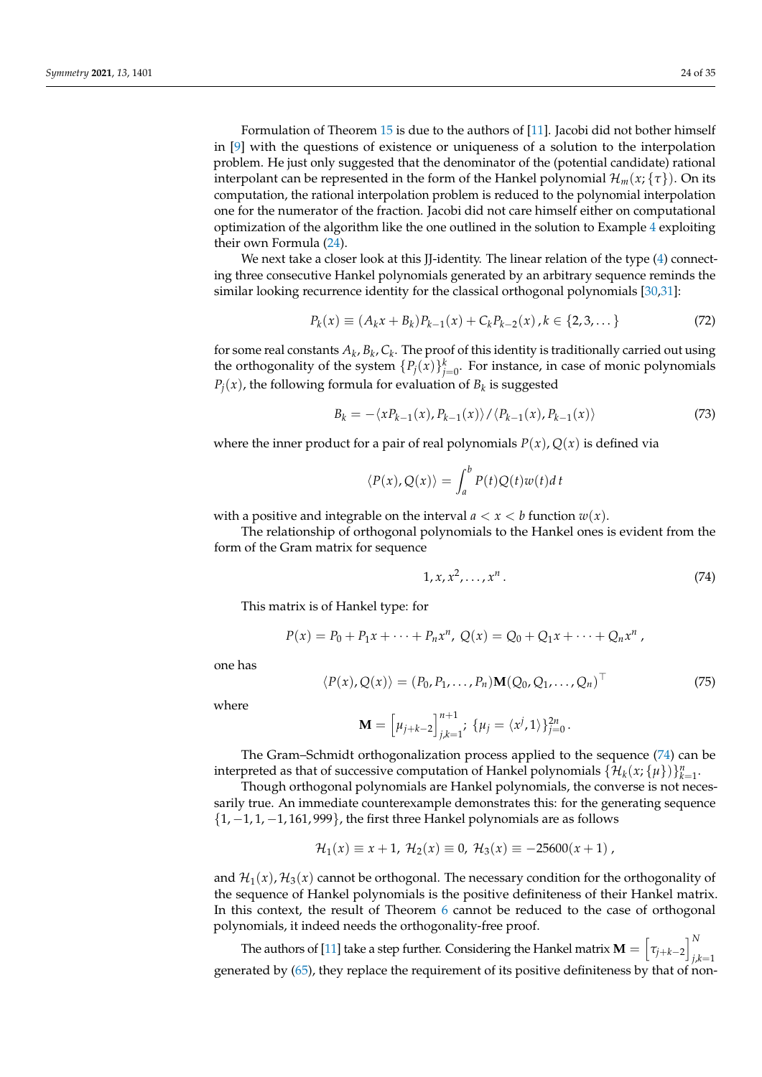Formulation of Theorem [15](#page-19-4) is due to the authors of [\[11\]](#page-33-8). Jacobi did not bother himself in [\[9\]](#page-33-6) with the questions of existence or uniqueness of a solution to the interpolation problem. He just only suggested that the denominator of the (potential candidate) rational interpolant can be represented in the form of the Hankel polynomial  $\mathcal{H}_m(x;\{\tau\})$ . On its computation, the rational interpolation problem is reduced to the polynomial interpolation one for the numerator of the fraction. Jacobi did not care himself either on computational optimization of the algorithm like the one outlined in the solution to Example [4](#page-21-0) exploiting their own Formula [\(24\)](#page-7-1).

We next take a closer look at this JJ-identity. The linear relation of the type [\(4\)](#page-1-0) connecting three consecutive Hankel polynomials generated by an arbitrary sequence reminds the similar looking recurrence identity for the classical orthogonal polynomials [\[30](#page-34-0)[,31\]](#page-34-1):

$$
P_k(x) \equiv (A_k x + B_k) P_{k-1}(x) + C_k P_{k-2}(x), k \in \{2, 3, \dots\}
$$
 (72)

for some real constants  $A_k$ ,  $B_k$ ,  $C_k$ . The proof of this identity is traditionally carried out using the orthogonality of the system  $\{P_j(x)\}_{j=0}^k$ . For instance, in case of monic polynomials  $P_j(x)$ , the following formula for evaluation of  $B_k$  is suggested

<span id="page-23-2"></span>
$$
B_k = -\langle xP_{k-1}(x), P_{k-1}(x) \rangle / \langle P_{k-1}(x), P_{k-1}(x) \rangle \tag{73}
$$

where the inner product for a pair of real polynomials  $P(x)$ ,  $Q(x)$  is defined via

$$
\langle P(x), Q(x) \rangle = \int_{a}^{b} P(t)Q(t)w(t)dt
$$

with a positive and integrable on the interval  $a < x < b$  function  $w(x)$ .

The relationship of orthogonal polynomials to the Hankel ones is evident from the form of the Gram matrix for sequence

<span id="page-23-0"></span>
$$
1, x, x^2, \dots, x^n. \tag{74}
$$

This matrix is of Hankel type: for

$$
P(x) = P_0 + P_1 x + \cdots + P_n x^n, \ Q(x) = Q_0 + Q_1 x + \cdots + Q_n x^n,
$$

one has

<span id="page-23-1"></span>
$$
\langle P(x), Q(x) \rangle = (P_0, P_1, \dots, P_n) \mathbf{M} (Q_0, Q_1, \dots, Q_n)^\top
$$
\n(75)

where

$$
\mathbf{M} = \left[ \mu_{j+k-2} \right]_{j,k=1}^{n+1} ; \; \{ \mu_j = \langle x^j, 1 \rangle \}_{j=0}^{2n}.
$$

The Gram–Schmidt orthogonalization process applied to the sequence [\(74\)](#page-23-0) can be interpreted as that of successive computation of Hankel polynomials  $\{\mathcal{H}_k(x; \{\mu\})\}_{k=1}^n$ .

Though orthogonal polynomials are Hankel polynomials, the converse is not necessarily true. An immediate counterexample demonstrates this: for the generating sequence  $\{1, -1, 1, -1, 161, 999\}$ , the first three Hankel polynomials are as follows

$$
\mathcal{H}_1(x) \equiv x + 1, \ \mathcal{H}_2(x) \equiv 0, \ \mathcal{H}_3(x) \equiv -25600(x+1) \ ,
$$

and  $\mathcal{H}_1(x)$ ,  $\mathcal{H}_3(x)$  cannot be orthogonal. The necessary condition for the orthogonality of the sequence of Hankel polynomials is the positive definiteness of their Hankel matrix. In this context, the result of Theorem [6](#page-5-0) cannot be reduced to the case of orthogonal polynomials, it indeed needs the orthogonality-free proof.

The authors of [\[11\]](#page-33-8) take a step further. Considering the Hankel matrix  $\mathbf{M} = \begin{bmatrix} \tau_{j+k-2} \end{bmatrix}^N_{j,k}$ *j*,*k*=1 generated by [\(65\)](#page-19-2), they replace the requirement of its positive definiteness by that of non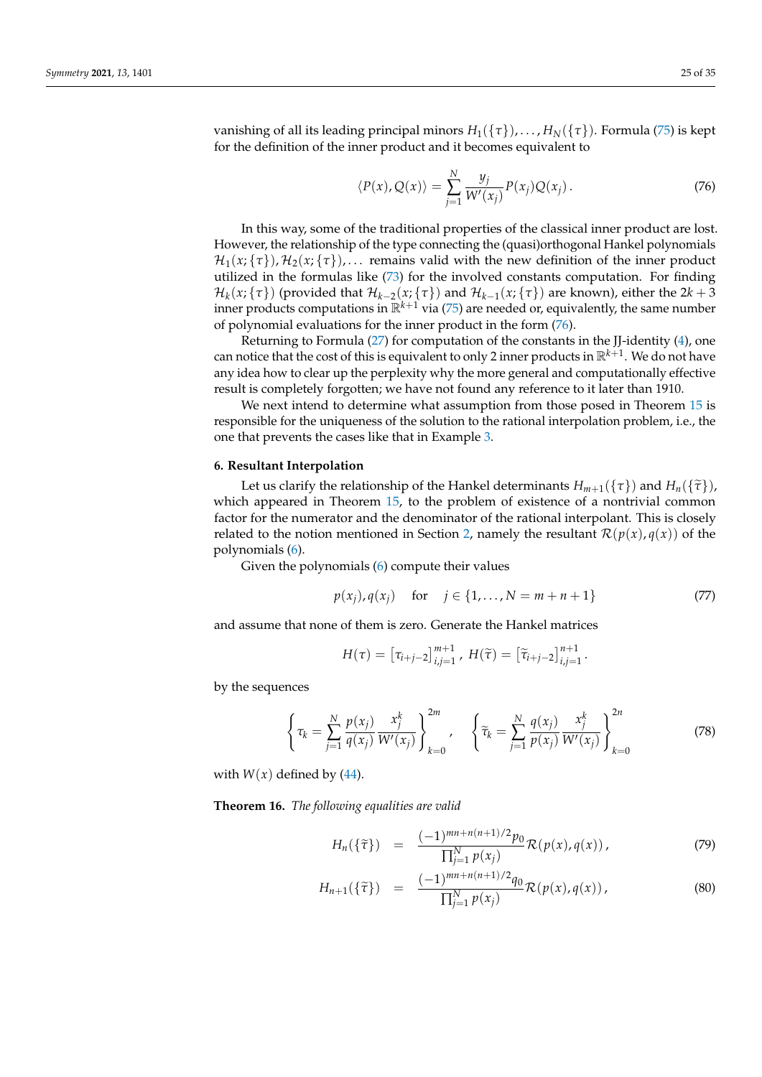vanishing of all its leading principal minors  $H_1({\tau}), \ldots, H_N({\tau})$ . Formula [\(75\)](#page-23-1) is kept for the definition of the inner product and it becomes equivalent to

<span id="page-24-1"></span>
$$
\langle P(x), Q(x) \rangle = \sum_{j=1}^{N} \frac{y_j}{W'(x_j)} P(x_j) Q(x_j).
$$
 (76)

In this way, some of the traditional properties of the classical inner product are lost. However, the relationship of the type connecting the (quasi)orthogonal Hankel polynomials  $\mathcal{H}_1(x;\{\tau\})$ ,  $\mathcal{H}_2(x;\{\tau\})$ ,... remains valid with the new definition of the inner product utilized in the formulas like [\(73\)](#page-23-2) for the involved constants computation. For finding  $\mathcal{H}_k(x;\{\tau\})$  (provided that  $\mathcal{H}_{k-2}(x;\{\tau\})$  and  $\mathcal{H}_{k-1}(x;\{\tau\})$  are known), either the 2 $k+3$ inner products computations in  $\mathbb{R}^{k+1}$  via [\(75\)](#page-23-1) are needed or, equivalently, the same number of polynomial evaluations for the inner product in the form [\(76\)](#page-24-1).

Returning to Formula [\(27\)](#page-8-3) for computation of the constants in the JJ-identity [\(4\)](#page-1-0), one can notice that the cost of this is equivalent to only 2 inner products in R*k*+<sup>1</sup> . We do not have any idea how to clear up the perplexity why the more general and computationally effective result is completely forgotten; we have not found any reference to it later than 1910.

We next intend to determine what assumption from those posed in Theorem [15](#page-19-4) is responsible for the uniqueness of the solution to the rational interpolation problem, i.e., the one that prevents the cases like that in Example [3.](#page-19-5)

#### <span id="page-24-0"></span>**6. Resultant Interpolation**

Let us clarify the relationship of the Hankel determinants  $H_{m+1}(\{\tau\})$  and  $H_n(\{\tilde{\tau}\})$ , which appeared in Theorem [15,](#page-19-4) to the problem of existence of a nontrivial common factor for the numerator and the denominator of the rational interpolant. This is closely related to the notion mentioned in Section [2,](#page-2-1) namely the resultant  $\mathcal{R}(p(x), q(x))$  of the polynomials [\(6\)](#page-3-1).

Given the polynomials [\(6\)](#page-3-1) compute their values

<span id="page-24-3"></span>
$$
p(x_j), q(x_j)
$$
 for  $j \in \{1, ..., N = m + n + 1\}$  (77)

and assume that none of them is zero. Generate the Hankel matrices

$$
H(\tau) = \left[ \tau_{i+j-2} \right]_{i,j=1}^{m+1}, \ H(\widetilde{\tau}) = \left[ \widetilde{\tau}_{i+j-2} \right]_{i,j=1}^{n+1}.
$$

by the sequences

$$
\left\{\tau_k = \sum_{j=1}^N \frac{p(x_j)}{q(x_j)} \frac{x_j^k}{W'(x_j)}\right\}_{k=0}^{2m}, \quad \left\{\tilde{\tau}_k = \sum_{j=1}^N \frac{q(x_j)}{p(x_j)} \frac{x_j^k}{W'(x_j)}\right\}_{k=0}^{2n}
$$
(78)

with  $W(x)$  defined by [\(44\)](#page-13-8).

<span id="page-24-4"></span>**Theorem 16.** *The following equalities are valid*

<span id="page-24-2"></span>
$$
H_n(\{\tilde{\tau}\}) = \frac{(-1)^{mn+n(n+1)/2}p_0}{\prod_{j=1}^N p(x_j)} \mathcal{R}(p(x), q(x)), \qquad (79)
$$

$$
H_{n+1}(\{\tilde{\tau}\}) = \frac{(-1)^{mn+n(n+1)/2}q_0}{\prod_{j=1}^{N} p(x_j)} \mathcal{R}(p(x), q(x)), \qquad (80)
$$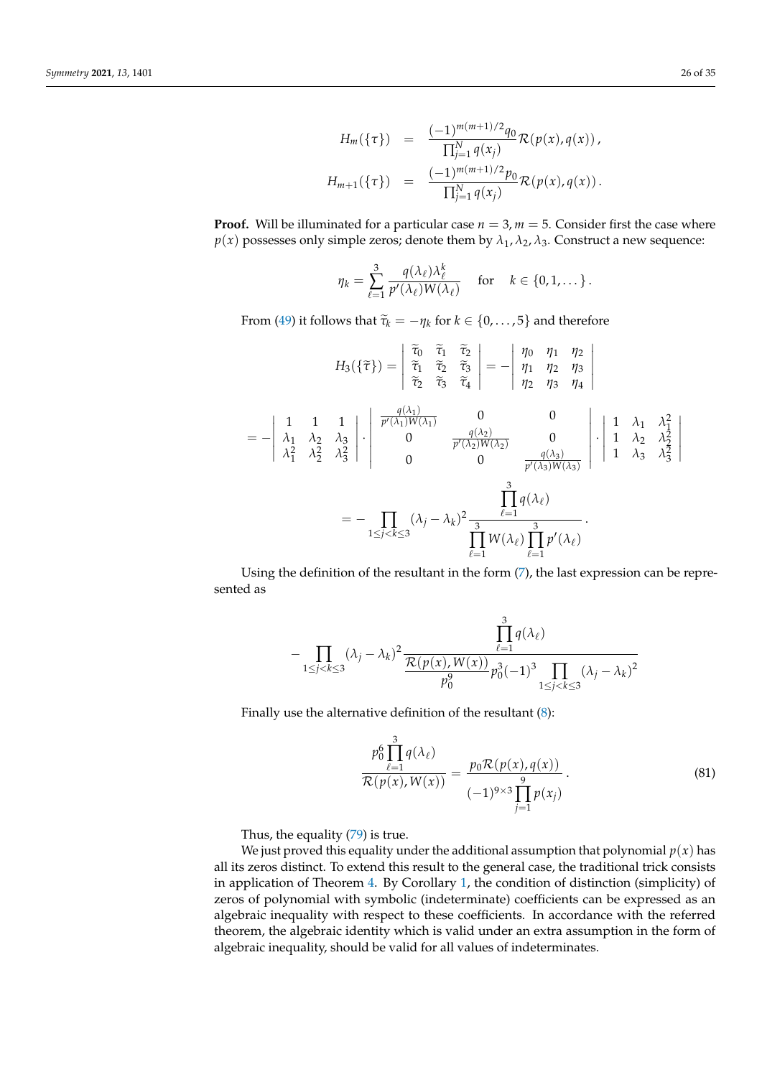$$
H_m(\{\tau\}) = \frac{(-1)^{m(m+1)/2} q_0}{\prod_{j=1}^N q(x_j)} \mathcal{R}(p(x), q(x)),
$$
  

$$
H_{m+1}(\{\tau\}) = \frac{(-1)^{m(m+1)/2} p_0}{\prod_{j=1}^N q(x_j)} \mathcal{R}(p(x), q(x)).
$$

**Proof.** Will be illuminated for a particular case  $n = 3$ ,  $m = 5$ . Consider first the case where *p*(*x*) possesses only simple zeros; denote them by  $\lambda_1$ ,  $\lambda_2$ ,  $\lambda_3$ . Construct a new sequence:

$$
\eta_k = \sum_{\ell=1}^3 \frac{q(\lambda_\ell)\lambda_\ell^k}{p'(\lambda_\ell)W(\lambda_\ell)} \quad \text{for} \quad k \in \{0, 1, \dots\}.
$$

From [\(49\)](#page-14-4) it follows that  $\tilde{\tau}_k = -\eta_k$  for  $k \in \{0, \ldots, 5\}$  and therefore

$$
H_3(\{\tilde{\tau}\}) = \begin{vmatrix} \tilde{\tau}_0 & \tilde{\tau}_1 & \tilde{\tau}_2 \\ \tilde{\tau}_1 & \tilde{\tau}_2 & \tilde{\tau}_3 \\ \tilde{\tau}_2 & \tilde{\tau}_3 & \tilde{\tau}_4 \end{vmatrix} = - \begin{vmatrix} \eta_0 & \eta_1 & \eta_2 \\ \eta_1 & \eta_2 & \eta_3 \\ \eta_2 & \eta_3 & \eta_4 \end{vmatrix}
$$
  
= 
$$
- \begin{vmatrix} 1 & 1 & 1 \\ \lambda_1 & \lambda_2 & \lambda_3 \\ \lambda_1^2 & \lambda_2^2 & \lambda_3^2 \end{vmatrix} \cdot \begin{vmatrix} \frac{q(\lambda_1)}{p'(\lambda_1)W(\lambda_1)} & 0 & 0 \\ 0 & \frac{q(\lambda_2)}{p'(\lambda_2)W(\lambda_2)} & 0 \\ 0 & 0 & \frac{q(\lambda_3)}{p'(\lambda_3)W(\lambda_3)} \end{vmatrix} \cdot \begin{vmatrix} 1 & \lambda_1 & \lambda_1^2 \\ 1 & \lambda_2 & \lambda_2^2 \\ 1 & \lambda_3 & \lambda_3^2 \end{vmatrix}
$$
  
= 
$$
- \prod_{1 \le j < k \le 3} (\lambda_j - \lambda_k)^2 \frac{\prod_{\ell=1}^3 q(\lambda_\ell)}{\prod_{\ell=1}^3 W(\lambda_\ell) \prod_{\ell=1}^3 p'(\lambda_\ell)}.
$$

Using the definition of the resultant in the form [\(7\)](#page-3-2), the last expression can be represented as

$$
-\prod_{1\leq j < k\leq 3} (\lambda_j - \lambda_k)^2 \frac{\prod_{\ell=1}^3 q(\lambda_\ell)}{\frac{\mathcal{R}(p(x), W(x))}{p_0^3} p_0^3 (-1)^3 \prod_{1\leq j < k \leq 3} (\lambda_j - \lambda_k)^2}
$$

Finally use the alternative definition of the resultant [\(8\)](#page-3-3):

<span id="page-25-0"></span>
$$
\frac{p_0^6 \prod_{\ell=1}^3 q(\lambda_\ell)}{\mathcal{R}(p(x), W(x))} = \frac{p_0 \mathcal{R}(p(x), q(x))}{(-1)^{9 \times 3} \prod_{j=1}^9 p(x_j)}.
$$
\n(81)

Thus, the equality [\(79\)](#page-24-2) is true.

We just proved this equality under the additional assumption that polynomial  $p(x)$  has all its zeros distinct. To extend this result to the general case, the traditional trick consists in application of Theorem [4.](#page-4-3) By Corollary [1,](#page-3-4) the condition of distinction (simplicity) of zeros of polynomial with symbolic (indeterminate) coefficients can be expressed as an algebraic inequality with respect to these coefficients. In accordance with the referred theorem, the algebraic identity which is valid under an extra assumption in the form of algebraic inequality, should be valid for all values of indeterminates.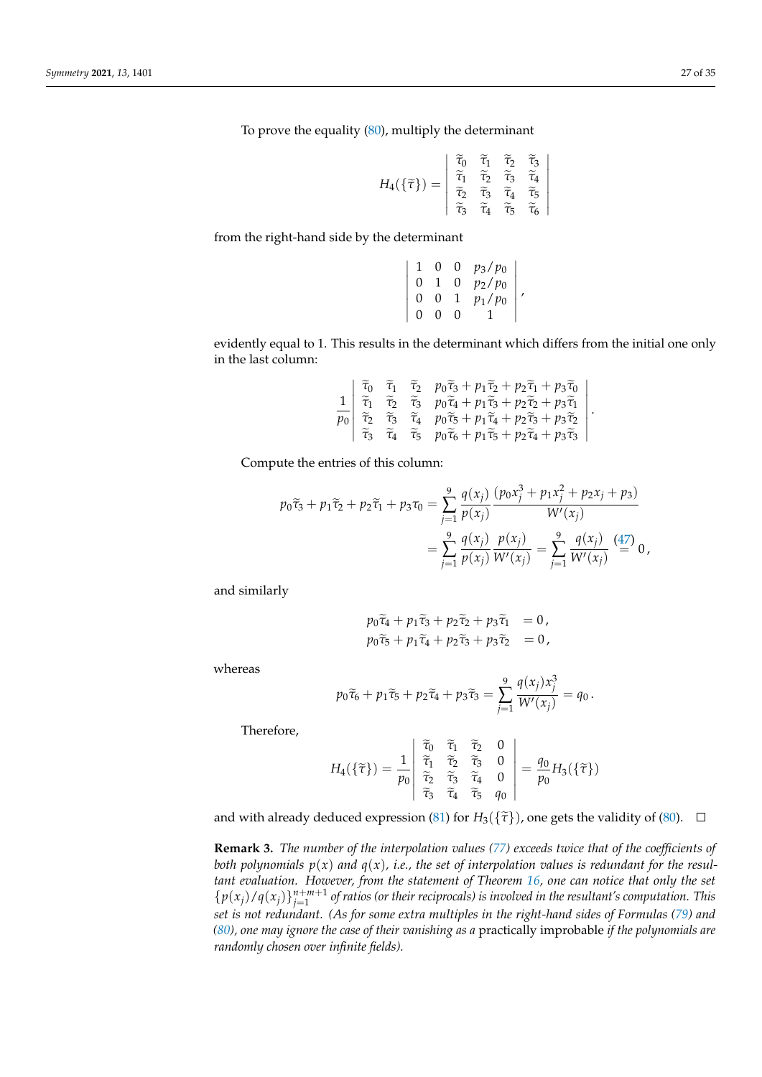To prove the equality [\(80\)](#page-24-2), multiply the determinant

$$
H_4(\{\widetilde{\tau}\}) = \begin{vmatrix} \widetilde{\tau}_0 & \widetilde{\tau}_1 & \widetilde{\tau}_2 & \widetilde{\tau}_3 \\ \widetilde{\tau}_1 & \widetilde{\tau}_2 & \widetilde{\tau}_3 & \widetilde{\tau}_4 \\ \widetilde{\tau}_2 & \widetilde{\tau}_3 & \widetilde{\tau}_4 & \widetilde{\tau}_5 \\ \widetilde{\tau}_3 & \widetilde{\tau}_4 & \widetilde{\tau}_5 & \widetilde{\tau}_6 \end{vmatrix}
$$

from the right-hand side by the determinant

$$
\left|\begin{array}{cccc} 1 & 0 & 0 & p_3/p_0 \\ 0 & 1 & 0 & p_2/p_0 \\ 0 & 0 & 1 & p_1/p_0 \\ 0 & 0 & 0 & 1 \end{array}\right|,
$$

evidently equal to 1. This results in the determinant which differs from the initial one only in the last column:

$$
\frac{1}{p_0} \begin{vmatrix} \widetilde{\tau}_0 & \widetilde{\tau}_1 & \widetilde{\tau}_2 & p_0 \widetilde{\tau}_3 + p_1 \widetilde{\tau}_2 + p_2 \widetilde{\tau}_1 + p_3 \widetilde{\tau}_0 \\ \widetilde{\tau}_1 & \widetilde{\tau}_2 & \widetilde{\tau}_3 & p_0 \widetilde{\tau}_4 + p_1 \widetilde{\tau}_3 + p_2 \widetilde{\tau}_2 + p_3 \widetilde{\tau}_1 \\ \widetilde{\tau}_2 & \widetilde{\tau}_3 & \widetilde{\tau}_4 & p_0 \widetilde{\tau}_5 + p_1 \widetilde{\tau}_4 + p_2 \widetilde{\tau}_3 + p_3 \widetilde{\tau}_2 \\ \widetilde{\tau}_3 & \widetilde{\tau}_4 & \widetilde{\tau}_5 & p_0 \widetilde{\tau}_6 + p_1 \widetilde{\tau}_5 + p_2 \widetilde{\tau}_4 + p_3 \widetilde{\tau}_3 \end{vmatrix}.
$$

Compute the entries of this column:

$$
p_0\tilde{\tau}_3 + p_1\tilde{\tau}_2 + p_2\tilde{\tau}_1 + p_3\tau_0 = \sum_{j=1}^9 \frac{q(x_j)}{p(x_j)} \frac{(p_0x_j^3 + p_1x_j^2 + p_2x_j + p_3)}{W'(x_j)}
$$
  
= 
$$
\sum_{j=1}^9 \frac{q(x_j)}{p(x_j)} \frac{p(x_j)}{W'(x_j)} = \sum_{j=1}^9 \frac{q(x_j)}{W'(x_j)} \frac{(47)}{=} 0,
$$

and similarly

$$
p_0\tilde{\tau}_4 + p_1\tilde{\tau}_3 + p_2\tilde{\tau}_2 + p_3\tilde{\tau}_1 = 0,
$$
  
\n
$$
p_0\tilde{\tau}_5 + p_1\tilde{\tau}_4 + p_2\tilde{\tau}_3 + p_3\tilde{\tau}_2 = 0,
$$

whereas

$$
p_0\widetilde{\tau}_6 + p_1\widetilde{\tau}_5 + p_2\widetilde{\tau}_4 + p_3\widetilde{\tau}_3 = \sum_{j=1}^9 \frac{q(x_j)x_j^3}{W'(x_j)} = q_0.
$$

Therefore,

$$
H_4(\{\widetilde{\tau}\}) = \frac{1}{p_0} \begin{vmatrix} \widetilde{\tau}_0 & \widetilde{\tau}_1 & \widetilde{\tau}_2 & 0 \\ \widetilde{\tau}_1 & \widetilde{\tau}_2 & \widetilde{\tau}_3 & 0 \\ \widetilde{\tau}_2 & \widetilde{\tau}_3 & \widetilde{\tau}_4 & 0 \\ \widetilde{\tau}_3 & \widetilde{\tau}_4 & \widetilde{\tau}_5 & q_0 \end{vmatrix} = \frac{q_0}{p_0} H_3(\{\widetilde{\tau}\})
$$

and with already deduced expression [\(81\)](#page-25-0) for  $H_3({\tilde{\tau}})$ , one gets the validity of [\(80\)](#page-24-2).  $\Box$ 

**Remark 3.** *The number of the interpolation values [\(77\)](#page-24-3) exceeds twice that of the coefficients of both polynomials*  $p(x)$  *and*  $q(x)$ *, i.e., the set of interpolation values is redundant for the resultant evaluation. However, from the statement of Theorem [16,](#page-24-4) one can notice that only the set*  ${p(x_j)/q(x_j)}_{j=1}^{n+m+1}$  of ratios (or their reciprocals) is involved in the resultant's computation. This *set is not redundant. (As for some extra multiples in the right-hand sides of Formulas [\(79\)](#page-24-2) and [\(80\)](#page-24-2), one may ignore the case of their vanishing as a* practically improbable *if the polynomials are randomly chosen over infinite fields).*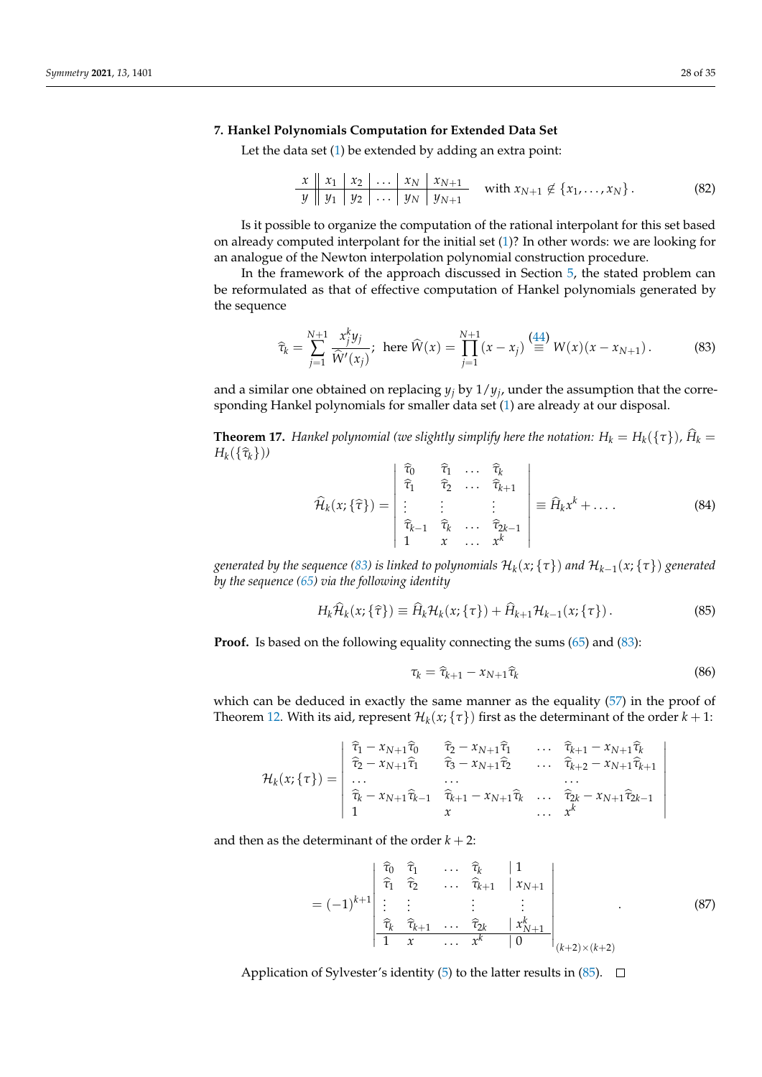## <span id="page-27-0"></span>**7. Hankel Polynomials Computation for Extended Data Set**

Let the data set  $(1)$  be extended by adding an extra point:

<span id="page-27-4"></span>*x x*<sup>1</sup> *x*<sup>2</sup> . . . *x<sup>N</sup> xN*+<sup>1</sup> *y y*<sup>1</sup> *y*<sup>2</sup> . . . *y<sup>N</sup> yN*+<sup>1</sup> with *xN*+<sup>1</sup> 6∈ {*x*1, . . . , *xN*} . (82)

Is it possible to organize the computation of the rational interpolant for this set based on already computed interpolant for the initial set [\(1\)](#page-0-0)? In other words: we are looking for an analogue of the Newton interpolation polynomial construction procedure.

In the framework of the approach discussed in Section [5,](#page-18-0) the stated problem can be reformulated as that of effective computation of Hankel polynomials generated by the sequence

<span id="page-27-1"></span>
$$
\widehat{\tau}_k = \sum_{j=1}^{N+1} \frac{x_j^k y_j}{\widehat{W}'(x_j)}; \text{ here } \widehat{W}(x) = \prod_{j=1}^{N+1} (x - x_j) \stackrel{(44)}{\equiv} W(x)(x - x_{N+1}). \tag{83}
$$

and a similar one obtained on replacing  $y_j$  by  $1/y_j$ , under the assumption that the corresponding Hankel polynomials for smaller data set [\(1\)](#page-0-0) are already at our disposal.

**Theorem 17.** *Hankel polynomial (we slightly simplify here the notation:*  $H_k = H_k(\{\tau\})$ *,*  $\hat{H}_k = H_k(\{\tau\})$  $H_k(\{\hat{\tau}_k\})$ 

$$
\widehat{\mathcal{H}}_k(x;\{\widehat{\tau}\}) = \begin{vmatrix}\n\widehat{\tau}_0 & \widehat{\tau}_1 & \dots & \widehat{\tau}_k \\
\widehat{\tau}_1 & \widehat{\tau}_2 & \dots & \widehat{\tau}_{k+1} \\
\vdots & \vdots & & \vdots \\
\widehat{\tau}_{k-1} & \widehat{\tau}_k & \dots & \widehat{\tau}_{2k-1} \\
1 & x & \dots & x^k\n\end{vmatrix} \equiv \widehat{H}_k x^k + \dots
$$
\n(84)

 $g$ enerated by the sequence [\(83\)](#page-27-1) is linked to polynomials  $\mathcal{H}_k(x;\{\tau\})$  and  $\mathcal{H}_{k-1}(x;\{\tau\})$   $g$ enerated *by the sequence [\(65\)](#page-19-2) via the following identity*

<span id="page-27-2"></span>
$$
H_k \widehat{\mathcal{H}}_k(x; \{\widehat{\tau}\}) \equiv \widehat{H}_k \mathcal{H}_k(x; \{\tau\}) + \widehat{H}_{k+1} \mathcal{H}_{k-1}(x; \{\tau\}). \tag{85}
$$

**Proof.** Is based on the following equality connecting the sums [\(65\)](#page-19-2) and [\(83\)](#page-27-1):

$$
\tau_k = \widehat{\tau}_{k+1} - x_{N+1} \widehat{\tau}_k \tag{86}
$$

which can be deduced in exactly the same manner as the equality [\(57\)](#page-17-1) in the proof of Theorem [12.](#page-15-2) With its aid, represent  $\mathcal{H}_k(x; {\tau})$  first as the determinant of the order  $k+1$ :

$$
\mathcal{H}_k(x;\{\tau\}) = \begin{vmatrix}\n\hat{\tau}_1 - x_{N+1}\hat{\tau}_0 & \hat{\tau}_2 - x_{N+1}\hat{\tau}_1 & \dots & \hat{\tau}_{k+1} - x_{N+1}\hat{\tau}_k \\
\hat{\tau}_2 - x_{N+1}\hat{\tau}_1 & \hat{\tau}_3 - x_{N+1}\hat{\tau}_2 & \dots & \hat{\tau}_{k+2} - x_{N+1}\hat{\tau}_{k+1} \\
\dots & \dots & \dots & \dots \\
\hat{\tau}_k - x_{N+1}\hat{\tau}_{k-1} & \hat{\tau}_{k+1} - x_{N+1}\hat{\tau}_k & \dots & \hat{\tau}_{2k} - x_{N+1}\hat{\tau}_{2k-1} \\
1 & x & \dots & x^k\n\end{vmatrix}
$$

and then as the determinant of the order  $k + 2$ :

<span id="page-27-3"></span>
$$
= (-1)^{k+1} \begin{vmatrix} \hat{\tau}_0 & \hat{\tau}_1 & \cdots & \hat{\tau}_k & | & 1 \\ \hat{\tau}_1 & \hat{\tau}_2 & \cdots & \hat{\tau}_{k+1} & | & x_{N+1} \\ \vdots & \vdots & & \vdots & & \vdots \\ \hat{\tau}_k & \hat{\tau}_{k+1} & \cdots & \hat{\tau}_{2k} & | & x_{N+1}^k \\ 1 & x & \cdots & x^k & | & 0 \end{vmatrix}_{(k+2)\times(k+2)}
$$
(87)

Application of Sylvester's identity [\(5\)](#page-3-0) to the latter results in  $(85)$ .  $\Box$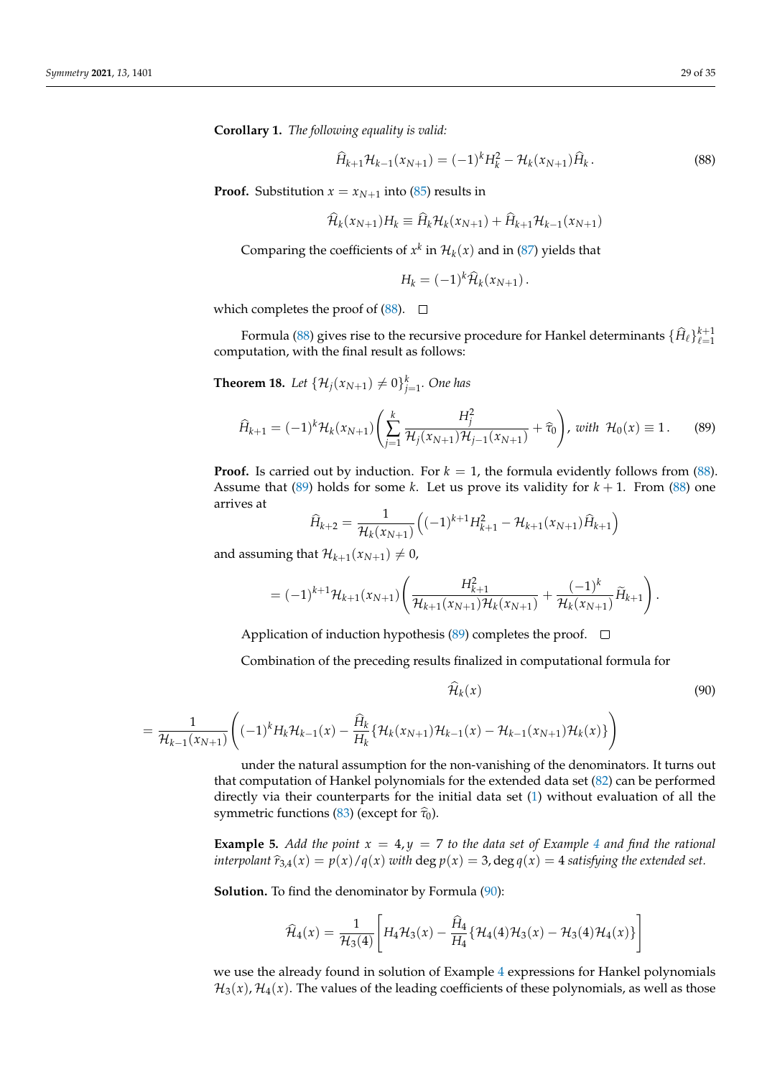**Corollary 1.** *The following equality is valid:*

<span id="page-28-0"></span>
$$
\widehat{H}_{k+1} \mathcal{H}_{k-1}(x_{N+1}) = (-1)^k H_k^2 - \mathcal{H}_k(x_{N+1}) \widehat{H}_k.
$$
\n(88)

**Proof.** Substitution  $x = x_{N+1}$  into [\(85\)](#page-27-2) results in

$$
\mathcal{H}_k(x_{N+1})H_k \equiv \hat{H}_k \mathcal{H}_k(x_{N+1}) + \hat{H}_{k+1} \mathcal{H}_{k-1}(x_{N+1})
$$

Comparing the coefficients of  $x^k$  in  $\mathcal{H}_k(x)$  and in [\(87\)](#page-27-3) yields that

$$
H_k = (-1)^k \widehat{\mathcal{H}}_k(x_{N+1}).
$$

which completes the proof of  $(88)$ .  $\Box$ 

Formula [\(88\)](#page-28-0) gives rise to the recursive procedure for Hankel determinants  $\{\hat{H}_\ell\}_{\ell=1}^{k+1}$ computation, with the final result as follows:

**Theorem 18.** Let  $\{ \mathcal{H}_j(x_{N+1}) \neq 0 \}_{j=1}^k$ . One has

<span id="page-28-1"></span>
$$
\widehat{H}_{k+1} = (-1)^k \mathcal{H}_k(x_{N+1}) \left( \sum_{j=1}^k \frac{H_j^2}{\mathcal{H}_j(x_{N+1}) \mathcal{H}_{j-1}(x_{N+1})} + \widehat{\tau}_0 \right), \text{ with } \mathcal{H}_0(x) \equiv 1. \tag{89}
$$

**Proof.** Is carried out by induction. For  $k = 1$ , the formula evidently follows from [\(88\)](#page-28-0). Assume that [\(89\)](#page-28-1) holds for some *k*. Let us prove its validity for  $k + 1$ . From [\(88\)](#page-28-0) one arrives at

$$
\widehat{H}_{k+2} = \frac{1}{\mathcal{H}_k(x_{N+1})} \left( (-1)^{k+1} H_{k+1}^2 - \mathcal{H}_{k+1}(x_{N+1}) \widehat{H}_{k+1} \right)
$$

and assuming that  $\mathcal{H}_{k+1}(x_{N+1}) \neq 0$ ,

$$
= (-1)^{k+1} \mathcal{H}_{k+1}(x_{N+1}) \left( \frac{H_{k+1}^2}{\mathcal{H}_{k+1}(x_{N+1}) \mathcal{H}_k(x_{N+1})} + \frac{(-1)^k}{\mathcal{H}_k(x_{N+1})} \widetilde{H}_{k+1} \right).
$$

Application of induction hypothesis [\(89\)](#page-28-1) completes the proof.  $\square$ 

Combination of the preceding results finalized in computational formula for

<span id="page-28-2"></span>
$$
\widehat{\mathcal{H}}_k(x) \tag{90}
$$

$$
= \frac{1}{\mathcal{H}_{k-1}(x_{N+1})} \Big( (-1)^k H_k \mathcal{H}_{k-1}(x) - \frac{\widehat{H}_k}{H_k} \{ \mathcal{H}_k(x_{N+1}) \mathcal{H}_{k-1}(x) - \mathcal{H}_{k-1}(x_{N+1}) \mathcal{H}_k(x) \} \Big)
$$

under the natural assumption for the non-vanishing of the denominators. It turns out that computation of Hankel polynomials for the extended data set [\(82\)](#page-27-4) can be performed directly via their counterparts for the initial data set [\(1\)](#page-0-0) without evaluation of all the symmetric functions [\(83\)](#page-27-1) (except for  $\hat{\tau}_0$ ).

**Example 5.** Add the point  $x = 4$  $x = 4$ ,  $y = 7$  to the data set of Example 4 and find the rational *interpolant*  $\hat{r}_{3,4}(x) = p(x)/q(x)$  *with* deg  $p(x) = 3$ , deg  $q(x) = 4$  *satisfying the extended set.* 

**Solution.** To find the denominator by Formula [\(90\)](#page-28-2):

$$
\widehat{\mathcal{H}}_4(x) = \frac{1}{\mathcal{H}_3(4)} \Bigg[ H_4 \mathcal{H}_3(x) - \frac{\widehat{H}_4}{H_4} \{ \mathcal{H}_4(4) \mathcal{H}_3(x) - \mathcal{H}_3(4) \mathcal{H}_4(x) \} \Bigg]
$$

we use the already found in solution of Example [4](#page-21-0) expressions for Hankel polynomials  $\mathcal{H}_3(x)$ ,  $\mathcal{H}_4(x)$ . The values of the leading coefficients of these polynomials, as well as those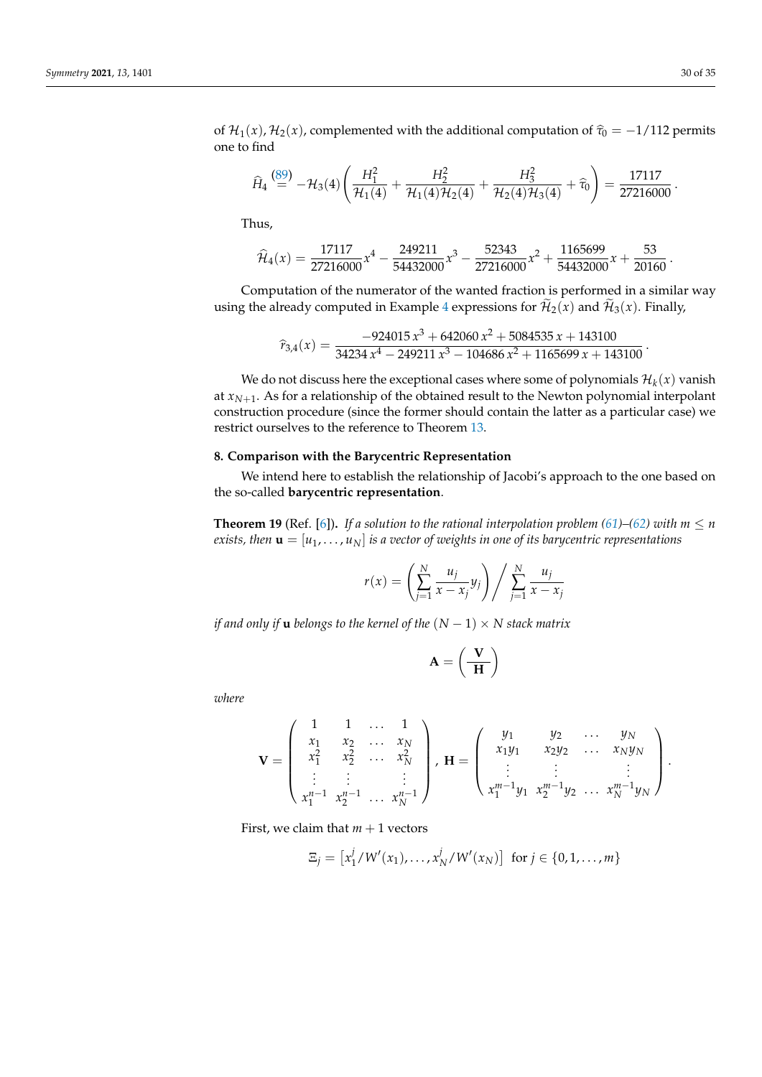of  $\mathcal{H}_1(x)$ ,  $\mathcal{H}_2(x)$ , complemented with the additional computation of  $\hat{\tau}_0 = -1/112$  permits one to find

$$
\widehat{H}_4 \stackrel{\text{(89)}}{=} -\mathcal{H}_3(4) \left( \frac{H_1^2}{\mathcal{H}_1(4)} + \frac{H_2^2}{\mathcal{H}_1(4)\mathcal{H}_2(4)} + \frac{H_3^2}{\mathcal{H}_2(4)\mathcal{H}_3(4)} + \widehat{\tau}_0 \right) = \frac{17117}{27216000} \, .
$$

Thus,

$$
\widehat{\mathcal{H}}_4(x) = \frac{17117}{27216000}x^4 - \frac{249211}{54432000}x^3 - \frac{52343}{27216000}x^2 + \frac{1165699}{54432000}x + \frac{53}{20160}.
$$

Computation of the numerator of the wanted fraction is performed in a similar way using the already computed in Example [4](#page-21-0) expressions for  $\mathcal{H}_2(x)$  and  $\mathcal{H}_3(x)$ . Finally,

$$
\widehat{r}_{3,4}(x) = \frac{-924015 x^3 + 642060 x^2 + 5084535 x + 143100}{34234 x^4 - 249211 x^3 - 104686 x^2 + 1165699 x + 143100}.
$$

We do not discuss here the exceptional cases where some of polynomials  $\mathcal{H}_k(x)$  vanish at  $x_{N+1}$ . As for a relationship of the obtained result to the Newton polynomial interpolant construction procedure (since the former should contain the latter as a particular case) we restrict ourselves to the reference to Theorem [13.](#page-17-2)

# <span id="page-29-0"></span>**8. Comparison with the Barycentric Representation**

We intend here to establish the relationship of Jacobi's approach to the one based on the so-called **barycentric representation**.

<span id="page-29-1"></span>**Theorem 19** (Ref. [\[6\]](#page-33-17)). *If a solution to the rational interpolation problem [\(61\)](#page-18-1)–[\(62\)](#page-18-2) with*  $m \leq n$ *exists, then*  $\mathbf{u} = [u_1, \dots, u_N]$  *is a vector of weights in one of its barycentric representations* 

$$
r(x) = \left(\sum_{j=1}^{N} \frac{u_j}{x - x_j} y_j\right) / \sum_{j=1}^{N} \frac{u_j}{x - x_j}
$$

*if and only if* **u** *belongs to the kernel of the*  $(N - 1) \times N$  *stack matrix* 

$$
A=\left(\frac{V}{H}\right)
$$

*where*

$$
\mathbf{V} = \begin{pmatrix} 1 & 1 & \dots & 1 \\ x_1 & x_2 & \dots & x_N \\ x_1^2 & x_2^2 & \dots & x_N^2 \\ \vdots & \vdots & & \vdots \\ x_1^{n-1} & x_2^{n-1} & \dots & x_N^{n-1} \end{pmatrix}, \ \mathbf{H} = \begin{pmatrix} y_1 & y_2 & \dots & y_N \\ x_1y_1 & x_2y_2 & \dots & x_Ny_N \\ \vdots & & \vdots & & \vdots \\ x_1^{m-1}y_1 & x_2^{m-1}y_2 & \dots & x_N^{m-1}y_N \end{pmatrix}.
$$

First, we claim that  $m + 1$  vectors

$$
\Xi_j = [x_1^j / W'(x_1), \dots, x_N^j / W'(x_N)] \text{ for } j \in \{0, 1, \dots, m\}
$$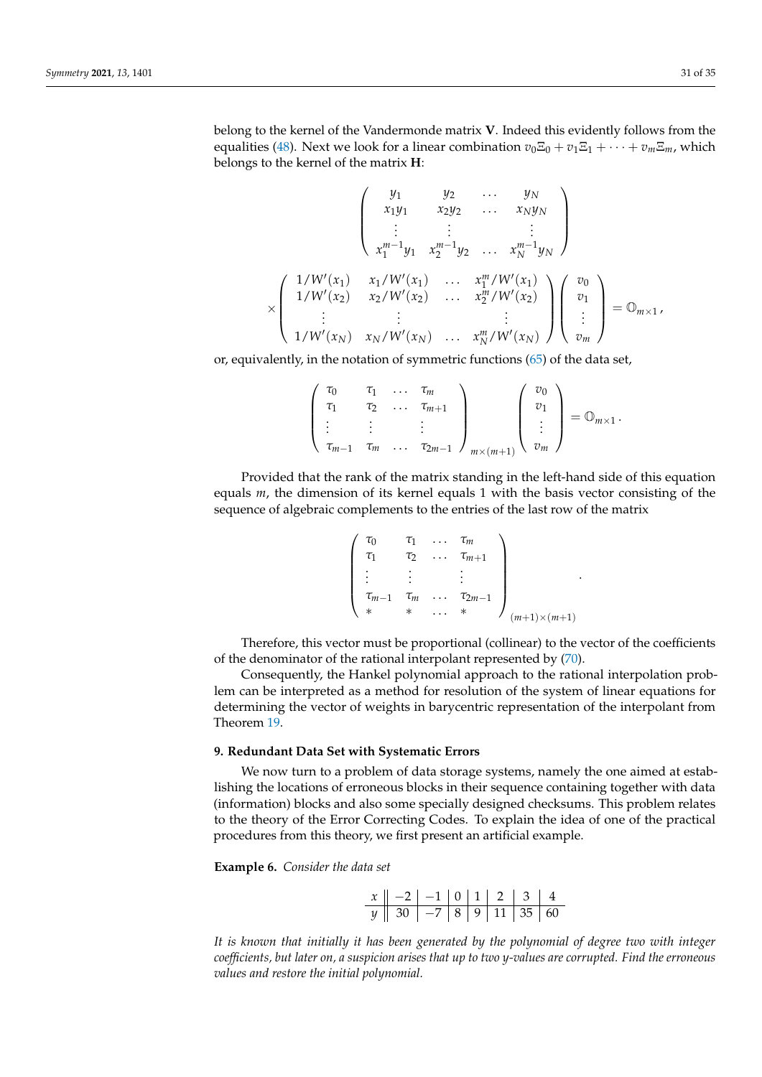belong to the kernel of the Vandermonde matrix **V**. Indeed this evidently follows from the equalities [\(48\)](#page-14-2). Next we look for a linear combination  $v_0\Xi_0 + v_1\Xi_1 + \cdots + v_m\Xi_m$ , which belongs to the kernel of the matrix **H**:

$$
\begin{pmatrix}\ny_1 & y_2 & \cdots & y_N \\
x_1y_1 & x_2y_2 & \cdots & x_Ny_N \\
\vdots & \vdots & & \vdots \\
x_1^{m-1}y_1 & x_2^{m-1}y_2 & \cdots & x_N^{m-1}y_N\n\end{pmatrix}
$$
\n
$$
\times \begin{pmatrix}\n1/W'(x_1) & x_1/W'(x_1) & \cdots & x_1^m/W'(x_1) \\
1/W'(x_2) & x_2/W'(x_2) & \cdots & x_2^m/W'(x_2) \\
\vdots & & \vdots & & \vdots \\
1/W'(x_N) & x_N/W'(x_N) & \cdots & x_N^m/W'(x_N)\n\end{pmatrix}\n\begin{pmatrix}\nv_0 \\
v_1 \\
\vdots \\
v_m\n\end{pmatrix} = \mathbb{O}_{m \times 1},
$$

or, equivalently, in the notation of symmetric functions [\(65\)](#page-19-2) of the data set,

$$
\left(\begin{array}{cccc} \tau_0 & \tau_1 & \ldots & \tau_m \\ \tau_1 & \tau_2 & \ldots & \tau_{m+1} \\ \vdots & \vdots & \vdots & \vdots \\ \tau_{m-1} & \tau_m & \ldots & \tau_{2m-1} \end{array}\right)_{m \times (m+1)} \left(\begin{array}{c} v_0 \\ v_1 \\ \vdots \\ v_m \end{array}\right) = \mathbb{O}_{m \times 1}.
$$

Provided that the rank of the matrix standing in the left-hand side of this equation equals *m*, the dimension of its kernel equals 1 with the basis vector consisting of the sequence of algebraic complements to the entries of the last row of the matrix

$$
\begin{pmatrix} \tau_0 & \tau_1 & \dots & \tau_m \\ \tau_1 & \tau_2 & \dots & \tau_{m+1} \\ \vdots & \vdots & & \vdots \\ \tau_{m-1} & \tau_m & \dots & \tau_{2m-1} \\ * & * & \dots & * \end{pmatrix}_{(m+1)\times(m+1)}
$$

.

Therefore, this vector must be proportional (collinear) to the vector of the coefficients of the denominator of the rational interpolant represented by [\(70\)](#page-20-1).

Consequently, the Hankel polynomial approach to the rational interpolation problem can be interpreted as a method for resolution of the system of linear equations for determining the vector of weights in barycentric representation of the interpolant from Theorem [19.](#page-29-1)

# <span id="page-30-0"></span>**9. Redundant Data Set with Systematic Errors**

We now turn to a problem of data storage systems, namely the one aimed at establishing the locations of erroneous blocks in their sequence containing together with data (information) blocks and also some specially designed checksums. This problem relates to the theory of the Error Correcting Codes. To explain the idea of one of the practical procedures from this theory, we first present an artificial example.

<span id="page-30-1"></span>**Example 6.** *Consider the data set*

| $x \parallel -2 \mid -1 \mid 0 \mid 1 \mid 2 \mid 3 \mid 4$    |  |  |  |
|----------------------------------------------------------------|--|--|--|
| $y \parallel 30 \mid -7 \mid 8 \mid 9 \mid 11 \mid 35 \mid 60$ |  |  |  |

*It is known that initially it has been generated by the polynomial of degree two with integer coefficients, but later on, a suspicion arises that up to two y-values are corrupted. Find the erroneous values and restore the initial polynomial.*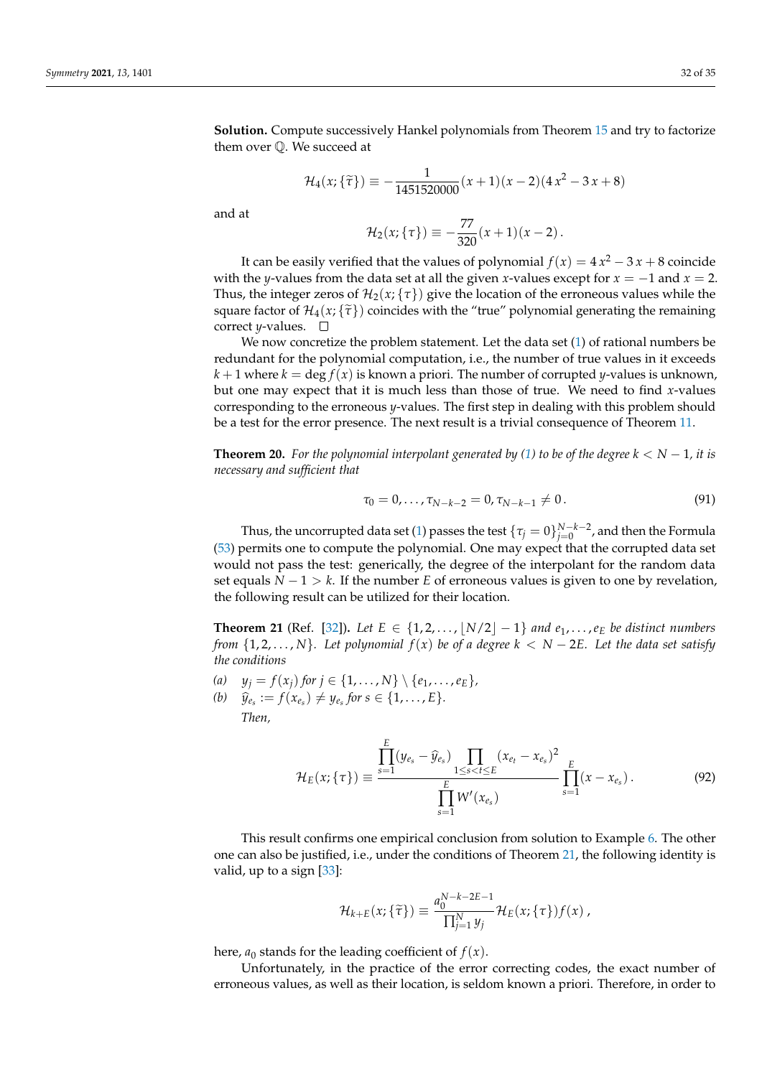**Solution.** Compute successively Hankel polynomials from Theorem [15](#page-19-4) and try to factorize them over Q. We succeed at

$$
\mathcal{H}_4(x; \{ \tilde{\tau} \}) \equiv -\frac{1}{1451520000} (x+1)(x-2)(4x^2 - 3x + 8)
$$

and at

$$
\mathcal{H}_2(x;\{\tau\}) \equiv -\frac{77}{320}(x+1)(x-2).
$$

It can be easily verified that the values of polynomial  $f(x) = 4x^2 - 3x + 8$  coincide with the *y*-values from the data set at all the given *x*-values except for  $x = -1$  and  $x = 2$ . Thus, the integer zeros of  $\mathcal{H}_2(x; \{\tau\})$  give the location of the erroneous values while the square factor of  $\mathcal{H}_4(x; \{ \tilde{\tau} \})$  coincides with the "true" polynomial generating the remaining correct *y*-values.  $\square$ 

We now concretize the problem statement. Let the data set [\(1\)](#page-0-0) of rational numbers be redundant for the polynomial computation, i.e., the number of true values in it exceeds  $k+1$  where  $k = \deg f(x)$  is known a priori. The number of corrupted *y*-values is unknown, but one may expect that it is much less than those of true. We need to find *x*-values corresponding to the erroneous *y*-values. The first step in dealing with this problem should be a test for the error presence. The next result is a trivial consequence of Theorem [11.](#page-14-3)

**Theorem 20.** *For the polynomial interpolant generated by* [\(1\)](#page-0-0) *to be of the degree*  $k < N - 1$ *, it is necessary and sufficient that*

$$
\tau_0 = 0, \ldots, \tau_{N-k-2} = 0, \tau_{N-k-1} \neq 0. \tag{91}
$$

Thus, the uncorrupted data set [\(1\)](#page-0-0) passes the test  $\{\tau_j=0\}_{j=0}^{N-k-2}$ , and then the Formula [\(53\)](#page-15-1) permits one to compute the polynomial. One may expect that the corrupted data set would not pass the test: generically, the degree of the interpolant for the random data set equals  $N - 1 > k$ . If the number *E* of erroneous values is given to one by revelation, the following result can be utilized for their location.

<span id="page-31-0"></span>**Theorem 21** (Ref. [\[32\]](#page-34-2)). Let  $E \in \{1, 2, ..., |N/2|-1\}$  and  $e_1, ..., e_E$  be distinct numbers *from*  $\{1, 2, \ldots, N\}$ *. Let polynomial*  $f(x)$  *be of a degree*  $k < N - 2E$ *. Let the data set satisfy the conditions*

- *(a)*  $y_j = f(x_j)$  *for*  $j \in \{1, ..., N\} \setminus \{e_1, ..., e_E\}$ ,
- *(b)*  $\hat{y}_{{e_s}} := f(x_{{e_s}}) \neq y_{{e_s}}$  for  $s \in \{1, ..., E\}$ . *Then,*

<span id="page-31-1"></span>
$$
\mathcal{H}_E(x;\{\tau\}) \equiv \frac{\prod_{s=1}^E (y_{e_s} - \widehat{y}_{e_s}) \prod_{1 \le s < t \le E} (x_{e_t} - x_{e_s})^2}{\prod_{s=1}^E W'(x_{e_s})} \prod_{s=1}^E (x - x_{e_s}). \tag{92}
$$

This result confirms one empirical conclusion from solution to Example [6.](#page-30-1) The other one can also be justified, i.e., under the conditions of Theorem [21,](#page-31-0) the following identity is valid, up to a sign [\[33\]](#page-34-3):

$$
\mathcal{H}_{k+E}(x;\{\tilde{\tau}\}) \equiv \frac{a_0^{N-k-2E-1}}{\prod_{j=1}^N y_j} \mathcal{H}_E(x;\{\tau\}) f(x) ,
$$

here,  $a_0$  stands for the leading coefficient of  $f(x)$ .

Unfortunately, in the practice of the error correcting codes, the exact number of erroneous values, as well as their location, is seldom known a priori. Therefore, in order to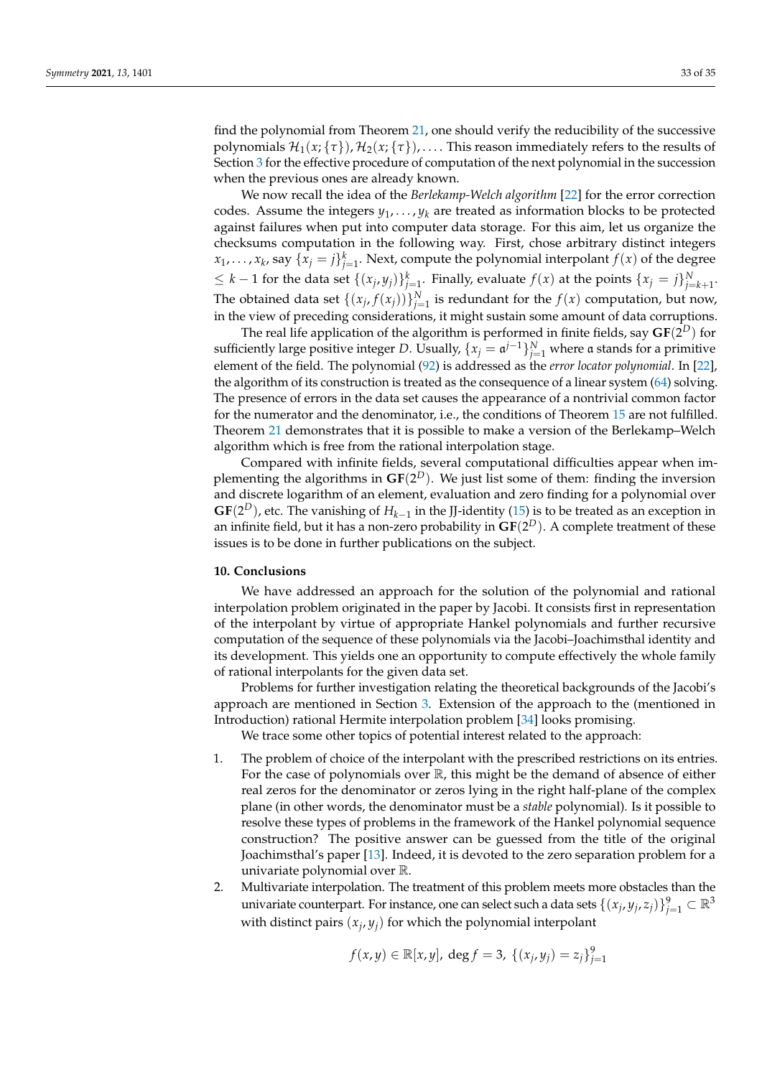find the polynomial from Theorem [21,](#page-31-0) one should verify the reducibility of the successive polynomials  $\mathcal{H}_1(x; \{\tau\})$ ,  $\mathcal{H}_2(x; \{\tau\})$ , ... . This reason immediately refers to the results of Section [3](#page-4-0) for the effective procedure of computation of the next polynomial in the succession when the previous ones are already known.

We now recall the idea of the *Berlekamp-Welch algorithm* [\[22\]](#page-33-19) for the error correction codes. Assume the integers  $y_1, \ldots, y_k$  are treated as information blocks to be protected against failures when put into computer data storage. For this aim, let us organize the checksums computation in the following way. First, chose arbitrary distinct integers  $x_1, \ldots, x_k$ , say  $\{x_j = j\}_{j=1}^k$ . Next, compute the polynomial interpolant  $f(x)$  of the degree  $\leq k-1$  for the data set  $\{(x_j, y_j)\}_{j=1}^k$ . Finally, evaluate  $f(x)$  at the points  $\{x_j = j\}_{j=k+1}^N$ . The obtained data set  $\{(x_j, f(x_j))\}_{j=1}^N$  is redundant for the  $f(x)$  computation, but now, in the view of preceding considerations, it might sustain some amount of data corruptions.

The real life application of the algorithm is performed in finite fields, say  $\mathbf{GF}(2^D)$  for sufficiently large positive integer *D*. Usually,  $\{x_j = \mathfrak{a}^{j-1}\}_{j=1}^N$  where a stands for a primitive element of the field. The polynomial [\(92\)](#page-31-1) is addressed as the *error locator polynomial*. In [\[22\]](#page-33-19), the algorithm of its construction is treated as the consequence of a linear system [\(64\)](#page-19-0) solving. The presence of errors in the data set causes the appearance of a nontrivial common factor for the numerator and the denominator, i.e., the conditions of Theorem [15](#page-19-4) are not fulfilled. Theorem [21](#page-31-0) demonstrates that it is possible to make a version of the Berlekamp–Welch algorithm which is free from the rational interpolation stage.

Compared with infinite fields, several computational difficulties appear when implementing the algorithms in  $GF(2^D)$ . We just list some of them: finding the inversion and discrete logarithm of an element, evaluation and zero finding for a polynomial over **GF**( $2^D$ ), etc. The vanishing of  $H_{k-1}$  in the JJ-identity [\(15\)](#page-5-4) is to be treated as an exception in an infinite field, but it has a non-zero probability in  $\mathbf{GF}(2^D).$  A complete treatment of these issues is to be done in further publications on the subject.

# **10. Conclusions**

We have addressed an approach for the solution of the polynomial and rational interpolation problem originated in the paper by Jacobi. It consists first in representation of the interpolant by virtue of appropriate Hankel polynomials and further recursive computation of the sequence of these polynomials via the Jacobi–Joachimsthal identity and its development. This yields one an opportunity to compute effectively the whole family of rational interpolants for the given data set.

Problems for further investigation relating the theoretical backgrounds of the Jacobi's approach are mentioned in Section [3.](#page-4-0) Extension of the approach to the (mentioned in Introduction) rational Hermite interpolation problem [\[34\]](#page-34-4) looks promising.

We trace some other topics of potential interest related to the approach:

- 1. The problem of choice of the interpolant with the prescribed restrictions on its entries. For the case of polynomials over  $\mathbb R$ , this might be the demand of absence of either real zeros for the denominator or zeros lying in the right half-plane of the complex plane (in other words, the denominator must be a *stable* polynomial). Is it possible to resolve these types of problems in the framework of the Hankel polynomial sequence construction? The positive answer can be guessed from the title of the original Joachimsthal's paper [\[13\]](#page-33-10). Indeed, it is devoted to the zero separation problem for a univariate polynomial over R.
- 2. Multivariate interpolation. The treatment of this problem meets more obstacles than the univariate counterpart. For instance, one can select such a data sets  $\{(x_j, y_j, z_j)\}_{j=1}^9 \subset \mathbb{R}^3$ with distinct pairs  $(x_j, y_j)$  for which the polynomial interpolant

$$
f(x,y) \in \mathbb{R}[x,y], \deg f = 3, \{(x_j,y_j) = z_j\}_{j=1}^9
$$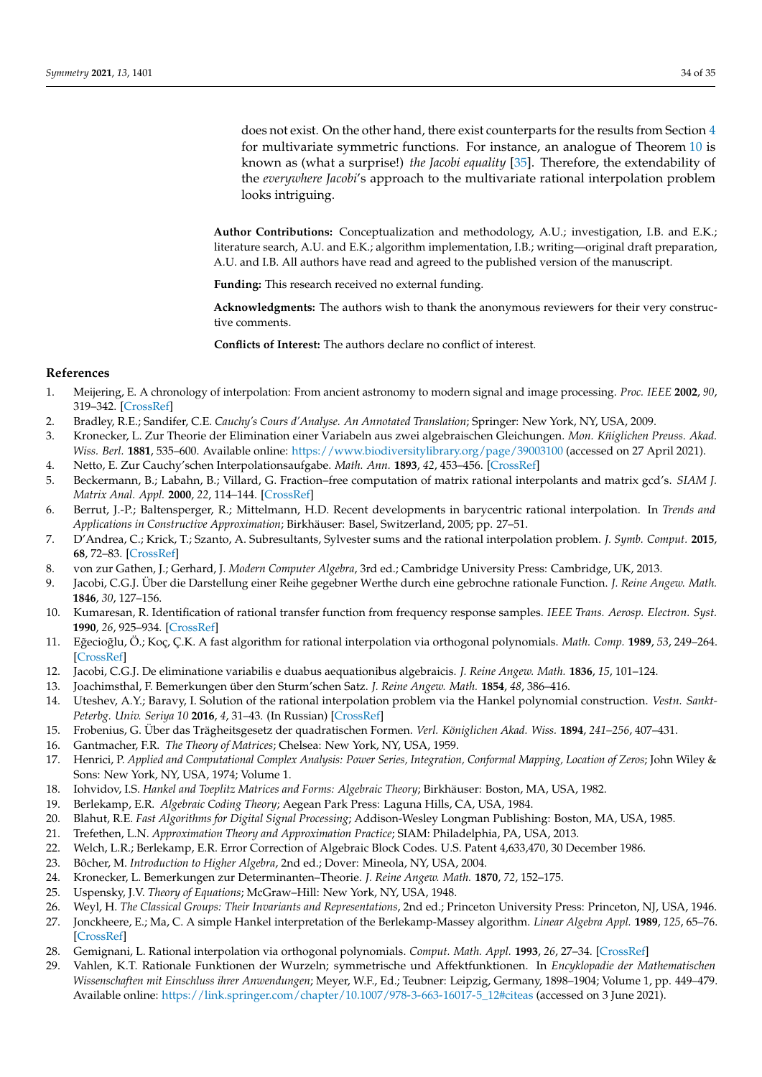does not exist. On the other hand, there exist counterparts for the results from Section [4](#page-13-0) for multivariate symmetric functions. For instance, an analogue of Theorem [10](#page-13-9) is known as (what a surprise!) *the Jacobi equality* [\[35\]](#page-34-5). Therefore, the extendability of the *everywhere Jacobi*'s approach to the multivariate rational interpolation problem looks intriguing.

**Author Contributions:** Conceptualization and methodology, A.U.; investigation, I.B. and E.K.; literature search, A.U. and E.K.; algorithm implementation, I.B.; writing—original draft preparation, A.U. and I.B. All authors have read and agreed to the published version of the manuscript.

**Funding:** This research received no external funding.

**Acknowledgments:** The authors wish to thank the anonymous reviewers for their very constructive comments.

**Conflicts of Interest:** The authors declare no conflict of interest.

# **References**

- <span id="page-33-0"></span>1. Meijering, E. A chronology of interpolation: From ancient astronomy to modern signal and image processing. *Proc. IEEE* **2002**, *90*, 319–342. [\[CrossRef\]](http://doi.org/10.1109/5.993400)
- <span id="page-33-1"></span>2. Bradley, R.E.; Sandifer, C.E. *Cauchy's Cours d'Analyse. An Annotated Translation*; Springer: New York, NY, USA, 2009.
- <span id="page-33-2"></span>3. Kronecker, L. Zur Theorie der Elimination einer Variabeln aus zwei algebraischen Gleichungen. *Mon. Kniglichen Preuss. Akad. ¨ Wiss. Berl.* **1881**, 535–600. Available online: <https://www.biodiversitylibrary.org/page/39003100> (accessed on 27 April 2021).
- <span id="page-33-3"></span>4. Netto, E. Zur Cauchy'schen Interpolationsaufgabe. *Math. Ann.* **1893**, *42*, 453–456. [\[CrossRef\]](http://dx.doi.org/10.1007/BF01444167)
- <span id="page-33-4"></span>5. Beckermann, B.; Labahn, B.; Villard, G. Fraction–free computation of matrix rational interpolants and matrix gcd's. *SIAM J. Matrix Anal. Appl.* **2000**, *22*, 114–144. [\[CrossRef\]](http://dx.doi.org/10.1137/S0895479897326912)
- <span id="page-33-17"></span>6. Berrut, J.-P.; Baltensperger, R.; Mittelmann, H.D. Recent developments in barycentric rational interpolation. In *Trends and Applications in Constructive Approximation*; Birkhäuser: Basel, Switzerland, 2005; pp. 27–51.
- 7. D'Andrea, C.; Krick, T.; Szanto, A. Subresultants, Sylvester sums and the rational interpolation problem. *J. Symb. Comput.* **2015**, **68**, 72–83. [\[CrossRef\]](http://dx.doi.org/10.1016/j.jsc.2014.08.008)
- <span id="page-33-5"></span>8. von zur Gathen, J.; Gerhard, J. *Modern Computer Algebra*, 3rd ed.; Cambridge University Press: Cambridge, UK, 2013.
- <span id="page-33-6"></span>9. Jacobi, C.G.J. Über die Darstellung einer Reihe gegebner Werthe durch eine gebrochne rationale Function. *J. Reine Angew. Math.* **1846**, *30*, 127–156.
- <span id="page-33-7"></span>10. Kumaresan, R. Identification of rational transfer function from frequency response samples. *IEEE Trans. Aerosp. Electron. Syst.* **1990**, *26*, 925–934. [\[CrossRef\]](http://dx.doi.org/10.1109/7.62245)
- <span id="page-33-8"></span>11. Eğecioğlu, Ö.; Koç, Ç.K. A fast algorithm for rational interpolation via orthogonal polynomials. *Math. Comp.* **1989**, 53, 249–264. [\[CrossRef\]](http://dx.doi.org/10.1090/S0025-5718-1989-0972369-4)
- <span id="page-33-9"></span>12. Jacobi, C.G.J. De eliminatione variabilis e duabus aequationibus algebraicis. *J. Reine Angew. Math.* **1836**, *15*, 101–124.
- <span id="page-33-10"></span>13. Joachimsthal, F. Bemerkungen über den Sturm'schen Satz. *J. Reine Angew. Math.* **1854**, *48*, 386–416.
- <span id="page-33-11"></span>14. Uteshev, A.Y.; Baravy, I. Solution of the rational interpolation problem via the Hankel polynomial construction. *Vestn. Sankt-Peterbg. Univ. Seriya 10* **2016**, *4*, 31–43. (In Russian) [\[CrossRef\]](http://dx.doi.org/10.21638/11701/spbu10.2016.403)
- <span id="page-33-12"></span>15. Frobenius, G. Über das Trägheitsgesetz der quadratischen Formen. *Verl. Königlichen Akad. Wiss.* **1894**, *241–256*, 407–431.
- <span id="page-33-13"></span>16. Gantmacher, F.R. *The Theory of Matrices*; Chelsea: New York, NY, USA, 1959.
- <span id="page-33-24"></span>17. Henrici, P. *Applied and Computational Complex Analysis: Power Series, Integration, Conformal Mapping, Location of Zeros*; John Wiley & Sons: New York, NY, USA, 1974; Volume 1.
- <span id="page-33-14"></span>18. Iohvidov, I.S. *Hankel and Toeplitz Matrices and Forms: Algebraic Theory*; Birkhäuser: Boston, MA, USA, 1982.
- <span id="page-33-15"></span>19. Berlekamp, E.R. *Algebraic Coding Theory*; Aegean Park Press: Laguna Hills, CA, USA, 1984.
- <span id="page-33-16"></span>20. Blahut, R.E. *Fast Algorithms for Digital Signal Processing*; Addison-Wesley Longman Publishing: Boston, MA, USA, 1985.
- <span id="page-33-18"></span>21. Trefethen, L.N. *Approximation Theory and Approximation Practice*; SIAM: Philadelphia, PA, USA, 2013.
- <span id="page-33-19"></span>22. Welch, L.R.; Berlekamp, E.R. Error Correction of Algebraic Block Codes. U.S. Patent 4,633,470, 30 December 1986.
- <span id="page-33-20"></span>23. Bôcher, M. *Introduction to Higher Algebra*, 2nd ed.; Dover: Mineola, NY, USA, 2004.
- <span id="page-33-21"></span>24. Kronecker, L. Bemerkungen zur Determinanten–Theorie. *J. Reine Angew. Math.* **1870**, *72*, 152–175.
- <span id="page-33-22"></span>25. Uspensky, J.V. *Theory of Equations*; McGraw–Hill: New York, NY, USA, 1948.
- <span id="page-33-23"></span>26. Weyl, H. *The Classical Groups: Their Invariants and Representations*, 2nd ed.; Princeton University Press: Princeton, NJ, USA, 1946.
- <span id="page-33-25"></span>27. Jonckheere, E.; Ma, C. A simple Hankel interpretation of the Berlekamp-Massey algorithm. *Linear Algebra Appl.* **1989**, *125*, 65–76. [\[CrossRef\]](http://dx.doi.org/10.1016/0024-3795(89)90032-3)
- <span id="page-33-26"></span>28. Gemignani, L. Rational interpolation via orthogonal polynomials. *Comput. Math. Appl.* **1993**, *26*, 27–34. [\[CrossRef\]](http://dx.doi.org/10.1016/0898-1221(93)90070-C)
- <span id="page-33-27"></span>29. Vahlen, K.T. Rationale Funktionen der Wurzeln; symmetrische und Affektfunktionen. In *Encyklopadie der Mathematischen Wissenschaften mit Einschluss ihrer Anwendungen*; Meyer, W.F., Ed.; Teubner: Leipzig, Germany, 1898–1904; Volume 1, pp. 449–479. Available online: [https://link.springer.com/chapter/10.1007/978-3-663-16017-5\\_12#citeas](https://link.springer.com/chapter/10.1007/978-3-663-16017-5_12#citeas) (accessed on 3 June 2021).